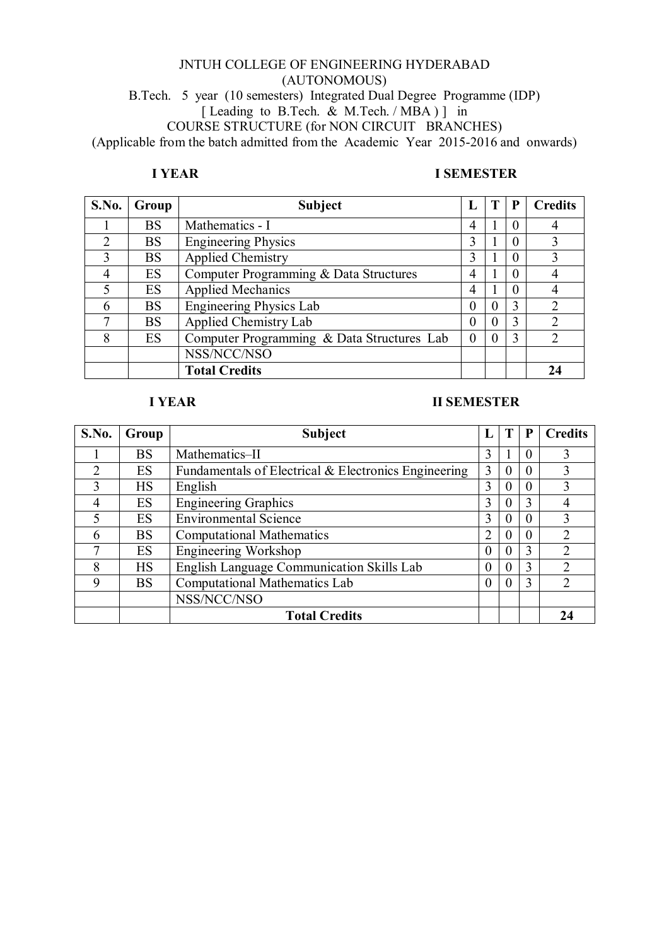# JNTUH COLLEGE OF ENGINEERING HYDERABAD (AUTONOMOUS) B.Tech. 5 year (10 semesters) Integrated Dual Degree Programme (IDP) [ Leading to B.Tech. & M.Tech. / MBA ) ] in COURSE STRUCTURE (for NON CIRCUIT BRANCHES) (Applicable from the batch admitted from the Academic Year 2015-2016 and onwards)

# **I YEAR I SEMESTER**

| S.No.                       | Group     | <b>Subject</b>                             |                |          | P        | <b>Credits</b> |
|-----------------------------|-----------|--------------------------------------------|----------------|----------|----------|----------------|
|                             | <b>BS</b> | Mathematics - I                            | 4              |          | $\theta$ | 4              |
| $\mathcal{D}_{\mathcal{L}}$ | <b>BS</b> | <b>Engineering Physics</b>                 | 3              |          | $\Omega$ | 3              |
| 3                           | <b>BS</b> | <b>Applied Chemistry</b>                   | 3              |          | $\theta$ | 3              |
| $\overline{4}$              | <b>ES</b> | Computer Programming & Data Structures     | $\overline{4}$ |          | $\Omega$ | 4              |
|                             | ES        | <b>Applied Mechanics</b>                   | 4              |          | $\theta$ | 4              |
| 6                           | <b>BS</b> | Engineering Physics Lab                    | $\theta$       | $\Omega$ | 3        | $\overline{2}$ |
| 7                           | <b>BS</b> | Applied Chemistry Lab                      | $\theta$       | 0        | 3        | $\overline{2}$ |
| 8                           | <b>ES</b> | Computer Programming & Data Structures Lab | $\theta$       |          | 3        | $\overline{2}$ |
|                             |           | NSS/NCC/NSO                                |                |          |          |                |
|                             |           | <b>Total Credits</b>                       |                |          |          | 24             |

# **I YEAR II SEMESTER**

| S.No.          | Group     | <b>Subject</b>                                       |                |          |   | <b>Credits</b> |
|----------------|-----------|------------------------------------------------------|----------------|----------|---|----------------|
|                | <b>BS</b> | Mathematics-II                                       | 3              |          |   | 3              |
| $\mathcal{D}$  | ES        | Fundamentals of Electrical & Electronics Engineering | 3              | 0        |   | 3              |
| 3              | <b>HS</b> | English                                              | 3              | $\theta$ |   | 3              |
| $\overline{4}$ | ES        | <b>Engineering Graphics</b>                          | 3              | 0        | 3 | 4              |
| 5              | ES        | <b>Environmental Science</b>                         | 3              | 0        |   | 3              |
| 6              | <b>BS</b> | <b>Computational Mathematics</b>                     | $\overline{2}$ | $_{0}$   |   | っ              |
| ┑              | ES        | <b>Engineering Workshop</b>                          | 0              | 0        | 3 | っ              |
| 8              | <b>HS</b> | English Language Communication Skills Lab            | 0              | 0        | 3 | ∍              |
| 9              | <b>BS</b> | Computational Mathematics Lab                        | 0              | 0        | 3 |                |
|                |           | NSS/NCC/NSO                                          |                |          |   |                |
|                |           | <b>Total Credits</b>                                 |                |          |   | 24             |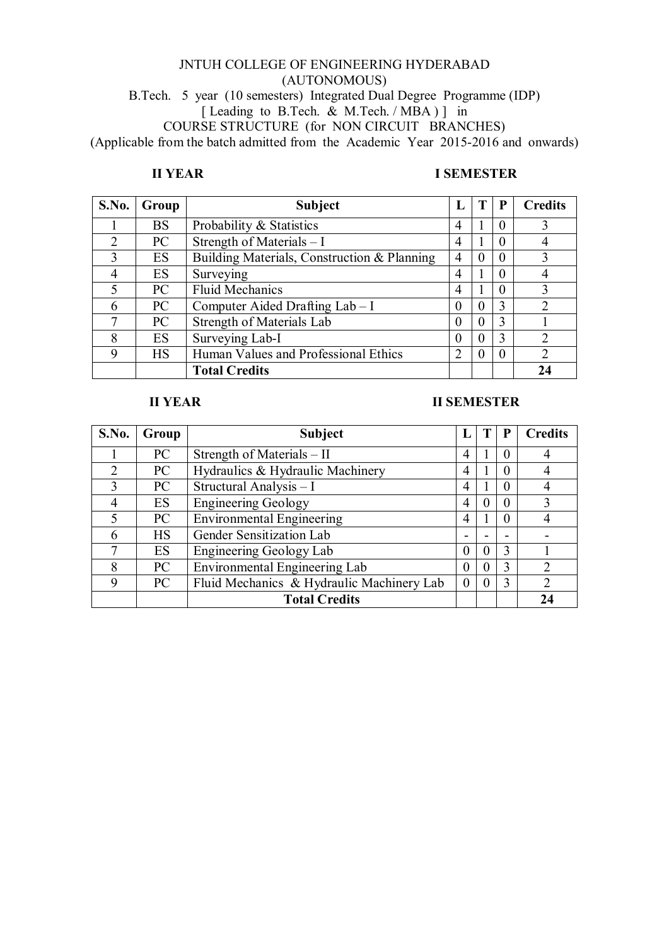# JNTUH COLLEGE OF ENGINEERING HYDERABAD (AUTONOMOUS) B.Tech. 5 year (10 semesters) Integrated Dual Degree Programme (IDP) [ Leading to B.Tech. & M.Tech. / MBA ) ] in COURSE STRUCTURE (for NON CIRCUIT BRANCHES) (Applicable from the batch admitted from the Academic Year 2015-2016 and onwards)

# **II YEAR I SEMESTER**

| S.No.          | Group     | <b>Subject</b>                              | L              | T        | P | <b>Credits</b>              |
|----------------|-----------|---------------------------------------------|----------------|----------|---|-----------------------------|
|                | <b>BS</b> | Probability & Statistics                    | 4              |          |   | 3                           |
| $\overline{2}$ | PC        | Strength of Materials - I                   | 4              |          |   | 4                           |
| 3              | ES        | Building Materials, Construction & Planning | $\overline{4}$ | 0        | 0 | 3                           |
| 4              | ES        | Surveying                                   | 4              |          |   | 4                           |
| 5              | PC        | <b>Fluid Mechanics</b>                      | 4              |          |   | 3                           |
| 6              | PC        | Computer Aided Drafting Lab - I             | $\theta$       | 0        | 3 | $\mathcal{D}$               |
|                | PC        | Strength of Materials Lab                   | $\Omega$       | $\Omega$ | 3 |                             |
| 8              | <b>ES</b> | Surveying Lab-I                             |                | 0        | 3 | $\overline{2}$              |
| 9              | HS        | Human Values and Professional Ethics        | $\mathcal{D}$  | $\Omega$ |   | $\mathcal{D}_{\mathcal{A}}$ |
|                |           | <b>Total Credits</b>                        |                |          |   | 24                          |

# **II YEAR II SEMESTER**

| S.No.         | Group     | Subject                                   | L |          | P        | <b>Credits</b> |
|---------------|-----------|-------------------------------------------|---|----------|----------|----------------|
|               | PC        | Strength of Materials - II                | 4 |          | $\Omega$ | 4              |
| $\mathcal{D}$ | PC        | Hydraulics & Hydraulic Machinery          | 4 |          | $\Omega$ |                |
| 3             | PC        | Structural Analysis - I                   | 4 |          | $\Omega$ | 4              |
| 4             | <b>ES</b> | <b>Engineering Geology</b>                | 4 | $\theta$ | $\Omega$ | 3              |
| 5             | PC        | <b>Environmental Engineering</b>          | 4 |          | $\Omega$ | 4              |
| 6             | <b>HS</b> | Gender Sensitization Lab                  | - |          |          |                |
| 7             | <b>ES</b> | <b>Engineering Geology Lab</b>            | 0 | 0        | 3        |                |
| 8             | PC        | Environmental Engineering Lab             | 0 | $\theta$ | 3        | 2              |
| 9             | <b>PC</b> | Fluid Mechanics & Hydraulic Machinery Lab | 0 |          | 3        | $\mathfrak{D}$ |
|               |           | <b>Total Credits</b>                      |   |          |          | 24             |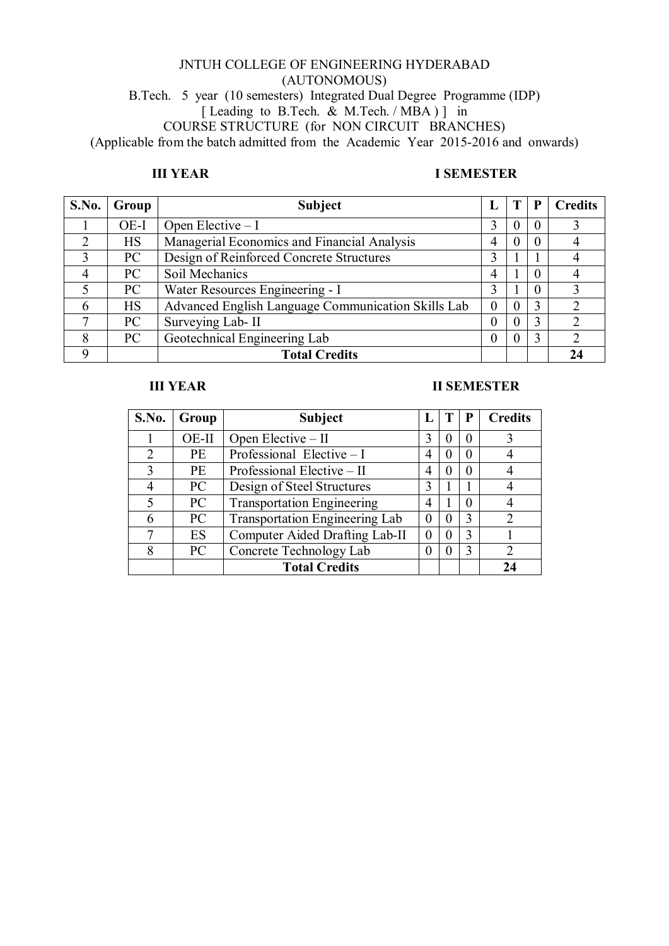# JNTUH COLLEGE OF ENGINEERING HYDERABAD (AUTONOMOUS) B.Tech. 5 year (10 semesters) Integrated Dual Degree Programme (IDP) [ Leading to B.Tech. & M.Tech. / MBA ) ] in COURSE STRUCTURE (for NON CIRCUIT BRANCHES) (Applicable from the batch admitted from the Academic Year 2015-2016 and onwards)

# **III YEAR I SEMESTER**

| S.No. | Group     | <b>Subject</b>                                     | L | T        |          | <b>Credits</b> |
|-------|-----------|----------------------------------------------------|---|----------|----------|----------------|
|       | OE-I      | Open Elective $-I$                                 | 3 | $\theta$ |          |                |
|       | <b>HS</b> | Managerial Economics and Financial Analysis        | 4 | $\Omega$ |          |                |
| 3     | PC        | Design of Reinforced Concrete Structures           |   |          |          |                |
| 4     | PC        | Soil Mechanics                                     | 4 |          | $\Omega$ |                |
|       | PC        | Water Resources Engineering - I                    |   |          | $\theta$ |                |
| 6     | <b>HS</b> | Advanced English Language Communication Skills Lab |   | $\Omega$ | 3        |                |
|       | PC        | Surveying Lab- II                                  |   | $\theta$ | 3        |                |
| 8     | PC        | Geotechnical Engineering Lab                       |   |          |          |                |
| Q     |           | <b>Total Credits</b>                               |   |          |          | 24             |

# **III YEAR II SEMESTER**

| S.No.         | Group     | <b>Subject</b>                        |          |                   | $\mathbf{P}$ | <b>Credits</b> |
|---------------|-----------|---------------------------------------|----------|-------------------|--------------|----------------|
|               | $OE-II$   | Open Elective $-$ II                  | 3        | 0                 |              |                |
| $\mathcal{D}$ | PE        | Professional Elective - I             | 4        | 0                 | $\Omega$     |                |
|               | PE        | Professional Elective - II            | 4        | $\mathbf{\Omega}$ | $\theta$     |                |
|               | PC        | Design of Steel Structures            | 3        |                   |              |                |
|               | PC        | <b>Transportation Engineering</b>     | 4        |                   | 0            |                |
| 6             | PC        | <b>Transportation Engineering Lab</b> | $\theta$ | 0                 | 3            |                |
|               | <b>ES</b> | <b>Computer Aided Drafting Lab-II</b> | $\Omega$ | $\Omega$          | 3            |                |
| 8             | PC        | Concrete Technology Lab               | 0        | 0                 | 3            |                |
|               |           | <b>Total Credits</b>                  |          |                   |              |                |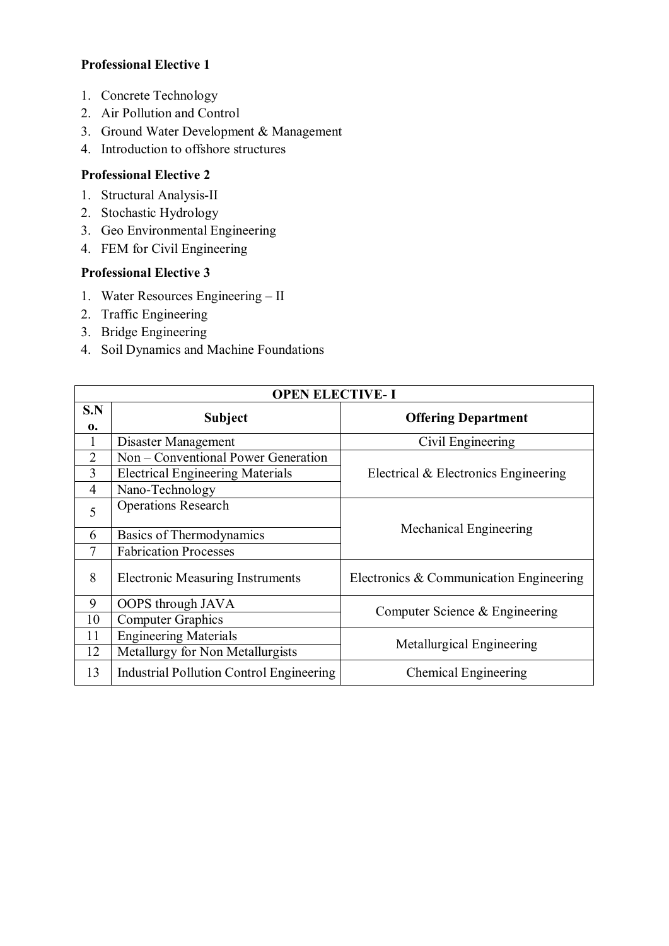# **Professional Elective 1**

- 1. Concrete Technology
- 2. Air Pollution and Control
- 3. Ground Water Development & Management
- 4. Introduction to offshore structures

# **Professional Elective 2**

- 1. Structural Analysis-II
- 2. Stochastic Hydrology
- 3. Geo Environmental Engineering
- 4. FEM for Civil Engineering

# **Professional Elective 3**

- 1. Water Resources Engineering II
- 2. Traffic Engineering
- 3. Bridge Engineering
- 4. Soil Dynamics and Machine Foundations

|                | <b>OPEN ELECTIVE-I</b>                          |                                         |  |  |  |  |  |  |
|----------------|-------------------------------------------------|-----------------------------------------|--|--|--|--|--|--|
| S.N<br>0.      | <b>Subject</b>                                  | <b>Offering Department</b>              |  |  |  |  |  |  |
| 1              | Disaster Management                             | Civil Engineering                       |  |  |  |  |  |  |
| 2              | Non – Conventional Power Generation             |                                         |  |  |  |  |  |  |
| 3              | <b>Electrical Engineering Materials</b>         | Electrical & Electronics Engineering    |  |  |  |  |  |  |
| $\overline{4}$ | Nano-Technology                                 |                                         |  |  |  |  |  |  |
| 5              | <b>Operations Research</b>                      |                                         |  |  |  |  |  |  |
| 6              | Basics of Thermodynamics                        | Mechanical Engineering                  |  |  |  |  |  |  |
|                | <b>Fabrication Processes</b>                    |                                         |  |  |  |  |  |  |
| 8              | <b>Electronic Measuring Instruments</b>         | Electronics & Communication Engineering |  |  |  |  |  |  |
| 9              | OOPS through JAVA                               | Computer Science & Engineering          |  |  |  |  |  |  |
| 10             | <b>Computer Graphics</b>                        |                                         |  |  |  |  |  |  |
| 11             | <b>Engineering Materials</b>                    |                                         |  |  |  |  |  |  |
| 12             | Metallurgy for Non Metallurgists                | Metallurgical Engineering               |  |  |  |  |  |  |
| 13             | <b>Industrial Pollution Control Engineering</b> | <b>Chemical Engineering</b>             |  |  |  |  |  |  |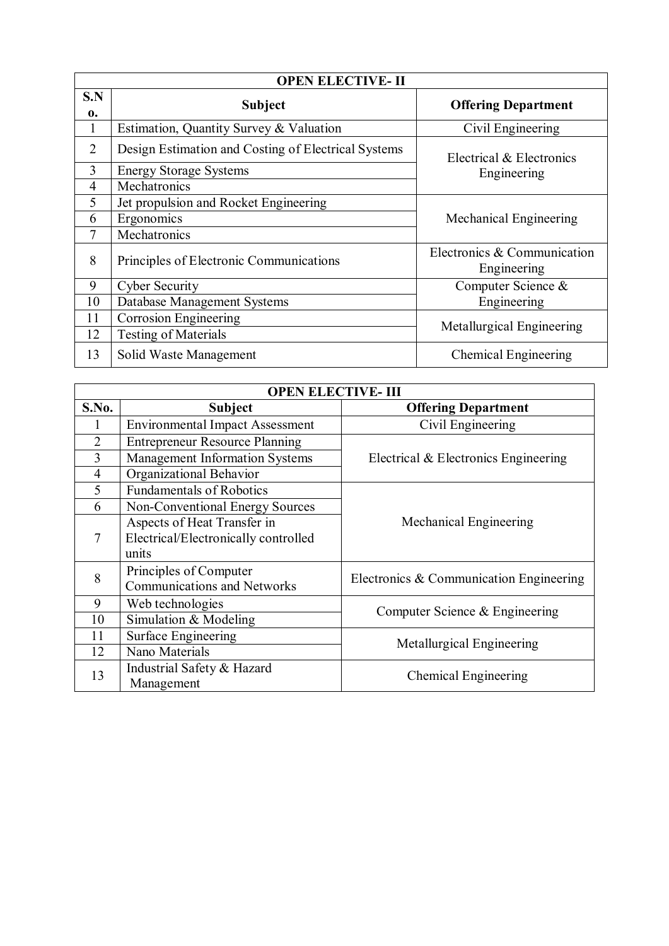|                | <b>OPEN ELECTIVE- II</b>                            |                                            |  |  |  |  |  |  |
|----------------|-----------------------------------------------------|--------------------------------------------|--|--|--|--|--|--|
| S.N<br>0.      | <b>Subject</b>                                      | <b>Offering Department</b>                 |  |  |  |  |  |  |
| 1              | Estimation, Quantity Survey & Valuation             | Civil Engineering                          |  |  |  |  |  |  |
| 2              | Design Estimation and Costing of Electrical Systems | Electrical & Electronics                   |  |  |  |  |  |  |
| 3              | <b>Energy Storage Systems</b>                       | Engineering                                |  |  |  |  |  |  |
| $\overline{4}$ | Mechatronics                                        |                                            |  |  |  |  |  |  |
| 5              | Jet propulsion and Rocket Engineering               |                                            |  |  |  |  |  |  |
| 6              | Ergonomics                                          | Mechanical Engineering                     |  |  |  |  |  |  |
| 7              | Mechatronics                                        |                                            |  |  |  |  |  |  |
| 8              | Principles of Electronic Communications             | Electronics & Communication<br>Engineering |  |  |  |  |  |  |
| 9              | <b>Cyber Security</b>                               | Computer Science &                         |  |  |  |  |  |  |
| 10             | Database Management Systems                         | Engineering                                |  |  |  |  |  |  |
| 11             | <b>Corrosion Engineering</b>                        |                                            |  |  |  |  |  |  |
| 12             | <b>Testing of Materials</b>                         | Metallurgical Engineering                  |  |  |  |  |  |  |
| 13             | Solid Waste Management                              | <b>Chemical Engineering</b>                |  |  |  |  |  |  |

|                | <b>OPEN ELECTIVE- III</b>                                                    |                                         |  |  |  |  |  |  |
|----------------|------------------------------------------------------------------------------|-----------------------------------------|--|--|--|--|--|--|
| S.No.          | Subject                                                                      | <b>Offering Department</b>              |  |  |  |  |  |  |
| 1              | <b>Environmental Impact Assessment</b>                                       | Civil Engineering                       |  |  |  |  |  |  |
| $\overline{2}$ | <b>Entrepreneur Resource Planning</b>                                        |                                         |  |  |  |  |  |  |
| 3              | <b>Management Information Systems</b>                                        | Electrical & Electronics Engineering    |  |  |  |  |  |  |
| $\overline{4}$ | Organizational Behavior                                                      |                                         |  |  |  |  |  |  |
| 5              | <b>Fundamentals of Robotics</b>                                              |                                         |  |  |  |  |  |  |
| 6              | <b>Non-Conventional Energy Sources</b>                                       |                                         |  |  |  |  |  |  |
| 7              | Aspects of Heat Transfer in<br>Electrical/Electronically controlled<br>units | Mechanical Engineering                  |  |  |  |  |  |  |
| 8              | Principles of Computer<br><b>Communications and Networks</b>                 | Electronics & Communication Engineering |  |  |  |  |  |  |
| 9              | Web technologies                                                             | Computer Science & Engineering          |  |  |  |  |  |  |
| 10             | Simulation & Modeling                                                        |                                         |  |  |  |  |  |  |
| 11             | Surface Engineering                                                          | Metallurgical Engineering               |  |  |  |  |  |  |
| 12             | Nano Materials                                                               |                                         |  |  |  |  |  |  |
| 13             | Industrial Safety & Hazard<br>Management                                     | <b>Chemical Engineering</b>             |  |  |  |  |  |  |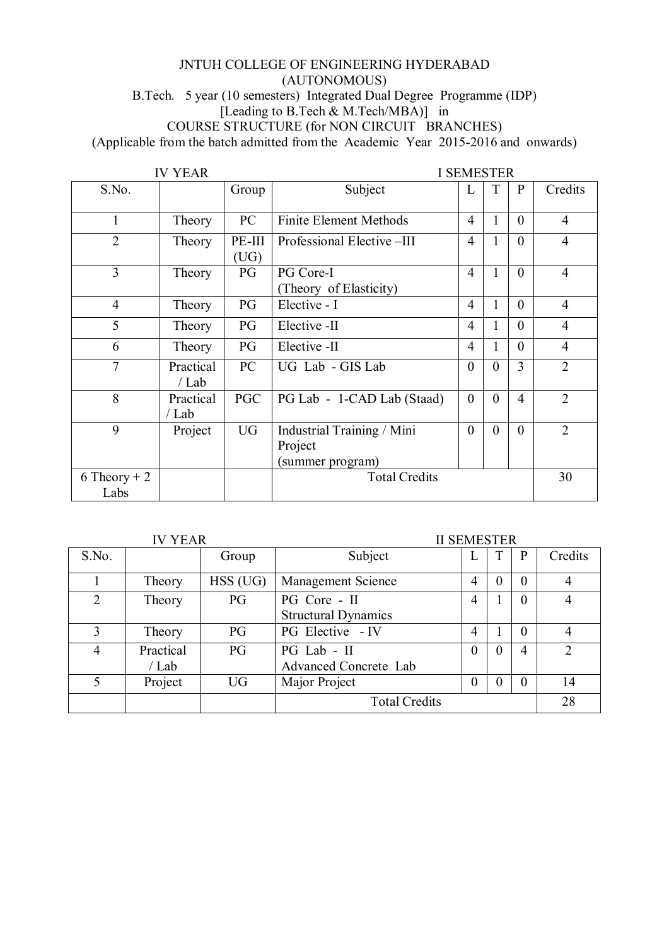# JNTUH COLLEGE OF ENGINEERING HYDERABAD (AUTONOMOUS) B.Tech. 5 year (10 semesters) Integrated Dual Degree Programme (IDP) [Leading to B.Tech  $\&$  M.Tech/MBA)] in COURSE STRUCTURE (for NON CIRCUIT) BRANCHES) (Applicable from the batch admitted from the Academic Year 2015-2016 and onwards)

| <b>IV YEAR</b><br><b>I SEMESTER</b> |                    |                |                                                           |                |                |                |                |
|-------------------------------------|--------------------|----------------|-----------------------------------------------------------|----------------|----------------|----------------|----------------|
| S.No.                               |                    | Group          | Subject                                                   | L              | T              | P              | Credits        |
| $\mathbf{1}$                        | Theory             | PC             | <b>Finite Element Methods</b>                             | 4              | $\mathbf{1}$   | $\theta$       | $\overline{4}$ |
| $\overline{2}$                      | Theory             | PE-III<br>(UG) | Professional Elective -III                                | 4              | 1              | $\theta$       | $\overline{4}$ |
| 3                                   | Theory             | PG             | PG Core-I<br>(Theory of Elasticity)                       | $\overline{4}$ | 1              | $\theta$       | $\overline{4}$ |
| $\overline{4}$                      | Theory             | PG             | Elective - I                                              | $\overline{4}$ | $\mathbf{1}$   | $\theta$       | $\overline{4}$ |
| 5                                   | Theory             | PG             | Elective -II                                              | $\overline{4}$ | $\mathbf{1}$   | $\theta$       | $\overline{4}$ |
| 6                                   | Theory             | PG             | Elective -II                                              | $\overline{4}$ | $\mathbf{1}$   | $\theta$       | $\overline{4}$ |
| 7                                   | Practical<br>/ Lab | PC             | UG Lab - GIS Lab                                          | $\theta$       | $\theta$       | 3              | $\overline{2}$ |
| 8                                   | Practical<br>/Lab  | PGC            | PG Lab - 1-CAD Lab (Staad)                                | $\theta$       | $\overline{0}$ | $\overline{4}$ | $\overline{2}$ |
| 9                                   | Project            | <b>UG</b>      | Industrial Training / Mini<br>Project<br>(summer program) | $\theta$       | $\overline{0}$ | $\theta$       | $\overline{2}$ |
| 6 Theory + 2<br>Labs                |                    |                | <b>Total Credits</b>                                      |                |                |                | 30             |

# IV YEAR II SEMESTER

| IV I LAIV<br>II OLINILO I LIV |           |           |                            |   |          |                |               |
|-------------------------------|-----------|-----------|----------------------------|---|----------|----------------|---------------|
| S.No.                         |           | Group     | Subject                    |   |          | P              | Credits       |
|                               | Theory    | HSS (UG)  | Management Science         | 4 | $\theta$ | $\theta$       |               |
| 2                             | Theory    | PG        | PG Core - II               | 4 |          | $\overline{0}$ |               |
|                               |           |           | <b>Structural Dynamics</b> |   |          |                |               |
| 3                             | Theory    | PG        | PG Elective - IV           | 4 |          | $\Omega$       |               |
|                               | Practical | PG        | PG Lab - II                | 0 | $\theta$ | 4              | $\mathcal{D}$ |
|                               | / Lab     |           | Advanced Concrete Lab      |   |          |                |               |
|                               | Project   | <b>UG</b> | Major Project              | 0 | $\theta$ | $\theta$       | 14            |
|                               |           |           | <b>Total Credits</b>       |   |          | 28             |               |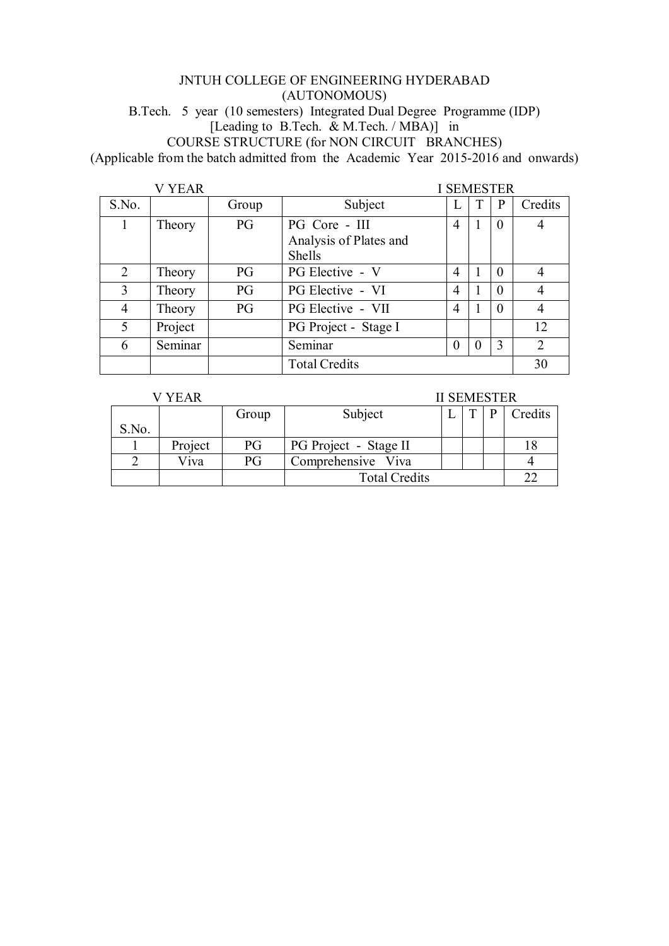# JNTUH COLLEGE OF ENGINEERING HYDERABAD (AUTONOMOUS) B.Tech. 5 year (10 semesters) Integrated Dual Degree Programme (IDP) [Leading to B.Tech. & M.Tech. / MBA)] in COURSE STRUCTURE (for NON CIRCUIT BRANCHES) (Applicable from the batch admitted from the Academic Year 2015-2016 and onwards)

V YEAR I SEMESTER S.No. | Group | Subject | L | T | P | Credits 1 Theory PG PG Core - III Analysis of Plates and Shells  $4 | 1 | 0 | 4$ 2 Theory PG PG Elective - V 4 1 0 4 3 Theory PG PG Elective - VI 4 1 0 4 4 Theory PG PG Elective - VII  $\vert 4 \vert 1 \vert 0 \vert 4$ 5 Project | PG Project - Stage I | | | 12 6 Seminar Seminar 0 0 3 2 Total Credits 30

V YEAR II SEMESTER S.No. Group Subject  $|L|T|P|$  Credits 1 Project PG PG Project - Stage II 18<br>2 Viva PG Comprehensive Viva 14 Viva PG Comprehensive Viva 1 4<br>Total Credits 22 Total Credits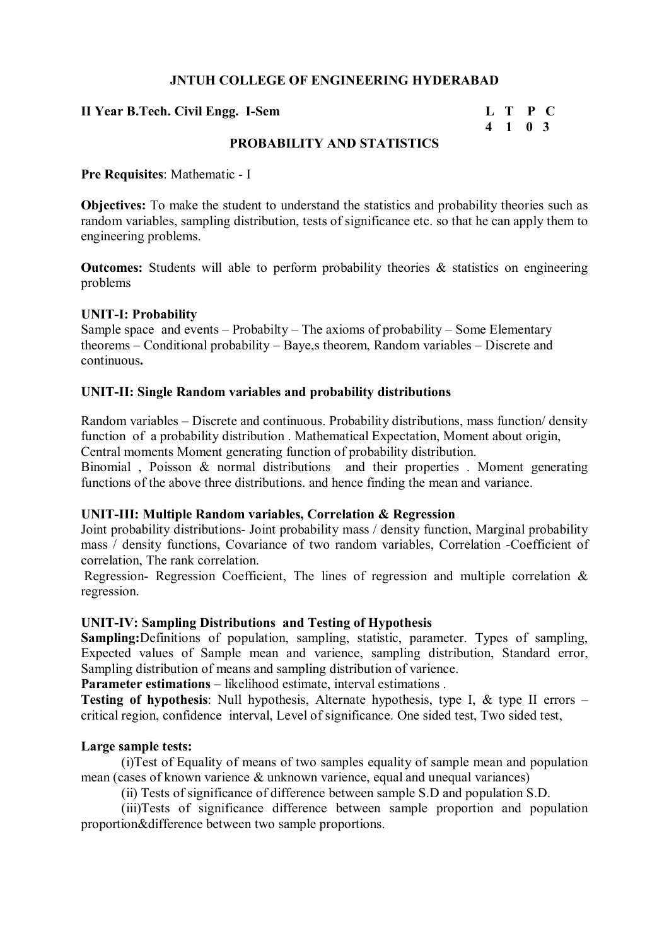# **II Year B.Tech. Civil Engg. I-Sem** <br> **I I T P C** <br> **4 1 0 3**

# **4 1 0 3**

# **PROBABILITY AND STATISTICS**

**Pre Requisites**: Mathematic - I

**Objectives:** To make the student to understand the statistics and probability theories such as random variables, sampling distribution, tests of significance etc. so that he can apply them to engineering problems.

**Outcomes:** Students will able to perform probability theories & statistics on engineering problems

#### **UNIT-I: Probability**

Sample space and events – Probabilty – The axioms of probability – Some Elementary theorems – Conditional probability – Baye,s theorem, Random variables – Discrete and continuous**.** 

#### **UNIT-II: Single Random variables and probability distributions**

Random variables – Discrete and continuous. Probability distributions, mass function/ density function of a probability distribution . Mathematical Expectation, Moment about origin, Central moments Moment generating function of probability distribution.

Binomial , Poisson & normal distributions and their properties . Moment generating functions of the above three distributions. and hence finding the mean and variance.

# **UNIT-III: Multiple Random variables, Correlation & Regression**

Joint probability distributions- Joint probability mass / density function, Marginal probability mass / density functions, Covariance of two random variables, Correlation -Coefficient of correlation, The rank correlation.

 Regression- Regression Coefficient, The lines of regression and multiple correlation & regression.

# **UNIT-IV: Sampling Distributions and Testing of Hypothesis**

**Sampling:**Definitions of population, sampling, statistic, parameter. Types of sampling, Expected values of Sample mean and varience, sampling distribution, Standard error, Sampling distribution of means and sampling distribution of varience.

**Parameter estimations** – likelihood estimate, interval estimations.

**Testing of hypothesis**: Null hypothesis, Alternate hypothesis, type I, & type II errors – critical region, confidence interval, Level of significance. One sided test, Two sided test,

#### **Large sample tests:**

(i)Test of Equality of means of two samples equality of sample mean and population mean (cases of known varience & unknown varience, equal and unequal variances)

(ii) Tests of significance of difference between sample S.D and population S.D.

(iii)Tests of significance difference between sample proportion and population proportion&difference between two sample proportions.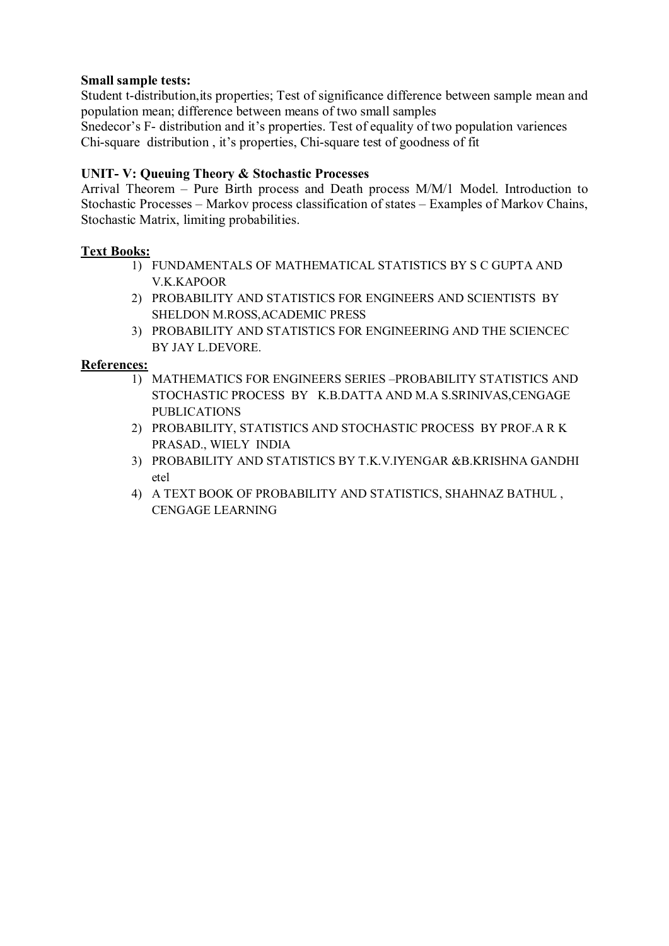# **Small sample tests:**

Student t-distribution,its properties; Test of significance difference between sample mean and population mean; difference between means of two small samples

Snedecor's F- distribution and it's properties. Test of equality of two population variences Chi-square distribution , it's properties, Chi-square test of goodness of fit

# **UNIT- V: Queuing Theory & Stochastic Processes**

Arrival Theorem – Pure Birth process and Death process M/M/1 Model. Introduction to Stochastic Processes – Markov process classification of states – Examples of Markov Chains, Stochastic Matrix, limiting probabilities.

# **Text Books:**

- 1) FUNDAMENTALS OF MATHEMATICAL STATISTICS BY S C GUPTA AND V.K.KAPOOR
- 2) PROBABILITY AND STATISTICS FOR ENGINEERS AND SCIENTISTS BY SHELDON M.ROSS,ACADEMIC PRESS
- 3) PROBABILITY AND STATISTICS FOR ENGINEERING AND THE SCIENCEC BY JAY L.DEVORE.

# **References:**

- 1) MATHEMATICS FOR ENGINEERS SERIES –PROBABILITY STATISTICS AND STOCHASTIC PROCESS BY K.B.DATTA AND M.A S.SRINIVAS,CENGAGE PUBLICATIONS
- 2) PROBABILITY, STATISTICS AND STOCHASTIC PROCESS BY PROF.A R K PRASAD., WIELY INDIA
- 3) PROBABILITY AND STATISTICS BY T.K.V.IYENGAR &B.KRISHNA GANDHI etel
- 4) A TEXT BOOK OF PROBABILITY AND STATISTICS, SHAHNAZ BATHUL , CENGAGE LEARNING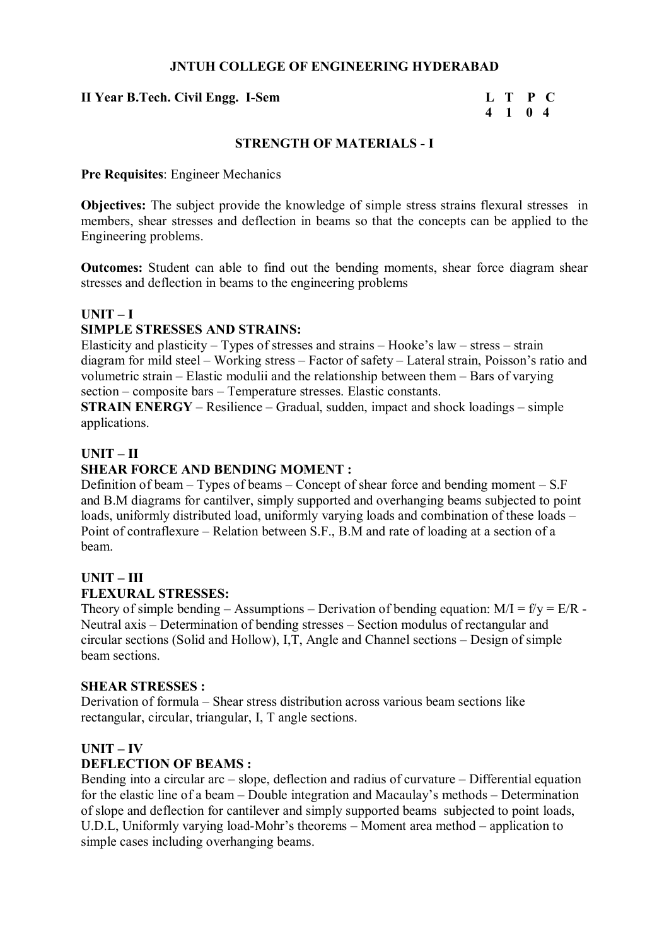# **II Year B.Tech. Civil Engg. I-Sem**  L T P C

# **4 1 0 4**

# **STRENGTH OF MATERIALS - I**

#### **Pre Requisites**: Engineer Mechanics

**Objectives:** The subject provide the knowledge of simple stress strains flexural stresses in members, shear stresses and deflection in beams so that the concepts can be applied to the Engineering problems.

**Outcomes:** Student can able to find out the bending moments, shear force diagram shear stresses and deflection in beams to the engineering problems

# **UNIT – I**

# **SIMPLE STRESSES AND STRAINS:**

Elasticity and plasticity – Types of stresses and strains – Hooke's law – stress – strain diagram for mild steel – Working stress – Factor of safety – Lateral strain, Poisson's ratio and volumetric strain – Elastic modulii and the relationship between them – Bars of varying section – composite bars – Temperature stresses. Elastic constants.

**STRAIN ENERGY** – Resilience – Gradual, sudden, impact and shock loadings – simple applications.

#### **UNIT – II**

# **SHEAR FORCE AND BENDING MOMENT :**

Definition of beam – Types of beams – Concept of shear force and bending moment – S.F and B.M diagrams for cantilver, simply supported and overhanging beams subjected to point loads, uniformly distributed load, uniformly varying loads and combination of these loads – Point of contraflexure – Relation between S.F., B.M and rate of loading at a section of a beam.

# **UNIT – III**

#### **FLEXURAL STRESSES:**

Theory of simple bending – Assumptions – Derivation of bending equation:  $M/I = f/y = E/R$ . Neutral axis – Determination of bending stresses – Section modulus of rectangular and circular sections (Solid and Hollow), I,T, Angle and Channel sections – Design of simple beam sections.

#### **SHEAR STRESSES :**

Derivation of formula – Shear stress distribution across various beam sections like rectangular, circular, triangular, I, T angle sections.

# **UNIT – IV**

# **DEFLECTION OF BEAMS :**

Bending into a circular arc – slope, deflection and radius of curvature – Differential equation for the elastic line of a beam – Double integration and Macaulay's methods – Determination of slope and deflection for cantilever and simply supported beams subjected to point loads, U.D.L, Uniformly varying load-Mohr's theorems – Moment area method – application to simple cases including overhanging beams.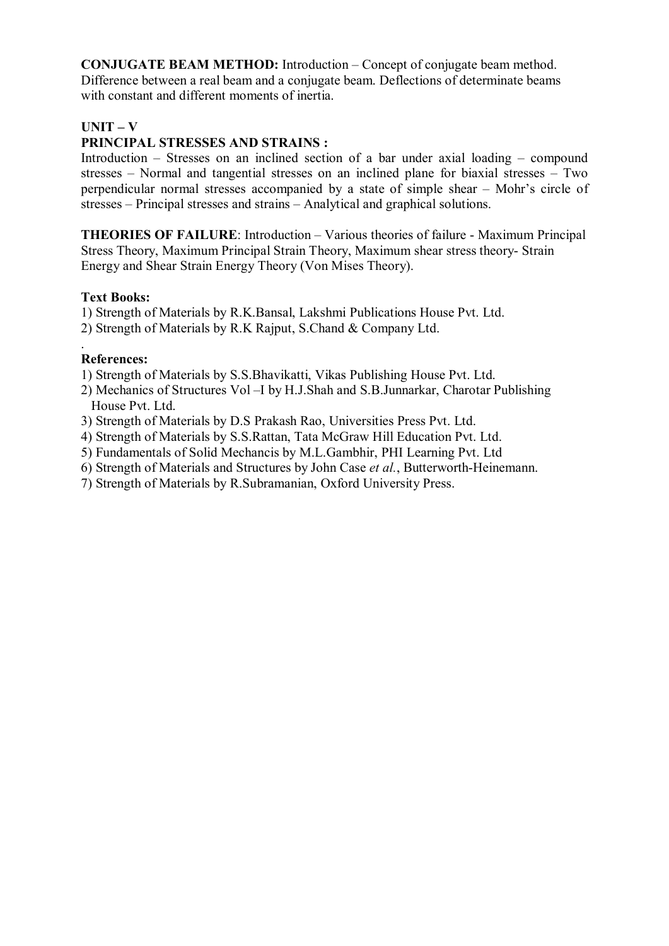**CONJUGATE BEAM METHOD:** Introduction – Concept of conjugate beam method. Difference between a real beam and a conjugate beam. Deflections of determinate beams with constant and different moments of inertia.

# **UNIT – V**

# **PRINCIPAL STRESSES AND STRAINS :**

Introduction – Stresses on an inclined section of a bar under axial loading – compound stresses – Normal and tangential stresses on an inclined plane for biaxial stresses – Two perpendicular normal stresses accompanied by a state of simple shear – Mohr's circle of stresses – Principal stresses and strains – Analytical and graphical solutions.

**THEORIES OF FAILURE**: Introduction – Various theories of failure - Maximum Principal Stress Theory, Maximum Principal Strain Theory, Maximum shear stress theory- Strain Energy and Shear Strain Energy Theory (Von Mises Theory).

# **Text Books:**

1) Strength of Materials by R.K.Bansal, Lakshmi Publications House Pvt. Ltd.

2) Strength of Materials by R.K Rajput, S.Chand & Company Ltd.

# **References:**

.

1) Strength of Materials by S.S.Bhavikatti, Vikas Publishing House Pvt. Ltd.

- 2) Mechanics of Structures Vol –I by H.J.Shah and S.B.Junnarkar, Charotar Publishing House Pvt. Ltd.
- 3) Strength of Materials by D.S Prakash Rao, Universities Press Pvt. Ltd.
- 4) Strength of Materials by S.S.Rattan, Tata McGraw Hill Education Pvt. Ltd.
- 5) Fundamentals of Solid Mechancis by M.L.Gambhir, PHI Learning Pvt. Ltd
- 6) Strength of Materials and Structures by John Case *et al.*, Butterworth-Heinemann.
- 7) Strength of Materials by R.Subramanian, Oxford University Press.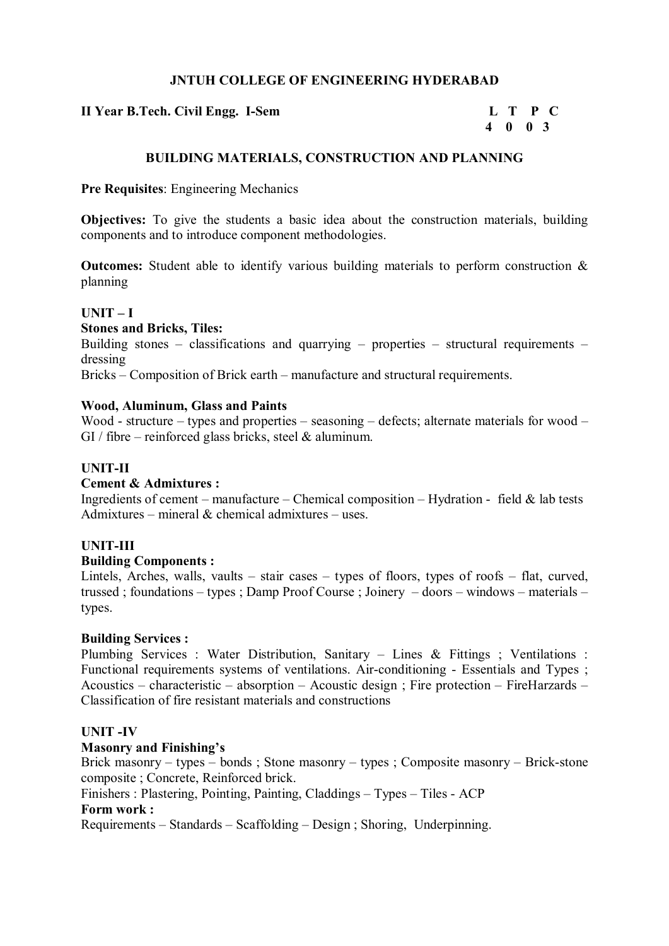# **II Year B.Tech. Civil Engg. I-Sem**  L T P C

# **4 0 0 3**

# **BUILDING MATERIALS, CONSTRUCTION AND PLANNING**

# **Pre Requisites**: Engineering Mechanics

**Objectives:** To give the students a basic idea about the construction materials, building components and to introduce component methodologies.

**Outcomes:** Student able to identify various building materials to perform construction & planning

# **UNIT – I**

#### **Stones and Bricks, Tiles:**

Building stones – classifications and quarrying – properties – structural requirements – dressing

Bricks – Composition of Brick earth – manufacture and structural requirements.

# **Wood, Aluminum, Glass and Paints**

Wood - structure – types and properties – seasoning – defects; alternate materials for wood – GI / fibre – reinforced glass bricks, steel  $\&$  aluminum.

# **UNIT-II**

# **Cement & Admixtures :**

Ingredients of cement – manufacture – Chemical composition – Hydration - field & lab tests Admixtures – mineral  $\&$  chemical admixtures – uses.

# **UNIT-III**

# **Building Components :**

Lintels, Arches, walls, vaults – stair cases – types of floors, types of roofs – flat, curved, trussed ; foundations – types ; Damp Proof Course ; Joinery – doors – windows – materials – types.

# **Building Services :**

Plumbing Services : Water Distribution, Sanitary – Lines & Fittings ; Ventilations : Functional requirements systems of ventilations. Air-conditioning - Essentials and Types ; Acoustics – characteristic – absorption – Acoustic design ; Fire protection – FireHarzards – Classification of fire resistant materials and constructions

# **UNIT -IV**

# **Masonry and Finishing's**

Brick masonry – types – bonds ; Stone masonry – types ; Composite masonry – Brick-stone composite ; Concrete, Reinforced brick.

Finishers : Plastering, Pointing, Painting, Claddings – Types – Tiles - ACP

# **Form work :**

Requirements – Standards – Scaffolding – Design ; Shoring, Underpinning.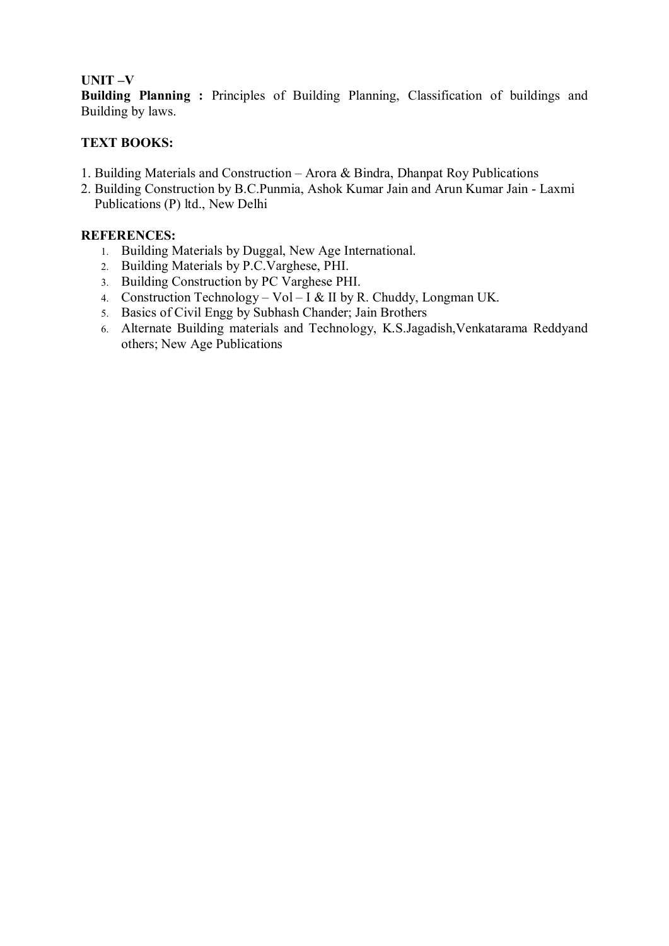# **UNIT –V**

**Building Planning :** Principles of Building Planning, Classification of buildings and Building by laws.

# **TEXT BOOKS:**

- 1. Building Materials and Construction Arora & Bindra, Dhanpat Roy Publications
- 2. Building Construction by B.C.Punmia, Ashok Kumar Jain and Arun Kumar Jain Laxmi Publications (P) ltd., New Delhi

# **REFERENCES:**

- 1. Building Materials by Duggal, New Age International.
- 2. Building Materials by P.C.Varghese, PHI.
- 3. Building Construction by PC Varghese PHI.
- 4. Construction Technology Vol I & II by R. Chuddy, Longman UK.
- 5. Basics of Civil Engg by Subhash Chander; Jain Brothers
- 6. Alternate Building materials and Technology, K.S.Jagadish,Venkatarama Reddyand others; New Age Publications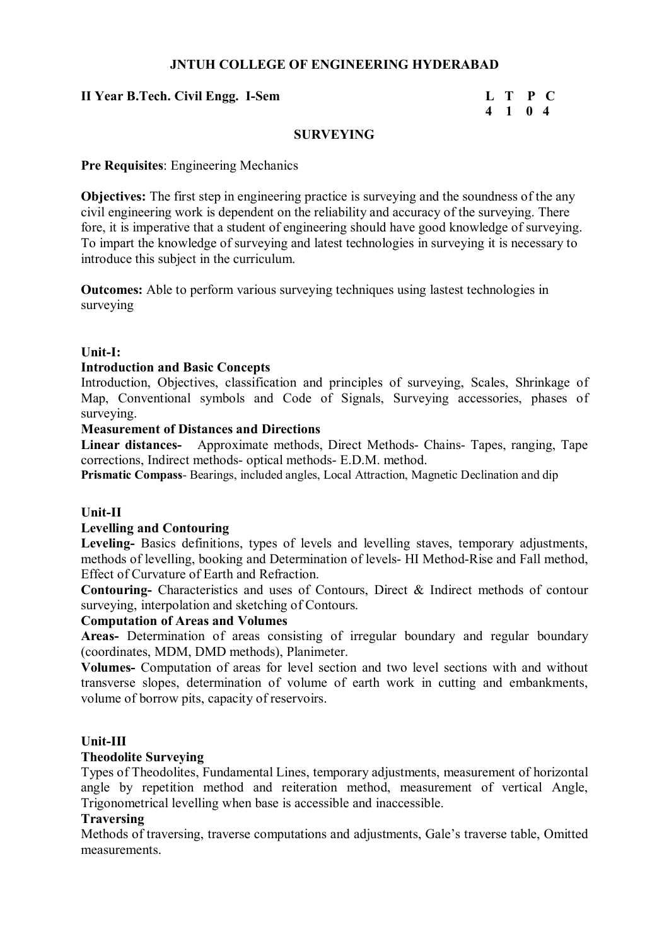# **II Year B.Tech. Civil Engg. I-Sem**  L T P C

# **4 1 0 4**

# **SURVEYING**

# **Pre Requisites**: Engineering Mechanics

**Objectives:** The first step in engineering practice is surveying and the soundness of the any civil engineering work is dependent on the reliability and accuracy of the surveying. There fore, it is imperative that a student of engineering should have good knowledge of surveying. To impart the knowledge of surveying and latest technologies in surveying it is necessary to introduce this subject in the curriculum.

**Outcomes:** Able to perform various surveying techniques using lastest technologies in surveying

# **Unit-I:**

# **Introduction and Basic Concepts**

Introduction, Objectives, classification and principles of surveying, Scales, Shrinkage of Map, Conventional symbols and Code of Signals, Surveying accessories, phases of surveying.

# **Measurement of Distances and Directions**

**Linear distances-** Approximate methods, Direct Methods- Chains- Tapes, ranging, Tape corrections, Indirect methods- optical methods- E.D.M. method.

**Prismatic Compass**- Bearings, included angles, Local Attraction, Magnetic Declination and dip

# **Unit-II**

# **Levelling and Contouring**

**Leveling-** Basics definitions, types of levels and levelling staves, temporary adjustments, methods of levelling, booking and Determination of levels- HI Method-Rise and Fall method, Effect of Curvature of Earth and Refraction.

**Contouring-** Characteristics and uses of Contours, Direct & Indirect methods of contour surveying, interpolation and sketching of Contours.

# **Computation of Areas and Volumes**

**Areas-** Determination of areas consisting of irregular boundary and regular boundary (coordinates, MDM, DMD methods), Planimeter.

**Volumes-** Computation of areas for level section and two level sections with and without transverse slopes, determination of volume of earth work in cutting and embankments, volume of borrow pits, capacity of reservoirs.

#### **Unit-III**

# **Theodolite Surveying**

Types of Theodolites, Fundamental Lines, temporary adjustments, measurement of horizontal angle by repetition method and reiteration method, measurement of vertical Angle, Trigonometrical levelling when base is accessible and inaccessible.

# **Traversing**

Methods of traversing, traverse computations and adjustments, Gale's traverse table, Omitted measurements.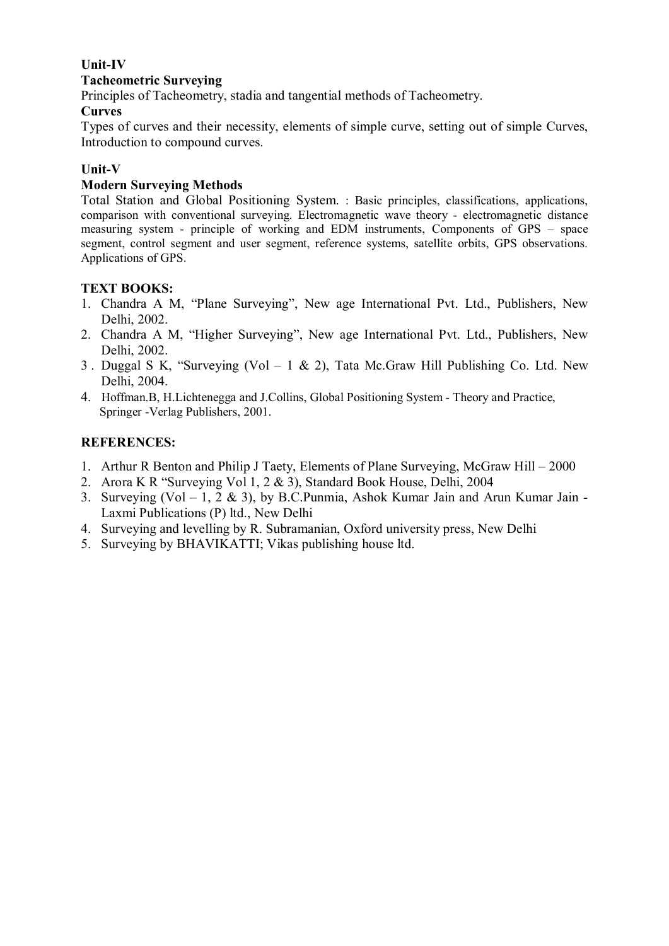# **Unit-IV**

# **Tacheometric Surveying**

Principles of Tacheometry, stadia and tangential methods of Tacheometry.

# **Curves**

Types of curves and their necessity, elements of simple curve, setting out of simple Curves, Introduction to compound curves.

# **Unit-V**

# **Modern Surveying Methods**

Total Station and Global Positioning System. : Basic principles, classifications, applications, comparison with conventional surveying. Electromagnetic wave theory - electromagnetic distance measuring system - principle of working and EDM instruments, Components of GPS – space segment, control segment and user segment, reference systems, satellite orbits, GPS observations. Applications of GPS.

# **TEXT BOOKS:**

- 1. Chandra A M, "Plane Surveying", New age International Pvt. Ltd., Publishers, New Delhi, 2002.
- 2. Chandra A M, "Higher Surveying", New age International Pvt. Ltd., Publishers, New Delhi, 2002.
- 3. Duggal S K, "Surveying (Vol 1 & 2), Tata Mc.Graw Hill Publishing Co. Ltd. New Delhi, 2004.
- 4. Hoffman.B, H.Lichtenegga and J.Collins, Global Positioning System Theory and Practice, Springer -Verlag Publishers, 2001.

# **REFERENCES:**

- 1. Arthur R Benton and Philip J Taety, Elements of Plane Surveying, McGraw Hill 2000
- 2. Arora K R "Surveying Vol 1, 2 & 3), Standard Book House, Delhi, 2004
- 3. Surveying (Vol 1, 2 & 3), by B.C.Punmia, Ashok Kumar Jain and Arun Kumar Jain Laxmi Publications (P) ltd., New Delhi
- 4. Surveying and levelling by R. Subramanian, Oxford university press, New Delhi
- 5. Surveying by BHAVIKATTI; Vikas publishing house ltd.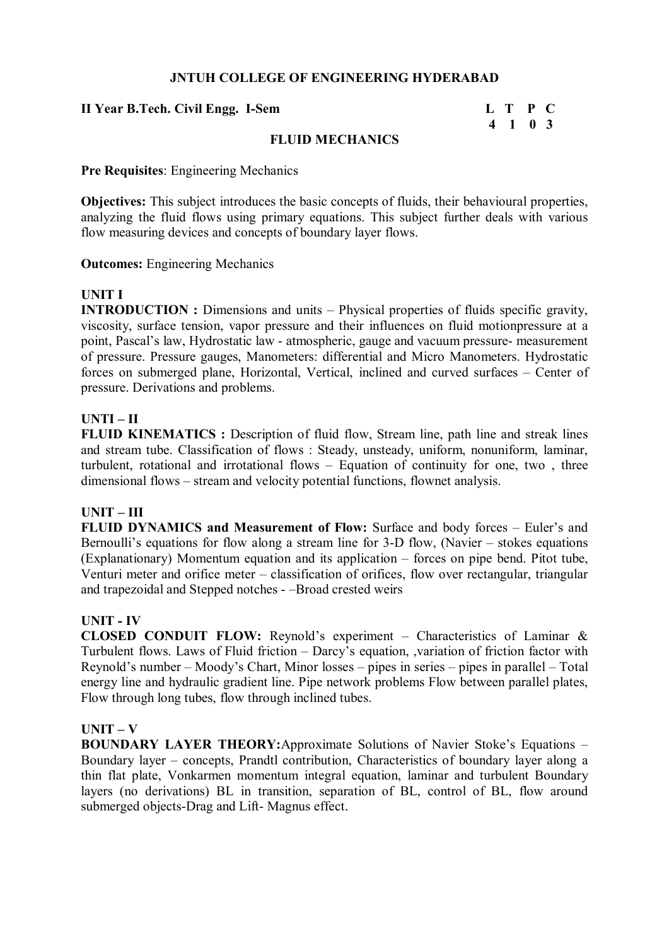# **II Year B.Tech. Civil Engg. I-Sem**  L T P C

# **4 1 0 3**

# **FLUID MECHANICS**

#### **Pre Requisites**: Engineering Mechanics

**Objectives:** This subject introduces the basic concepts of fluids, their behavioural properties, analyzing the fluid flows using primary equations. This subject further deals with various flow measuring devices and concepts of boundary layer flows.

#### **Outcomes:** Engineering Mechanics

# **UNIT I**

**INTRODUCTION :** Dimensions and units – Physical properties of fluids specific gravity, viscosity, surface tension, vapor pressure and their influences on fluid motionpressure at a point, Pascal's law, Hydrostatic law - atmospheric, gauge and vacuum pressure- measurement of pressure. Pressure gauges, Manometers: differential and Micro Manometers. Hydrostatic forces on submerged plane, Horizontal, Vertical, inclined and curved surfaces – Center of pressure. Derivations and problems.

# **UNTI – II**

**FLUID KINEMATICS :** Description of fluid flow, Stream line, path line and streak lines and stream tube. Classification of flows : Steady, unsteady, uniform, nonuniform, laminar, turbulent, rotational and irrotational flows – Equation of continuity for one, two , three dimensional flows – stream and velocity potential functions, flownet analysis.

# **UNIT – III**

**FLUID DYNAMICS and Measurement of Flow:** Surface and body forces – Euler's and Bernoulli's equations for flow along a stream line for 3-D flow, (Navier – stokes equations (Explanationary) Momentum equation and its application – forces on pipe bend. Pitot tube, Venturi meter and orifice meter – classification of orifices, flow over rectangular, triangular and trapezoidal and Stepped notches - –Broad crested weirs

# **UNIT - IV**

**CLOSED CONDUIT FLOW:** Reynold's experiment – Characteristics of Laminar & Turbulent flows. Laws of Fluid friction – Darcy's equation, ,variation of friction factor with Reynold's number – Moody's Chart, Minor losses – pipes in series – pipes in parallel – Total energy line and hydraulic gradient line. Pipe network problems Flow between parallel plates, Flow through long tubes, flow through inclined tubes.

# **UNIT – V**

**BOUNDARY LAYER THEORY:**Approximate Solutions of Navier Stoke's Equations – Boundary layer – concepts, Prandtl contribution, Characteristics of boundary layer along a thin flat plate, Vonkarmen momentum integral equation, laminar and turbulent Boundary layers (no derivations) BL in transition, separation of BL, control of BL, flow around submerged objects-Drag and Lift- Magnus effect.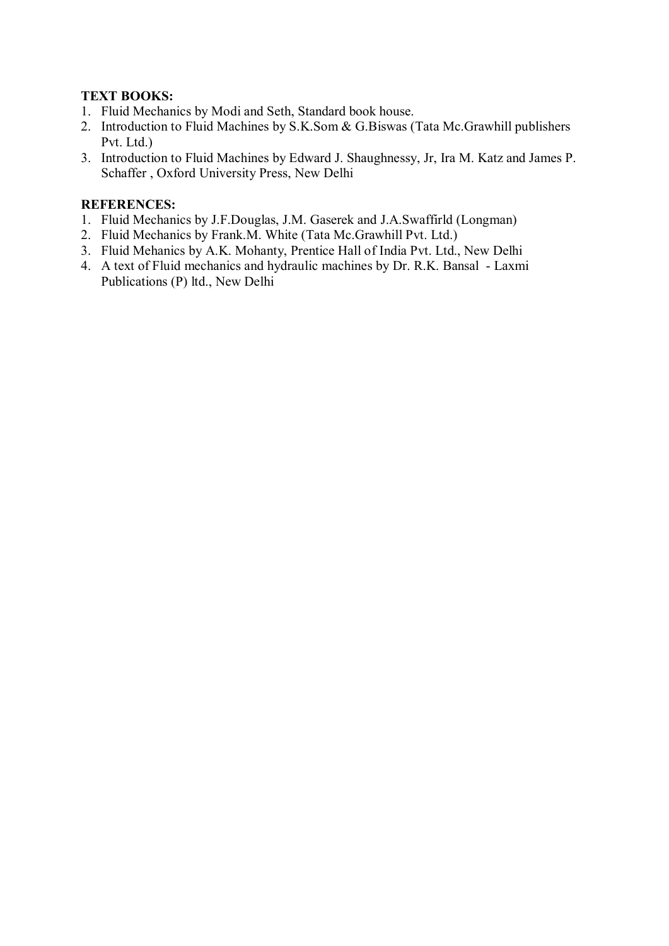# **TEXT BOOKS:**

- 1. Fluid Mechanics by Modi and Seth, Standard book house.
- 2. Introduction to Fluid Machines by S.K.Som & G.Biswas (Tata Mc.Grawhill publishers Pvt. Ltd.)
- 3. Introduction to Fluid Machines by Edward J. Shaughnessy, Jr, Ira M. Katz and James P. Schaffer , Oxford University Press, New Delhi

# **REFERENCES:**

- 1. Fluid Mechanics by J.F.Douglas, J.M. Gaserek and J.A.Swaffirld (Longman)
- 2. Fluid Mechanics by Frank.M. White (Tata Mc.Grawhill Pvt. Ltd.)
- 3. Fluid Mehanics by A.K. Mohanty, Prentice Hall of India Pvt. Ltd., New Delhi
- 4. A text of Fluid mechanics and hydraulic machines by Dr. R.K. Bansal Laxmi Publications (P) ltd., New Delhi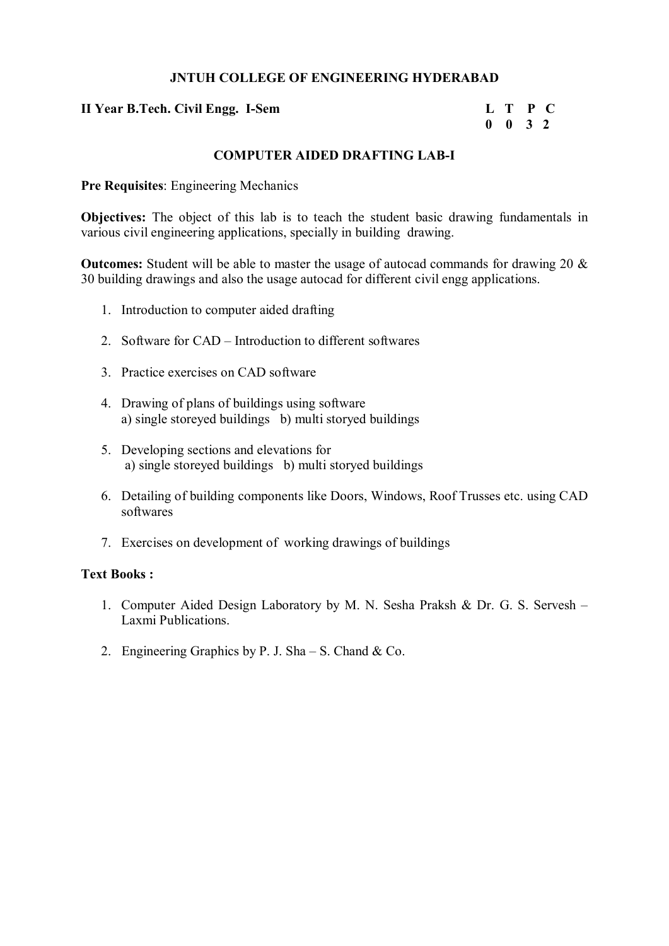# **II Year B.Tech. Civil Engg. I-Sem**  L T P C

# **0 0 3 2**

# **COMPUTER AIDED DRAFTING LAB-I**

**Pre Requisites**: Engineering Mechanics

**Objectives:** The object of this lab is to teach the student basic drawing fundamentals in various civil engineering applications, specially in building drawing.

**Outcomes:** Student will be able to master the usage of autocad commands for drawing 20 & 30 building drawings and also the usage autocad for different civil engg applications.

- 1. Introduction to computer aided drafting
- 2. Software for CAD Introduction to different softwares
- 3. Practice exercises on CAD software
- 4. Drawing of plans of buildings using software a) single storeyed buildings b) multi storyed buildings
- 5. Developing sections and elevations for a) single storeyed buildings b) multi storyed buildings
- 6. Detailing of building components like Doors, Windows, Roof Trusses etc. using CAD softwares
- 7. Exercises on development of working drawings of buildings

# **Text Books :**

- 1. Computer Aided Design Laboratory by M. N. Sesha Praksh & Dr. G. S. Servesh Laxmi Publications.
- 2. Engineering Graphics by P. J. Sha S. Chand & Co.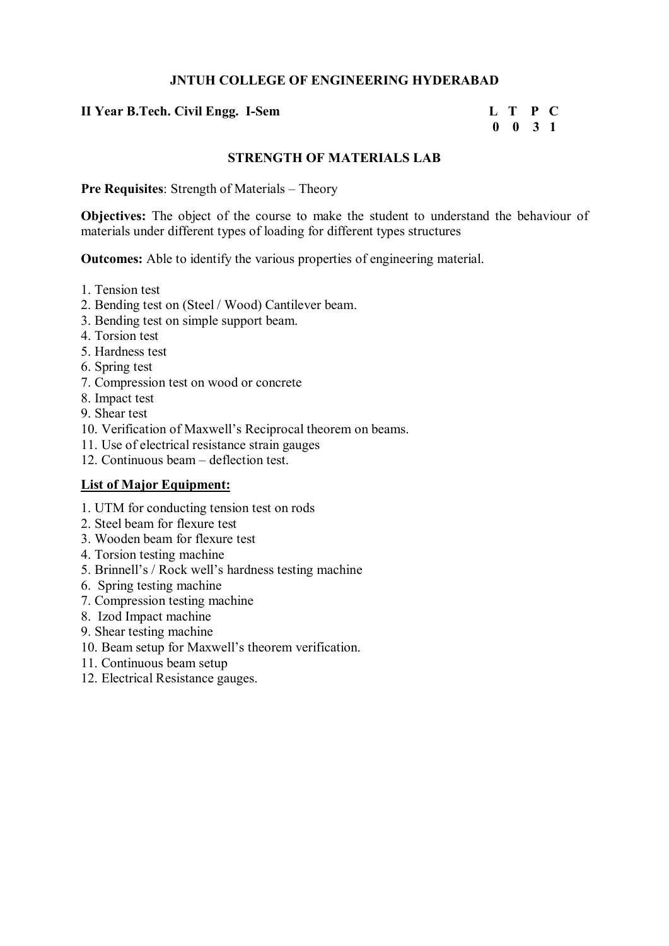# **II Year B.Tech. Civil Engg. I-Sem**  L T P C

# **0 0 3 1**

# **STRENGTH OF MATERIALS LAB**

**Pre Requisites**: Strength of Materials – Theory

**Objectives:** The object of the course to make the student to understand the behaviour of materials under different types of loading for different types structures

**Outcomes:** Able to identify the various properties of engineering material.

- 1. Tension test
- 2. Bending test on (Steel / Wood) Cantilever beam.
- 3. Bending test on simple support beam.
- 4. Torsion test
- 5. Hardness test
- 6. Spring test
- 7. Compression test on wood or concrete
- 8. Impact test
- 9. Shear test
- 10. Verification of Maxwell's Reciprocal theorem on beams.
- 11. Use of electrical resistance strain gauges
- 12. Continuous beam deflection test.

# **List of Major Equipment:**

- 1. UTM for conducting tension test on rods
- 2. Steel beam for flexure test
- 3. Wooden beam for flexure test
- 4. Torsion testing machine
- 5. Brinnell's / Rock well's hardness testing machine
- 6. Spring testing machine
- 7. Compression testing machine
- 8. Izod Impact machine
- 9. Shear testing machine
- 10. Beam setup for Maxwell's theorem verification.
- 11. Continuous beam setup
- 12. Electrical Resistance gauges.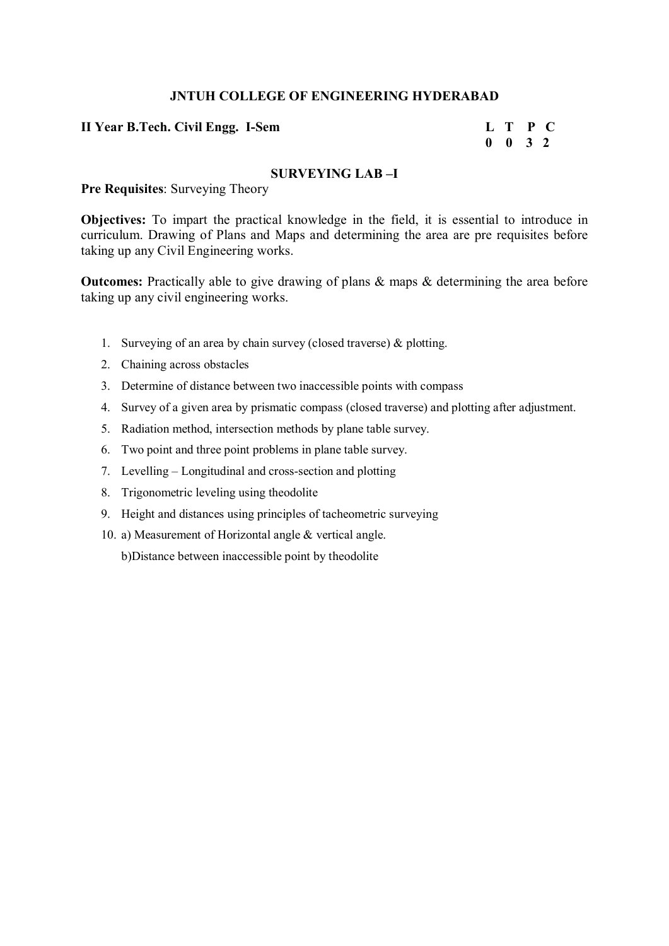# **II Year B.Tech. Civil Engg. I-Sem**  L T P C

# **0 0 3 2**

#### **SURVEYING LAB –I**

**Pre Requisites**: Surveying Theory

**Objectives:** To impart the practical knowledge in the field, it is essential to introduce in curriculum. Drawing of Plans and Maps and determining the area are pre requisites before taking up any Civil Engineering works.

**Outcomes:** Practically able to give drawing of plans & maps & determining the area before taking up any civil engineering works.

- 1. Surveying of an area by chain survey (closed traverse) & plotting.
- 2. Chaining across obstacles
- 3. Determine of distance between two inaccessible points with compass
- 4. Survey of a given area by prismatic compass (closed traverse) and plotting after adjustment.
- 5. Radiation method, intersection methods by plane table survey.
- 6. Two point and three point problems in plane table survey.
- 7. Levelling Longitudinal and cross-section and plotting
- 8. Trigonometric leveling using theodolite
- 9. Height and distances using principles of tacheometric surveying
- 10. a) Measurement of Horizontal angle & vertical angle.

b)Distance between inaccessible point by theodolite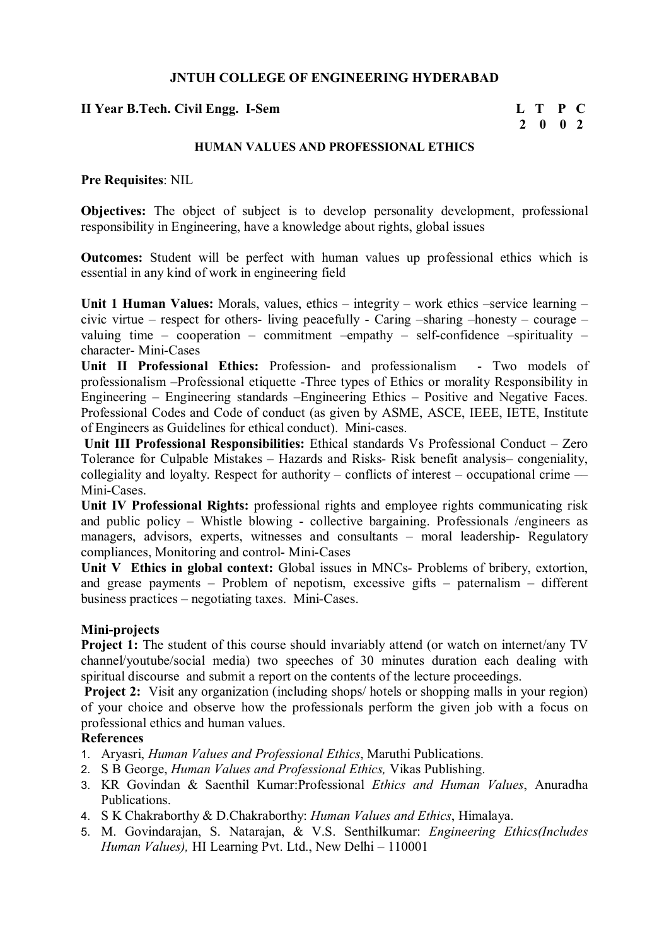# **II Year B.Tech. Civil Engg. I-Sem**   $L T P C$

# **2 0 0 2**

#### **HUMAN VALUES AND PROFESSIONAL ETHICS**

#### **Pre Requisites**: NIL

**Objectives:** The object of subject is to develop personality development, professional responsibility in Engineering, have a knowledge about rights, global issues

**Outcomes:** Student will be perfect with human values up professional ethics which is essential in any kind of work in engineering field

**Unit 1 Human Values:** Morals, values, ethics – integrity – work ethics –service learning – civic virtue – respect for others- living peacefully - Caring –sharing –honesty – courage – valuing time – cooperation – commitment –empathy – self-confidence –spirituality – character- Mini-Cases

Unit II Professional Ethics: Profession- and professionalism - Two models of professionalism –Professional etiquette -Three types of Ethics or morality Responsibility in Engineering – Engineering standards –Engineering Ethics – Positive and Negative Faces. Professional Codes and Code of conduct (as given by ASME, ASCE, IEEE, IETE, Institute of Engineers as Guidelines for ethical conduct). Mini-cases.

**Unit III Professional Responsibilities:** Ethical standards Vs Professional Conduct – Zero Tolerance for Culpable Mistakes – Hazards and Risks- Risk benefit analysis– congeniality, collegiality and loyalty. Respect for authority – conflicts of interest – occupational crime –– Mini-Cases.

**Unit IV Professional Rights:** professional rights and employee rights communicating risk and public policy – Whistle blowing - collective bargaining. Professionals /engineers as managers, advisors, experts, witnesses and consultants – moral leadership- Regulatory compliances, Monitoring and control- Mini-Cases

Unit V Ethics in global context: Global issues in MNCs- Problems of bribery, extortion, and grease payments – Problem of nepotism, excessive gifts – paternalism – different business practices – negotiating taxes. Mini-Cases.

# **Mini-projects**

**Project 1:** The student of this course should invariably attend (or watch on internet/any TV channel/youtube/social media) two speeches of 30 minutes duration each dealing with spiritual discourse and submit a report on the contents of the lecture proceedings.

**Project 2:** Visit any organization (including shops/ hotels or shopping malls in your region) of your choice and observe how the professionals perform the given job with a focus on professional ethics and human values.

#### **References**

- 1. Aryasri, *Human Values and Professional Ethics*, Maruthi Publications.
- 2. S B George, *Human Values and Professional Ethics,* Vikas Publishing.
- 3. KR Govindan & Saenthil Kumar:Professional *Ethics and Human Values*, Anuradha Publications.
- 4. S K Chakraborthy & D.Chakraborthy: *Human Values and Ethics*, Himalaya.
- 5. M. Govindarajan, S. Natarajan, & V.S. Senthilkumar: *Engineering Ethics(Includes Human Values),* HI Learning Pvt. Ltd., New Delhi – 110001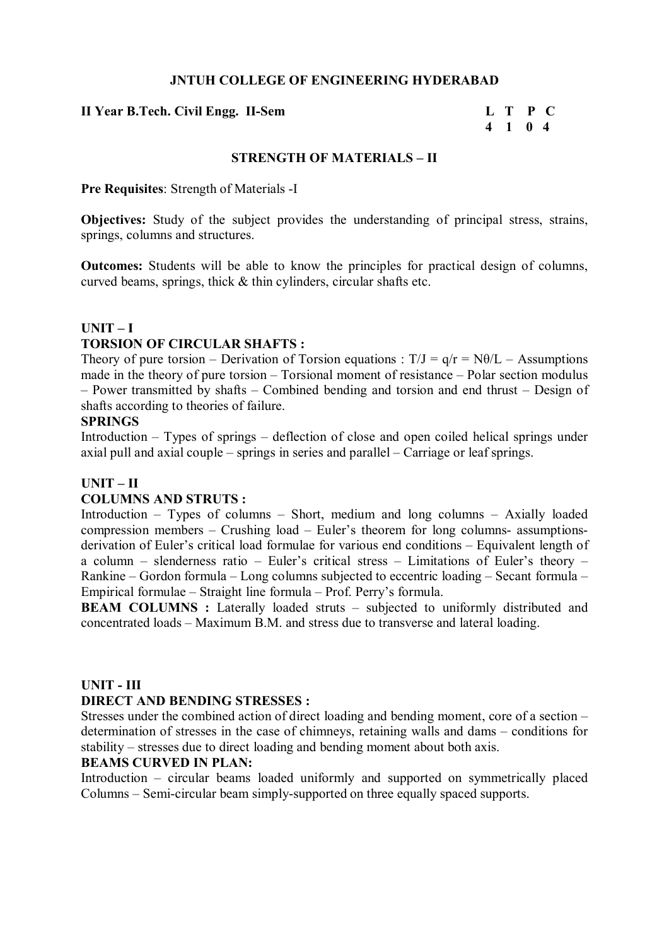# **II Year B.Tech. Civil Engg. II-Sem** <br> **L T P C** <br> **4 1 0 4**

 **4 1 0 4** 

#### **STRENGTH OF MATERIALS – II**

**Pre Requisites**: Strength of Materials -I

**Objectives:** Study of the subject provides the understanding of principal stress, strains, springs, columns and structures.

**Outcomes:** Students will be able to know the principles for practical design of columns, curved beams, springs, thick & thin cylinders, circular shafts etc.

#### **UNIT – I**

#### **TORSION OF CIRCULAR SHAFTS :**

Theory of pure torsion – Derivation of Torsion equations :  $T/J = q/r = N\theta/L$  – Assumptions made in the theory of pure torsion – Torsional moment of resistance – Polar section modulus – Power transmitted by shafts – Combined bending and torsion and end thrust – Design of shafts according to theories of failure.

#### **SPRINGS**

Introduction – Types of springs – deflection of close and open coiled helical springs under axial pull and axial couple – springs in series and parallel – Carriage or leaf springs.

#### **UNIT – II**

# **COLUMNS AND STRUTS :**

Introduction – Types of columns – Short, medium and long columns – Axially loaded compression members – Crushing load – Euler's theorem for long columns- assumptionsderivation of Euler's critical load formulae for various end conditions – Equivalent length of a column – slenderness ratio – Euler's critical stress – Limitations of Euler's theory – Rankine – Gordon formula – Long columns subjected to eccentric loading – Secant formula – Empirical formulae – Straight line formula – Prof. Perry's formula.

**BEAM COLUMNS :** Laterally loaded struts – subjected to uniformly distributed and concentrated loads – Maximum B.M. and stress due to transverse and lateral loading.

# **UNIT - III**

#### **DIRECT AND BENDING STRESSES :**

Stresses under the combined action of direct loading and bending moment, core of a section – determination of stresses in the case of chimneys, retaining walls and dams – conditions for stability – stresses due to direct loading and bending moment about both axis.

# **BEAMS CURVED IN PLAN:**

Introduction – circular beams loaded uniformly and supported on symmetrically placed Columns – Semi-circular beam simply-supported on three equally spaced supports.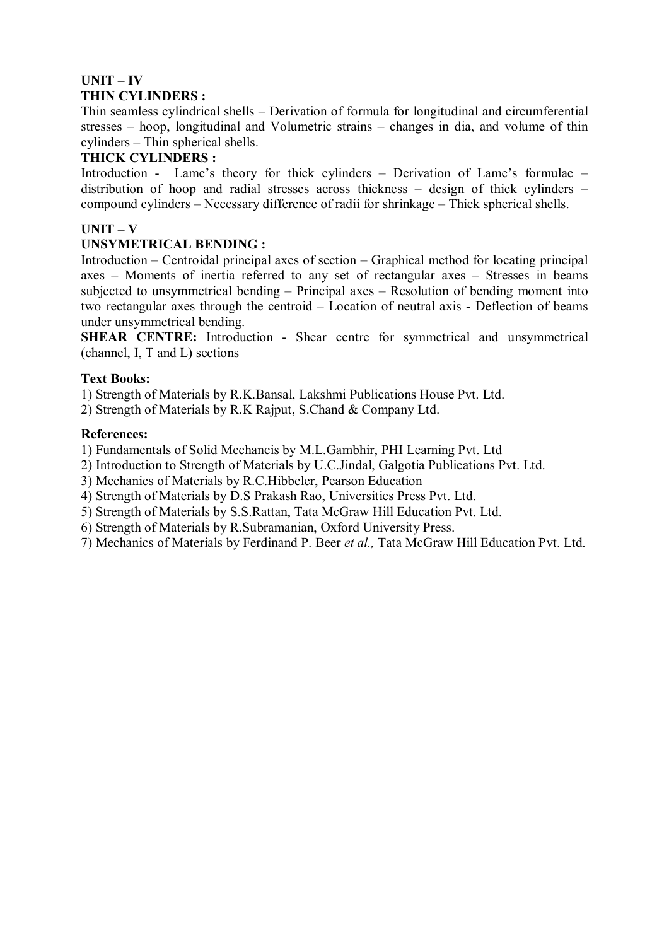# **UNIT – IV THIN CYLINDERS :**

Thin seamless cylindrical shells – Derivation of formula for longitudinal and circumferential stresses – hoop, longitudinal and Volumetric strains – changes in dia, and volume of thin cylinders – Thin spherical shells.

# **THICK CYLINDERS :**

Introduction - Lame's theory for thick cylinders – Derivation of Lame's formulae – distribution of hoop and radial stresses across thickness – design of thick cylinders – compound cylinders – Necessary difference of radii for shrinkage – Thick spherical shells.

# **UNIT – V**

# **UNSYMETRICAL BENDING :**

Introduction – Centroidal principal axes of section – Graphical method for locating principal axes – Moments of inertia referred to any set of rectangular axes – Stresses in beams subjected to unsymmetrical bending – Principal axes – Resolution of bending moment into two rectangular axes through the centroid – Location of neutral axis - Deflection of beams under unsymmetrical bending.

**SHEAR CENTRE:** Introduction - Shear centre for symmetrical and unsymmetrical (channel, I, T and L) sections

# **Text Books:**

1) Strength of Materials by R.K.Bansal, Lakshmi Publications House Pvt. Ltd.

2) Strength of Materials by R.K Rajput, S.Chand & Company Ltd.

# **References:**

1) Fundamentals of Solid Mechancis by M.L.Gambhir, PHI Learning Pvt. Ltd

2) Introduction to Strength of Materials by U.C.Jindal, Galgotia Publications Pvt. Ltd.

3) Mechanics of Materials by R.C.Hibbeler, Pearson Education

4) Strength of Materials by D.S Prakash Rao, Universities Press Pvt. Ltd.

5) Strength of Materials by S.S.Rattan, Tata McGraw Hill Education Pvt. Ltd.

6) Strength of Materials by R.Subramanian, Oxford University Press.

7) Mechanics of Materials by Ferdinand P. Beer *et al.,* Tata McGraw Hill Education Pvt. Ltd.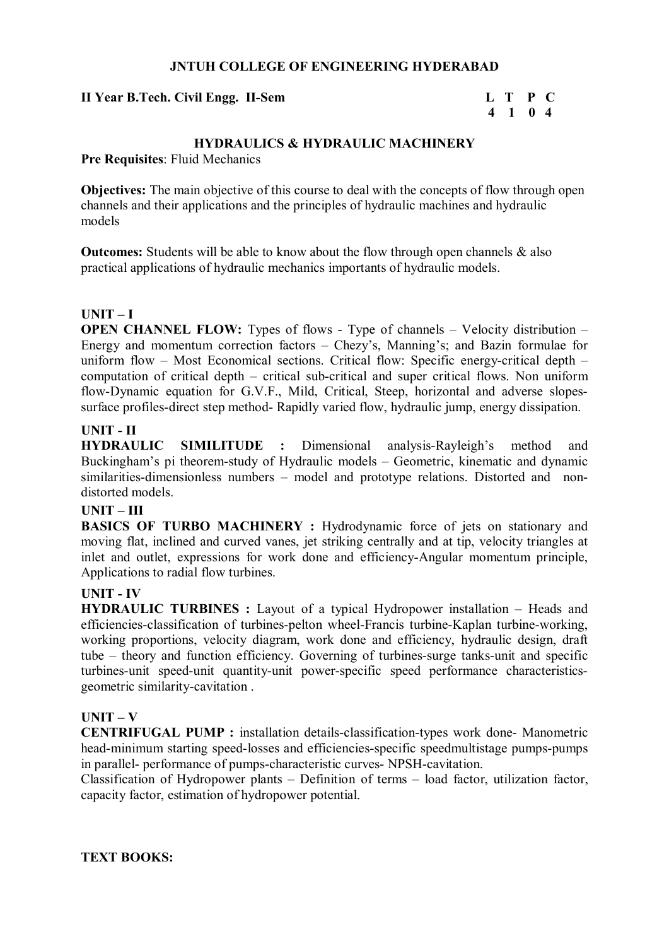# **II Year B.Tech. Civil Engg. II-Sem**  L T P C

 **4 1 0 4** 

# **HYDRAULICS & HYDRAULIC MACHINERY**

#### **Pre Requisites**: Fluid Mechanics

**Objectives:** The main objective of this course to deal with the concepts of flow through open channels and their applications and the principles of hydraulic machines and hydraulic models

**Outcomes:** Students will be able to know about the flow through open channels & also practical applications of hydraulic mechanics importants of hydraulic models.

# **UNIT – I**

**OPEN CHANNEL FLOW:** Types of flows - Type of channels – Velocity distribution – Energy and momentum correction factors – Chezy's, Manning's; and Bazin formulae for uniform flow – Most Economical sections. Critical flow: Specific energy-critical depth – computation of critical depth – critical sub-critical and super critical flows. Non uniform flow-Dynamic equation for G.V.F., Mild, Critical, Steep, horizontal and adverse slopessurface profiles-direct step method- Rapidly varied flow, hydraulic jump, energy dissipation.

# **UNIT - II**

**HYDRAULIC SIMILITUDE :** Dimensional analysis-Rayleigh's method and Buckingham's pi theorem-study of Hydraulic models – Geometric, kinematic and dynamic similarities-dimensionless numbers – model and prototype relations. Distorted and nondistorted models.

# **UNIT – III**

**BASICS OF TURBO MACHINERY :** Hydrodynamic force of jets on stationary and moving flat, inclined and curved vanes, jet striking centrally and at tip, velocity triangles at inlet and outlet, expressions for work done and efficiency-Angular momentum principle, Applications to radial flow turbines.

# **UNIT - IV**

**HYDRAULIC TURBINES :** Layout of a typical Hydropower installation – Heads and efficiencies-classification of turbines-pelton wheel-Francis turbine-Kaplan turbine-working, working proportions, velocity diagram, work done and efficiency, hydraulic design, draft tube – theory and function efficiency. Governing of turbines-surge tanks-unit and specific turbines-unit speed-unit quantity-unit power-specific speed performance characteristicsgeometric similarity-cavitation .

# **UNIT – V**

**CENTRIFUGAL PUMP :** installation details-classification-types work done- Manometric head-minimum starting speed-losses and efficiencies-specific speedmultistage pumps-pumps in parallel- performance of pumps-characteristic curves- NPSH-cavitation.

Classification of Hydropower plants – Definition of terms – load factor, utilization factor, capacity factor, estimation of hydropower potential.

**TEXT BOOKS:**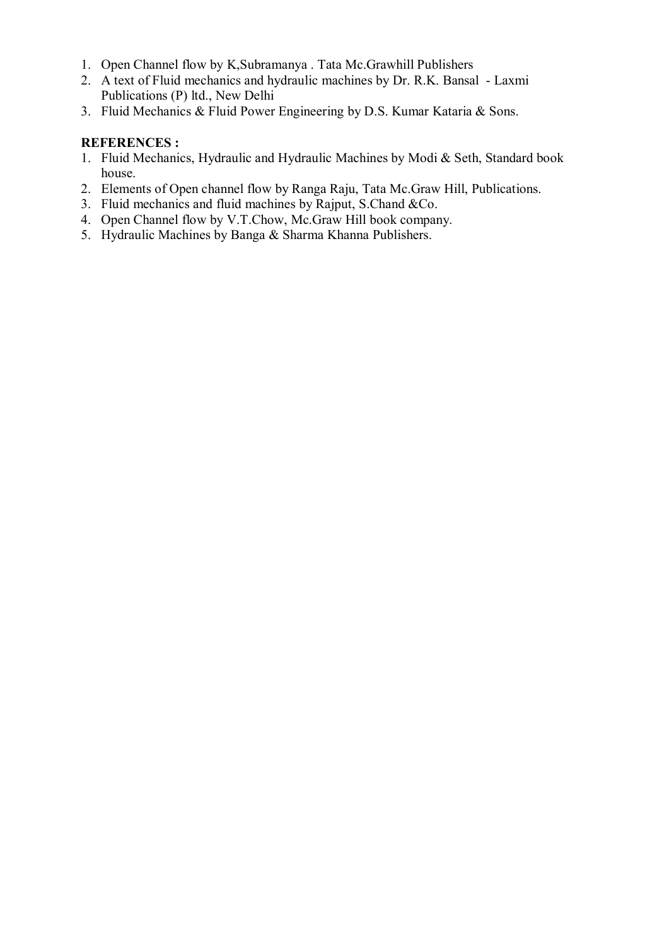- 1. Open Channel flow by K,Subramanya . Tata Mc.Grawhill Publishers
- 2. A text of Fluid mechanics and hydraulic machines by Dr. R.K. Bansal Laxmi Publications (P) ltd., New Delhi
- 3. Fluid Mechanics & Fluid Power Engineering by D.S. Kumar Kataria & Sons.

# **REFERENCES :**

- 1. Fluid Mechanics, Hydraulic and Hydraulic Machines by Modi & Seth, Standard book house.
- 2. Elements of Open channel flow by Ranga Raju, Tata Mc.Graw Hill, Publications.
- 3. Fluid mechanics and fluid machines by Rajput, S.Chand &Co.
- 4. Open Channel flow by V.T.Chow, Mc.Graw Hill book company.
- 5. Hydraulic Machines by Banga & Sharma Khanna Publishers.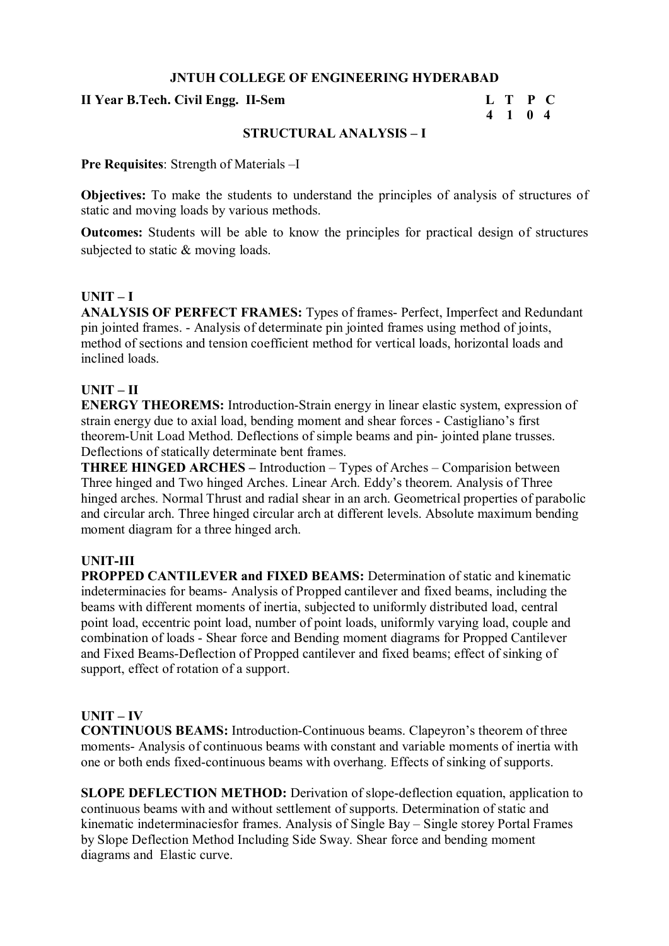# **II Year B.Tech. Civil Engg. II-Sem**  L T P C

# **4 1 0 4**

# **STRUCTURAL ANALYSIS – I**

# **Pre Requisites**: Strength of Materials –I

**Objectives:** To make the students to understand the principles of analysis of structures of static and moving loads by various methods.

**Outcomes:** Students will be able to know the principles for practical design of structures subjected to static & moving loads.

# **UNIT – I**

**ANALYSIS OF PERFECT FRAMES:** Types of frames- Perfect, Imperfect and Redundant pin jointed frames. - Analysis of determinate pin jointed frames using method of joints, method of sections and tension coefficient method for vertical loads, horizontal loads and inclined loads.

# **UNIT – II**

**ENERGY THEOREMS:** Introduction-Strain energy in linear elastic system, expression of strain energy due to axial load, bending moment and shear forces - Castigliano's first theorem-Unit Load Method. Deflections of simple beams and pin- jointed plane trusses. Deflections of statically determinate bent frames.

**THREE HINGED ARCHES –** Introduction – Types of Arches – Comparision between Three hinged and Two hinged Arches. Linear Arch. Eddy's theorem. Analysis of Three hinged arches. Normal Thrust and radial shear in an arch. Geometrical properties of parabolic and circular arch. Three hinged circular arch at different levels. Absolute maximum bending moment diagram for a three hinged arch.

# **UNIT-III**

**PROPPED CANTILEVER and FIXED BEAMS: Determination of static and kinematic** indeterminacies for beams- Analysis of Propped cantilever and fixed beams, including the beams with different moments of inertia, subjected to uniformly distributed load, central point load, eccentric point load, number of point loads, uniformly varying load, couple and combination of loads - Shear force and Bending moment diagrams for Propped Cantilever and Fixed Beams-Deflection of Propped cantilever and fixed beams; effect of sinking of support, effect of rotation of a support.

# **UNIT – IV**

**CONTINUOUS BEAMS:** Introduction-Continuous beams. Clapeyron's theorem of three moments- Analysis of continuous beams with constant and variable moments of inertia with one or both ends fixed-continuous beams with overhang. Effects of sinking of supports.

**SLOPE DEFLECTION METHOD:** Derivation of slope-deflection equation, application to continuous beams with and without settlement of supports. Determination of static and kinematic indeterminaciesfor frames. Analysis of Single Bay – Single storey Portal Frames by Slope Deflection Method Including Side Sway. Shear force and bending moment diagrams and Elastic curve.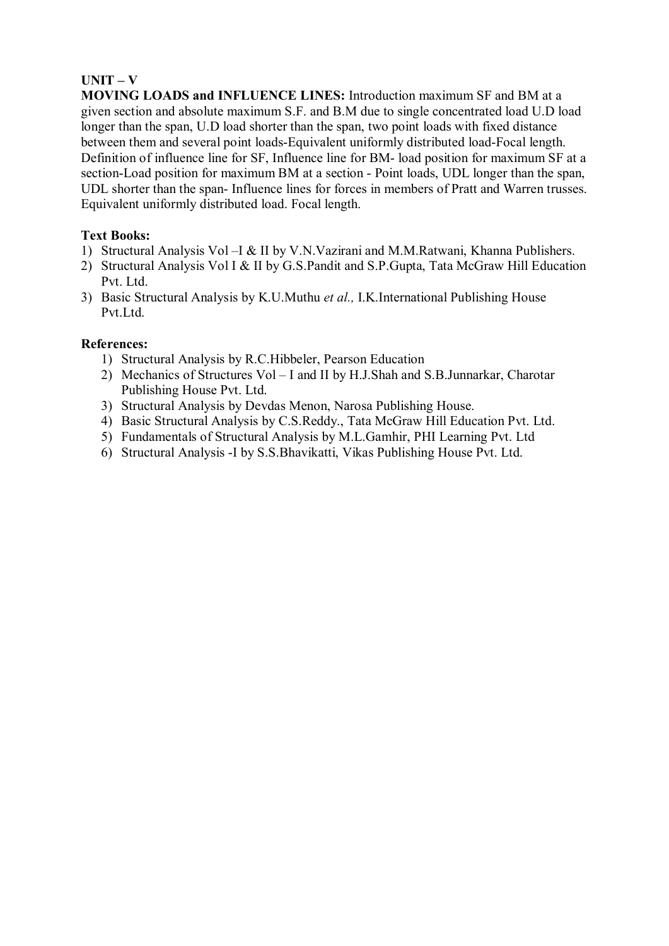# **UNIT – V**

**MOVING LOADS and INFLUENCE LINES:** Introduction maximum SF and BM at a given section and absolute maximum S.F. and B.M due to single concentrated load U.D load longer than the span, U.D load shorter than the span, two point loads with fixed distance between them and several point loads-Equivalent uniformly distributed load-Focal length. Definition of influence line for SF, Influence line for BM- load position for maximum SF at a section-Load position for maximum BM at a section - Point loads, UDL longer than the span, UDL shorter than the span- Influence lines for forces in members of Pratt and Warren trusses. Equivalent uniformly distributed load. Focal length.

# **Text Books:**

- 1) Structural Analysis Vol –I & II by V.N.Vazirani and M.M.Ratwani, Khanna Publishers.
- 2) Structural Analysis Vol I & II by G.S.Pandit and S.P.Gupta, Tata McGraw Hill Education Pvt. Ltd.
- 3) Basic Structural Analysis by K.U.Muthu *et al.,* I.K.International Publishing House Pvt.Ltd.

# **References:**

- 1) Structural Analysis by R.C.Hibbeler, Pearson Education
- 2) Mechanics of Structures Vol I and II by H.J.Shah and S.B.Junnarkar, Charotar Publishing House Pvt. Ltd.
- 3) Structural Analysis by Devdas Menon, Narosa Publishing House.
- 4) Basic Structural Analysis by C.S.Reddy., Tata McGraw Hill Education Pvt. Ltd.
- 5) Fundamentals of Structural Analysis by M.L.Gamhir, PHI Learning Pvt. Ltd
- 6) Structural Analysis -I by S.S.Bhavikatti, Vikas Publishing House Pvt. Ltd.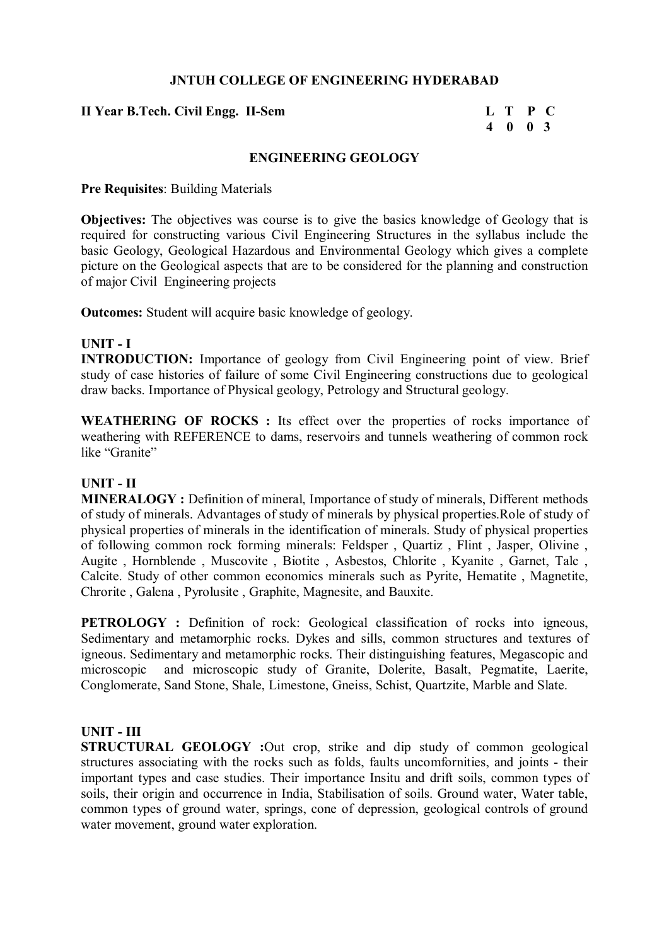# **II Year B.Tech. Civil Engg. II-Sem**  L T P C

 **4 0 0 3** 

# **ENGINEERING GEOLOGY**

**Pre Requisites**: Building Materials

**Objectives:** The objectives was course is to give the basics knowledge of Geology that is required for constructing various Civil Engineering Structures in the syllabus include the basic Geology, Geological Hazardous and Environmental Geology which gives a complete picture on the Geological aspects that are to be considered for the planning and construction of major Civil Engineering projects

**Outcomes:** Student will acquire basic knowledge of geology.

#### **UNIT - I**

**INTRODUCTION:** Importance of geology from Civil Engineering point of view. Brief study of case histories of failure of some Civil Engineering constructions due to geological draw backs. Importance of Physical geology, Petrology and Structural geology.

WEATHERING OF ROCKS : Its effect over the properties of rocks importance of weathering with REFERENCE to dams, reservoirs and tunnels weathering of common rock like "Granite"

# **UNIT - II**

**MINERALOGY :** Definition of mineral, Importance of study of minerals, Different methods of study of minerals. Advantages of study of minerals by physical properties.Role of study of physical properties of minerals in the identification of minerals. Study of physical properties of following common rock forming minerals: Feldsper , Quartiz , Flint , Jasper, Olivine , Augite , Hornblende , Muscovite , Biotite , Asbestos, Chlorite , Kyanite , Garnet, Talc , Calcite. Study of other common economics minerals such as Pyrite, Hematite , Magnetite, Chrorite , Galena , Pyrolusite , Graphite, Magnesite, and Bauxite.

**PETROLOGY** : Definition of rock: Geological classification of rocks into igneous, Sedimentary and metamorphic rocks. Dykes and sills, common structures and textures of igneous. Sedimentary and metamorphic rocks. Their distinguishing features, Megascopic and microscopic and microscopic study of Granite, Dolerite, Basalt, Pegmatite, Laerite, Conglomerate, Sand Stone, Shale, Limestone, Gneiss, Schist, Quartzite, Marble and Slate.

# **UNIT - III**

**STRUCTURAL GEOLOGY :**Out crop, strike and dip study of common geological structures associating with the rocks such as folds, faults uncomfornities, and joints - their important types and case studies. Their importance Insitu and drift soils, common types of soils, their origin and occurrence in India, Stabilisation of soils. Ground water, Water table, common types of ground water, springs, cone of depression, geological controls of ground water movement, ground water exploration.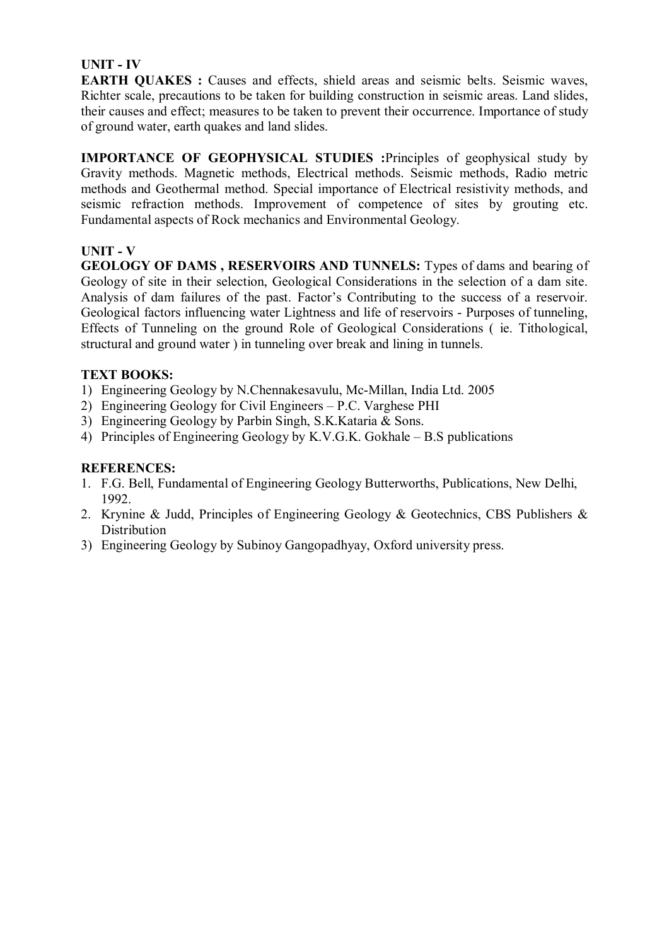# **UNIT - IV**

**EARTH QUAKES :** Causes and effects, shield areas and seismic belts. Seismic waves, Richter scale, precautions to be taken for building construction in seismic areas. Land slides, their causes and effect; measures to be taken to prevent their occurrence. Importance of study of ground water, earth quakes and land slides.

**IMPORTANCE OF GEOPHYSICAL STUDIES :**Principles of geophysical study by Gravity methods. Magnetic methods, Electrical methods. Seismic methods, Radio metric methods and Geothermal method. Special importance of Electrical resistivity methods, and seismic refraction methods. Improvement of competence of sites by grouting etc. Fundamental aspects of Rock mechanics and Environmental Geology.

# **UNIT - V**

**GEOLOGY OF DAMS , RESERVOIRS AND TUNNELS:** Types of dams and bearing of Geology of site in their selection, Geological Considerations in the selection of a dam site. Analysis of dam failures of the past. Factor's Contributing to the success of a reservoir. Geological factors influencing water Lightness and life of reservoirs - Purposes of tunneling, Effects of Tunneling on the ground Role of Geological Considerations ( ie. Tithological, structural and ground water ) in tunneling over break and lining in tunnels.

# **TEXT BOOKS:**

- 1) Engineering Geology by N.Chennakesavulu, Mc-Millan, India Ltd. 2005
- 2) Engineering Geology for Civil Engineers P.C. Varghese PHI
- 3) Engineering Geology by Parbin Singh, S.K.Kataria & Sons.
- 4) Principles of Engineering Geology by K.V.G.K. Gokhale B.S publications

# **REFERENCES:**

- 1. F.G. Bell, Fundamental of Engineering Geology Butterworths, Publications, New Delhi, 1992.
- 2. Krynine & Judd, Principles of Engineering Geology & Geotechnics, CBS Publishers & **Distribution**
- 3) Engineering Geology by Subinoy Gangopadhyay, Oxford university press.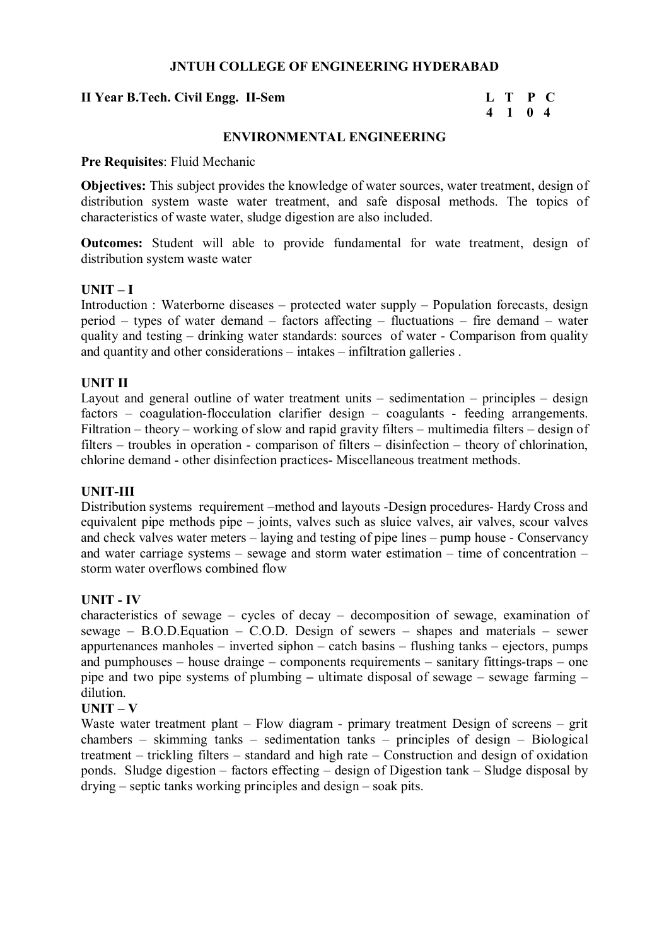# **II Year B.Tech. Civil Engg. II-Sem**  L T P C

# **4 1 0 4**

#### **ENVIRONMENTAL ENGINEERING**

#### **Pre Requisites**: Fluid Mechanic

**Objectives:** This subject provides the knowledge of water sources, water treatment, design of distribution system waste water treatment, and safe disposal methods. The topics of characteristics of waste water, sludge digestion are also included.

**Outcomes:** Student will able to provide fundamental for wate treatment, design of distribution system waste water

# **UNIT – I**

Introduction : Waterborne diseases – protected water supply – Population forecasts, design period – types of water demand – factors affecting – fluctuations – fire demand – water quality and testing – drinking water standards: sources of water - Comparison from quality and quantity and other considerations – intakes – infiltration galleries .

#### **UNIT II**

Layout and general outline of water treatment units – sedimentation – principles – design factors – coagulation-flocculation clarifier design – coagulants - feeding arrangements. Filtration – theory – working of slow and rapid gravity filters – multimedia filters – design of filters – troubles in operation - comparison of filters – disinfection – theory of chlorination, chlorine demand - other disinfection practices- Miscellaneous treatment methods.

#### **UNIT-III**

Distribution systems requirement –method and layouts -Design procedures- Hardy Cross and equivalent pipe methods pipe – joints, valves such as sluice valves, air valves, scour valves and check valves water meters – laying and testing of pipe lines – pump house - Conservancy and water carriage systems – sewage and storm water estimation – time of concentration – storm water overflows combined flow

# **UNIT - IV**

characteristics of sewage – cycles of decay – decomposition of sewage, examination of sewage – B.O.D.Equation – C.O.D. Design of sewers – shapes and materials – sewer appurtenances manholes – inverted siphon – catch basins – flushing tanks – ejectors, pumps and pumphouses – house drainge – components requirements – sanitary fittings-traps – one pipe and two pipe systems of plumbing **–** ultimate disposal of sewage – sewage farming – dilution.

#### **UNIT – V**

Waste water treatment plant – Flow diagram - primary treatment Design of screens – grit chambers – skimming tanks – sedimentation tanks – principles of design – Biological treatment – trickling filters – standard and high rate – Construction and design of oxidation ponds. Sludge digestion – factors effecting – design of Digestion tank – Sludge disposal by drying – septic tanks working principles and design – soak pits.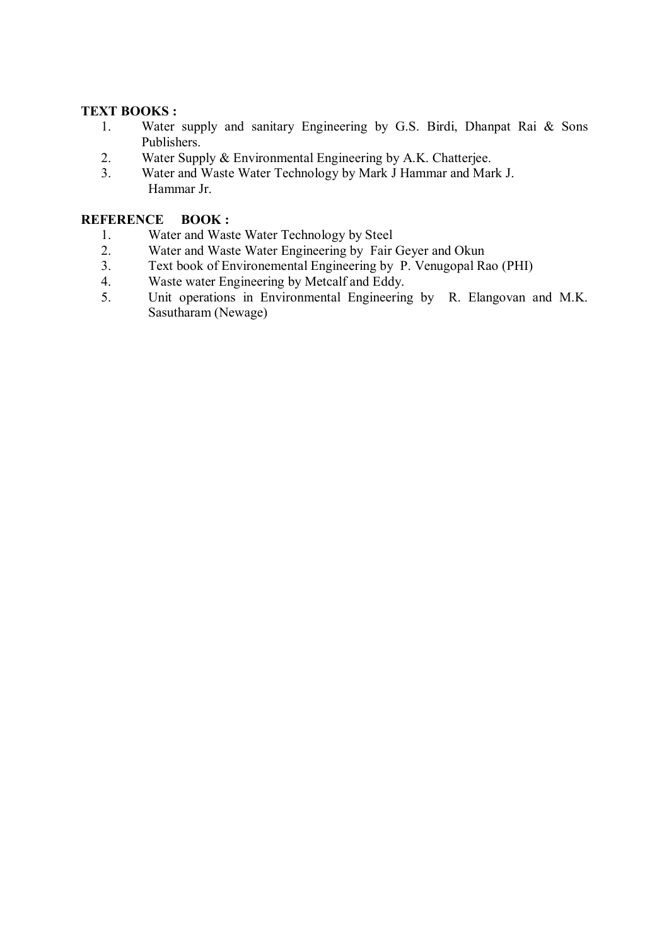# **TEXT BOOKS :**

- 1. Water supply and sanitary Engineering by G.S. Birdi, Dhanpat Rai & Sons Publishers.
- 2. Water Supply & Environmental Engineering by A.K. Chatterjee.
- 3. Water and Waste Water Technology by Mark J Hammar and Mark J. Hammar Jr.

# **REFERENCE BOOK :**

- 1. Water and Waste Water Technology by Steel
- 2. Water and Waste Water Engineering by Fair Geyer and Okun<br>3. Text book of Environemental Engineering by P. Venugopal Ra
- 3. Text book of Environemental Engineering by P. Venugopal Rao (PHI)
- 4. Waste water Engineering by Metcalf and Eddy.
- 5. Unit operations in Environmental Engineering by R. Elangovan and M.K. Sasutharam (Newage)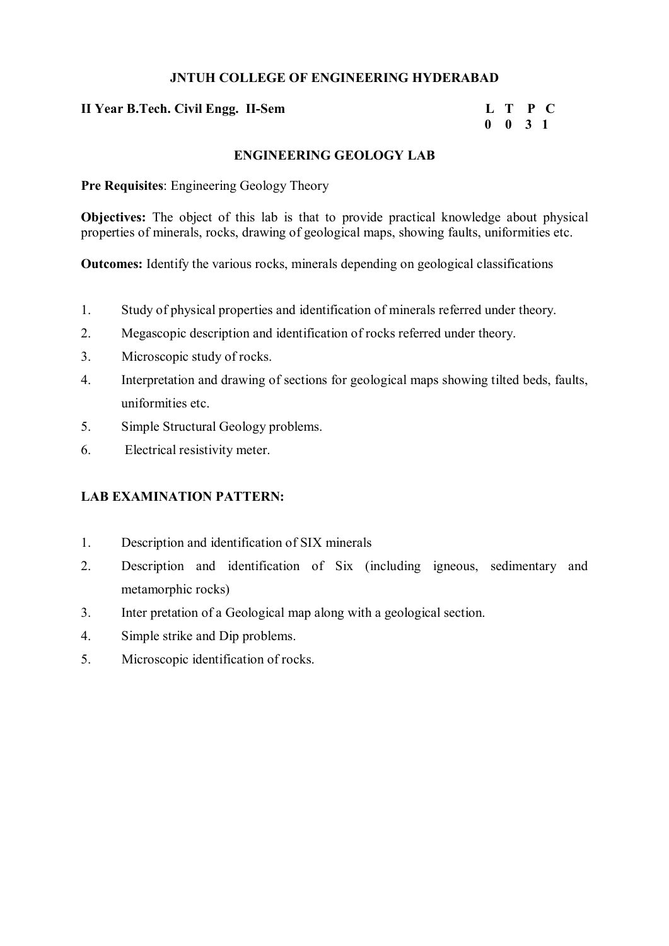# **II Year B.Tech. Civil Engg. II-Sem**  L T P C

# **0 0 3 1**

# **ENGINEERING GEOLOGY LAB**

**Pre Requisites**: Engineering Geology Theory

**Objectives:** The object of this lab is that to provide practical knowledge about physical properties of minerals, rocks, drawing of geological maps, showing faults, uniformities etc.

**Outcomes:** Identify the various rocks, minerals depending on geological classifications

- 1. Study of physical properties and identification of minerals referred under theory.
- 2. Megascopic description and identification of rocks referred under theory.
- 3. Microscopic study of rocks.
- 4. Interpretation and drawing of sections for geological maps showing tilted beds, faults, uniformities etc.
- 5. Simple Structural Geology problems.
- 6. Electrical resistivity meter.

# **LAB EXAMINATION PATTERN:**

- 1. Description and identification of SIX minerals
- 2. Description and identification of Six (including igneous, sedimentary and metamorphic rocks)
- 3. Inter pretation of a Geological map along with a geological section.
- 4. Simple strike and Dip problems.
- 5. Microscopic identification of rocks.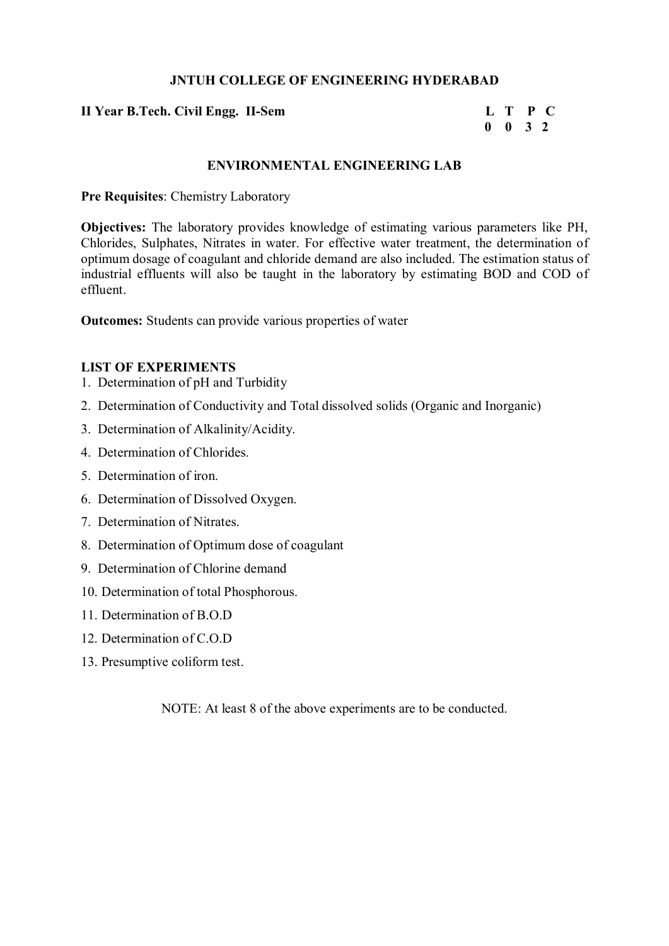# **II Year B.Tech. Civil Engg. II-Sem**  L T P C

# **0 0 3 2**

# **ENVIRONMENTAL ENGINEERING LAB**

**Pre Requisites**: Chemistry Laboratory

**Objectives:** The laboratory provides knowledge of estimating various parameters like PH, Chlorides, Sulphates, Nitrates in water. For effective water treatment, the determination of optimum dosage of coagulant and chloride demand are also included. The estimation status of industrial effluents will also be taught in the laboratory by estimating BOD and COD of effluent.

**Outcomes:** Students can provide various properties of water

# **LIST OF EXPERIMENTS**

- 1. Determination of pH and Turbidity
- 2. Determination of Conductivity and Total dissolved solids (Organic and Inorganic)
- 3. Determination of Alkalinity/Acidity.
- 4. Determination of Chlorides.
- 5. Determination of iron.
- 6. Determination of Dissolved Oxygen.
- 7. Determination of Nitrates.
- 8. Determination of Optimum dose of coagulant
- 9. Determination of Chlorine demand
- 10. Determination of total Phosphorous.
- 11. Determination of B.O.D
- 12. Determination of C.O.D
- 13. Presumptive coliform test.

NOTE: At least 8 of the above experiments are to be conducted.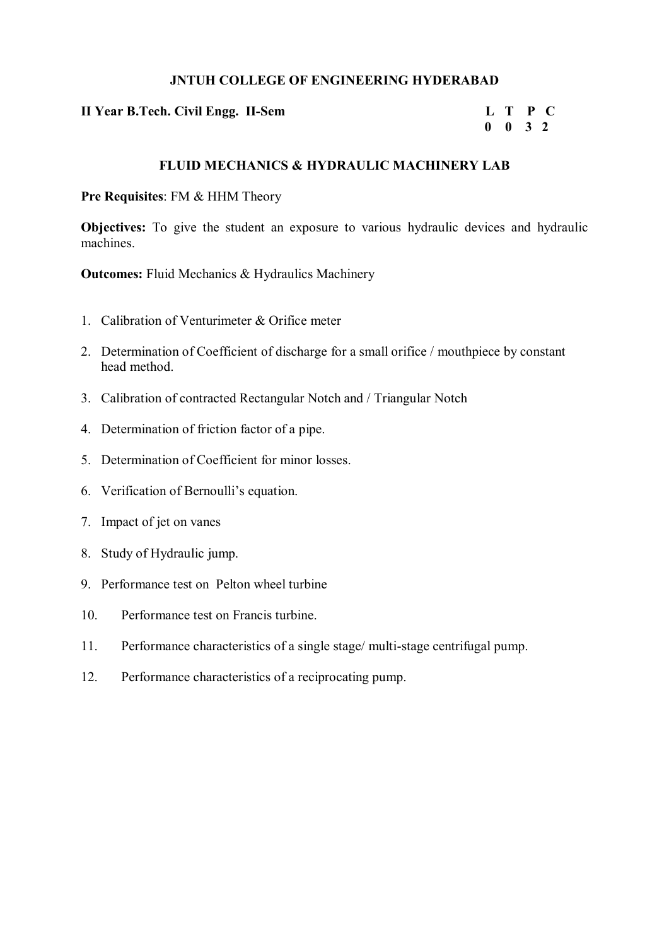**II Year B.Tech. Civil Engg. II-Sem**  L T P C

 **0 0 3 2** 

#### **FLUID MECHANICS & HYDRAULIC MACHINERY LAB**

**Pre Requisites**: FM & HHM Theory

**Objectives:** To give the student an exposure to various hydraulic devices and hydraulic machines.

**Outcomes:** Fluid Mechanics & Hydraulics Machinery

- 1. Calibration of Venturimeter & Orifice meter
- 2. Determination of Coefficient of discharge for a small orifice / mouthpiece by constant head method.
- 3. Calibration of contracted Rectangular Notch and / Triangular Notch
- 4. Determination of friction factor of a pipe.
- 5. Determination of Coefficient for minor losses.
- 6. Verification of Bernoulli's equation.
- 7. Impact of jet on vanes
- 8. Study of Hydraulic jump.
- 9. Performance test on Pelton wheel turbine
- 10. Performance test on Francis turbine.
- 11. Performance characteristics of a single stage/ multi-stage centrifugal pump.
- 12. Performance characteristics of a reciprocating pump.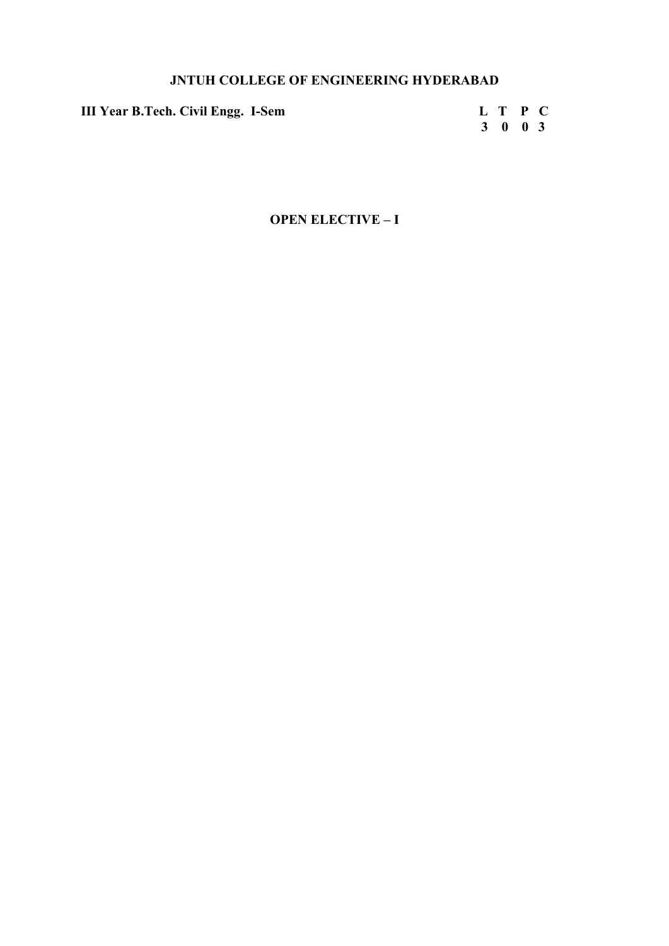**III Year B.Tech. Civil Engg. I-Sem** 

 **3 0 0 3** 

# **OPEN ELECTIVE – I**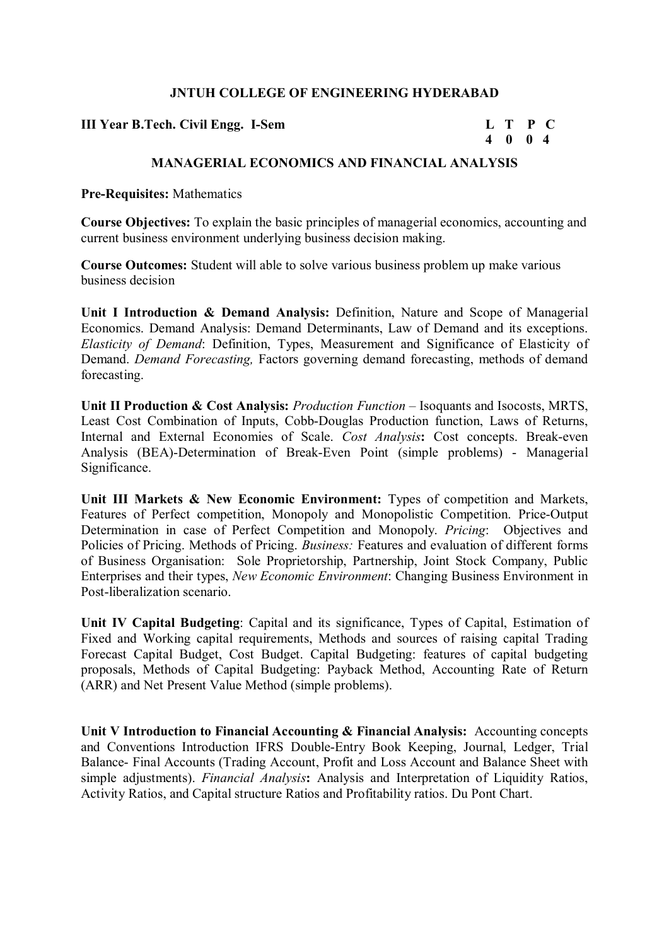# **III Year B.Tech. Civil Engg. I-Sem**  L T P C

 **4 0 0 4** 

# **MANAGERIAL ECONOMICS AND FINANCIAL ANALYSIS**

**Pre-Requisites:** Mathematics

**Course Objectives:** To explain the basic principles of managerial economics, accounting and current business environment underlying business decision making.

**Course Outcomes:** Student will able to solve various business problem up make various business decision

**Unit I Introduction & Demand Analysis:** Definition, Nature and Scope of Managerial Economics. Demand Analysis: Demand Determinants, Law of Demand and its exceptions. *Elasticity of Demand*: Definition, Types, Measurement and Significance of Elasticity of Demand. *Demand Forecasting,* Factors governing demand forecasting, methods of demand forecasting.

**Unit II Production & Cost Analysis:** *Production Function* – Isoquants and Isocosts, MRTS, Least Cost Combination of Inputs, Cobb-Douglas Production function, Laws of Returns, Internal and External Economies of Scale. *Cost Analysis***:** Cost concepts. Break-even Analysis (BEA)-Determination of Break-Even Point (simple problems) - Managerial Significance.

Unit III Markets & New Economic Environment: Types of competition and Markets, Features of Perfect competition, Monopoly and Monopolistic Competition. Price-Output Determination in case of Perfect Competition and Monopoly. *Pricing*: Objectives and Policies of Pricing. Methods of Pricing. *Business:* Features and evaluation of different forms of Business Organisation: Sole Proprietorship, Partnership, Joint Stock Company, Public Enterprises and their types, *New Economic Environment*: Changing Business Environment in Post-liberalization scenario.

**Unit IV Capital Budgeting**: Capital and its significance, Types of Capital, Estimation of Fixed and Working capital requirements, Methods and sources of raising capital Trading Forecast Capital Budget, Cost Budget. Capital Budgeting: features of capital budgeting proposals, Methods of Capital Budgeting: Payback Method, Accounting Rate of Return (ARR) and Net Present Value Method (simple problems).

**Unit V Introduction to Financial Accounting & Financial Analysis:** Accounting concepts and Conventions Introduction IFRS Double-Entry Book Keeping, Journal, Ledger, Trial Balance- Final Accounts (Trading Account, Profit and Loss Account and Balance Sheet with simple adjustments). *Financial Analysis***:** Analysis and Interpretation of Liquidity Ratios, Activity Ratios, and Capital structure Ratios and Profitability ratios. Du Pont Chart.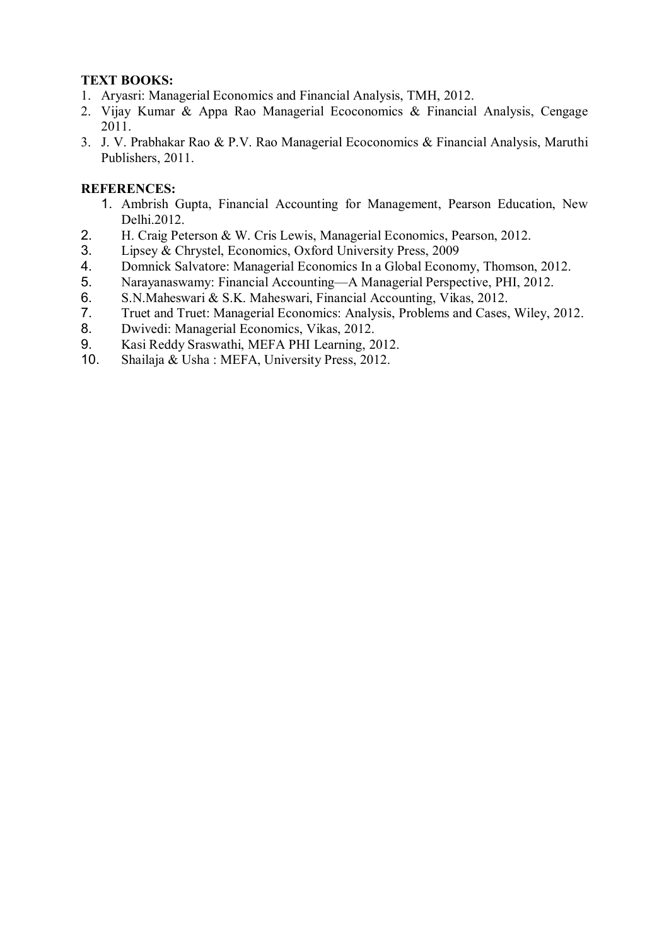## **TEXT BOOKS:**

- 1. Aryasri: Managerial Economics and Financial Analysis, TMH, 2012.
- 2. Vijay Kumar & Appa Rao Managerial Ecoconomics & Financial Analysis, Cengage 2011.
- 3. J. V. Prabhakar Rao & P.V. Rao Managerial Ecoconomics & Financial Analysis, Maruthi Publishers, 2011.

#### **REFERENCES:**

- 1. Ambrish Gupta, Financial Accounting for Management, Pearson Education, New Delhi.2012.
- 2. H. Craig Peterson & W. Cris Lewis, Managerial Economics, Pearson, 2012.
- 3. Lipsey & Chrystel, Economics, Oxford University Press, 2009<br>4. Domnick Salvatore: Managerial Economics In a Global Econom
- 4. Domnick Salvatore: Managerial Economics In a Global Economy, Thomson, 2012.
- 5. Narayanaswamy: Financial Accounting—A Managerial Perspective, PHI, 2012.
- 6. S.N.Maheswari & S.K. Maheswari, Financial Accounting, Vikas, 2012.
- 7. Truet and Truet: Managerial Economics: Analysis, Problems and Cases, Wiley, 2012.
- 8. Dwivedi: Managerial Economics, Vikas, 2012.
- 9. Kasi Reddy Sraswathi, MEFA PHI Learning, 2012.<br>10. Shailaia & Usha: MEFA, University Press, 2012.
- Shailaja & Usha : MEFA, University Press, 2012.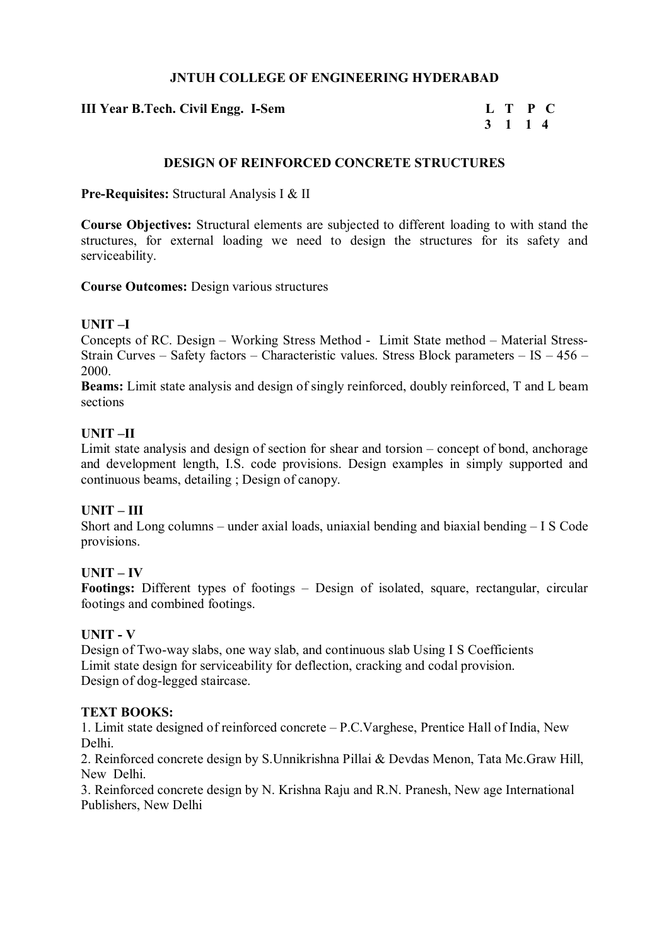**III Year B.Tech. Civil Engg. I-Sem**  L T P C

# **3 1 1 4**

## **DESIGN OF REINFORCED CONCRETE STRUCTURES**

**Pre-Requisites:** Structural Analysis I & II

**Course Objectives:** Structural elements are subjected to different loading to with stand the structures, for external loading we need to design the structures for its safety and serviceability.

**Course Outcomes:** Design various structures

#### **UNIT –I**

Concepts of RC. Design – Working Stress Method - Limit State method – Material Stress-Strain Curves – Safety factors – Characteristic values. Stress Block parameters – IS – 456 – 2000.

**Beams:** Limit state analysis and design of singly reinforced, doubly reinforced, T and L beam sections

#### **UNIT –II**

Limit state analysis and design of section for shear and torsion – concept of bond, anchorage and development length, I.S. code provisions. Design examples in simply supported and continuous beams, detailing ; Design of canopy.

#### **UNIT – III**

Short and Long columns – under axial loads, uniaxial bending and biaxial bending – I S Code provisions.

#### **UNIT – IV**

**Footings:** Different types of footings – Design of isolated, square, rectangular, circular footings and combined footings.

#### **UNIT - V**

Design of Two-way slabs, one way slab, and continuous slab Using I S Coefficients Limit state design for serviceability for deflection, cracking and codal provision. Design of dog-legged staircase.

#### **TEXT BOOKS:**

1. Limit state designed of reinforced concrete – P.C.Varghese, Prentice Hall of India, New Delhi.

2. Reinforced concrete design by S.Unnikrishna Pillai & Devdas Menon, Tata Mc.Graw Hill, New Delhi.

3. Reinforced concrete design by N. Krishna Raju and R.N. Pranesh, New age International Publishers, New Delhi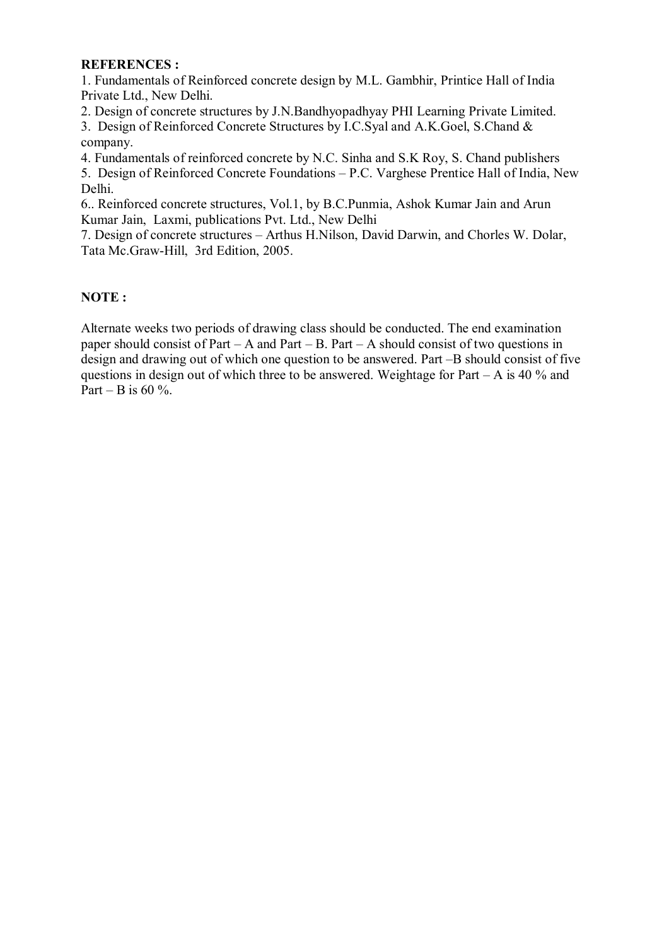## **REFERENCES :**

1. Fundamentals of Reinforced concrete design by M.L. Gambhir, Printice Hall of India Private Ltd., New Delhi.

2. Design of concrete structures by J.N.Bandhyopadhyay PHI Learning Private Limited.

3. Design of Reinforced Concrete Structures by I.C.Syal and A.K.Goel, S.Chand & company.

4. Fundamentals of reinforced concrete by N.C. Sinha and S.K Roy, S. Chand publishers

5. Design of Reinforced Concrete Foundations – P.C. Varghese Prentice Hall of India, New Delhi.

6.. Reinforced concrete structures, Vol.1, by B.C.Punmia, Ashok Kumar Jain and Arun Kumar Jain, Laxmi, publications Pvt. Ltd., New Delhi

7. Design of concrete structures – Arthus H.Nilson, David Darwin, and Chorles W. Dolar, Tata Mc.Graw-Hill, 3rd Edition, 2005.

## **NOTE :**

Alternate weeks two periods of drawing class should be conducted. The end examination paper should consist of Part – A and Part – B. Part – A should consist of two questions in design and drawing out of which one question to be answered. Part –B should consist of five questions in design out of which three to be answered. Weightage for Part – A is 40 % and Part – B is  $60\%$ .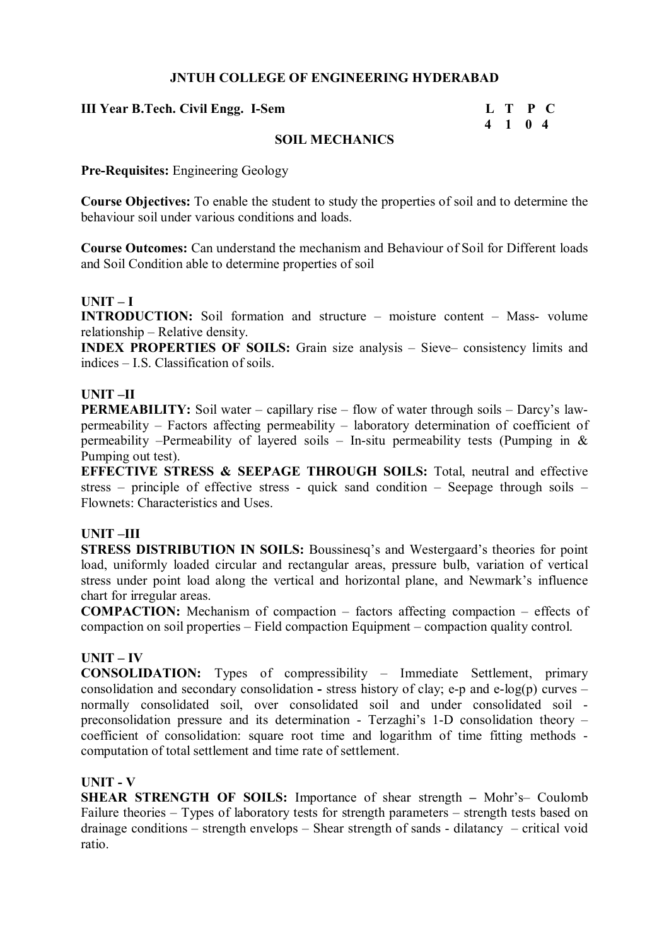### **III Year B.Tech. Civil Engg. I-Sem**  L T P C

# **4 1 0 4**

#### **SOIL MECHANICS**

**Pre-Requisites:** Engineering Geology

**Course Objectives:** To enable the student to study the properties of soil and to determine the behaviour soil under various conditions and loads.

**Course Outcomes:** Can understand the mechanism and Behaviour of Soil for Different loads and Soil Condition able to determine properties of soil

#### **UNIT – I**

**INTRODUCTION:** Soil formation and structure – moisture content – Mass- volume relationship – Relative density.

**INDEX PROPERTIES OF SOILS:** Grain size analysis – Sieve– consistency limits and indices – I.S. Classification of soils.

#### **UNIT –II**

**PERMEABILITY:** Soil water – capillary rise – flow of water through soils – Darcy's lawpermeability – Factors affecting permeability – laboratory determination of coefficient of permeability –Permeability of layered soils – In-situ permeability tests (Pumping in & Pumping out test).

**EFFECTIVE STRESS & SEEPAGE THROUGH SOILS:** Total, neutral and effective stress – principle of effective stress - quick sand condition – Seepage through soils – Flownets: Characteristics and Uses.

#### **UNIT –III**

**STRESS DISTRIBUTION IN SOILS:** Boussinesq's and Westergaard's theories for point load, uniformly loaded circular and rectangular areas, pressure bulb, variation of vertical stress under point load along the vertical and horizontal plane, and Newmark's influence chart for irregular areas.

**COMPACTION:** Mechanism of compaction – factors affecting compaction – effects of compaction on soil properties – Field compaction Equipment – compaction quality control.

#### **UNIT – IV**

**CONSOLIDATION:** Types of compressibility – Immediate Settlement, primary consolidation and secondary consolidation **-** stress history of clay; e-p and e-log(p) curves – normally consolidated soil, over consolidated soil and under consolidated soil preconsolidation pressure and its determination - Terzaghi's 1-D consolidation theory – coefficient of consolidation: square root time and logarithm of time fitting methods computation of total settlement and time rate of settlement.

#### **UNIT - V**

**SHEAR STRENGTH OF SOILS:** Importance of shear strength **–** Mohr's– Coulomb Failure theories – Types of laboratory tests for strength parameters – strength tests based on drainage conditions – strength envelops – Shear strength of sands - dilatancy – critical void ratio.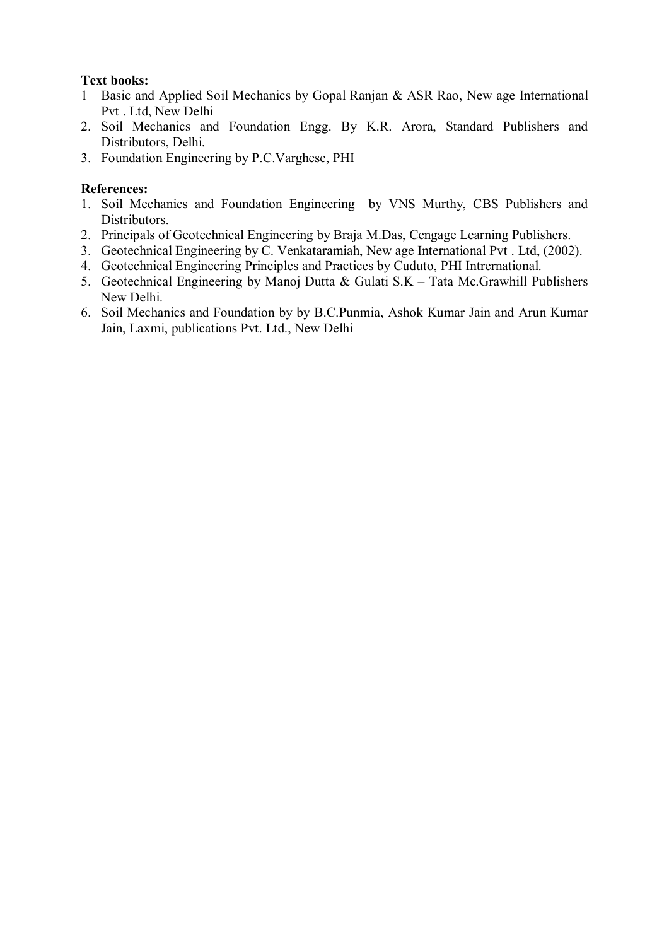### **Text books:**

- 1 Basic and Applied Soil Mechanics by Gopal Ranjan & ASR Rao, New age International Pvt . Ltd, New Delhi
- 2. Soil Mechanics and Foundation Engg. By K.R. Arora, Standard Publishers and Distributors, Delhi.
- 3. Foundation Engineering by P.C.Varghese, PHI

## **References:**

- 1. Soil Mechanics and Foundation Engineering by VNS Murthy, CBS Publishers and Distributors.
- 2. Principals of Geotechnical Engineering by Braja M.Das, Cengage Learning Publishers.
- 3. Geotechnical Engineering by C. Venkataramiah, New age International Pvt . Ltd, (2002).
- 4. Geotechnical Engineering Principles and Practices by Cuduto, PHI Intrernational.
- 5. Geotechnical Engineering by Manoj Dutta & Gulati S.K Tata Mc.Grawhill Publishers New Delhi.
- 6. Soil Mechanics and Foundation by by B.C.Punmia, Ashok Kumar Jain and Arun Kumar Jain, Laxmi, publications Pvt. Ltd., New Delhi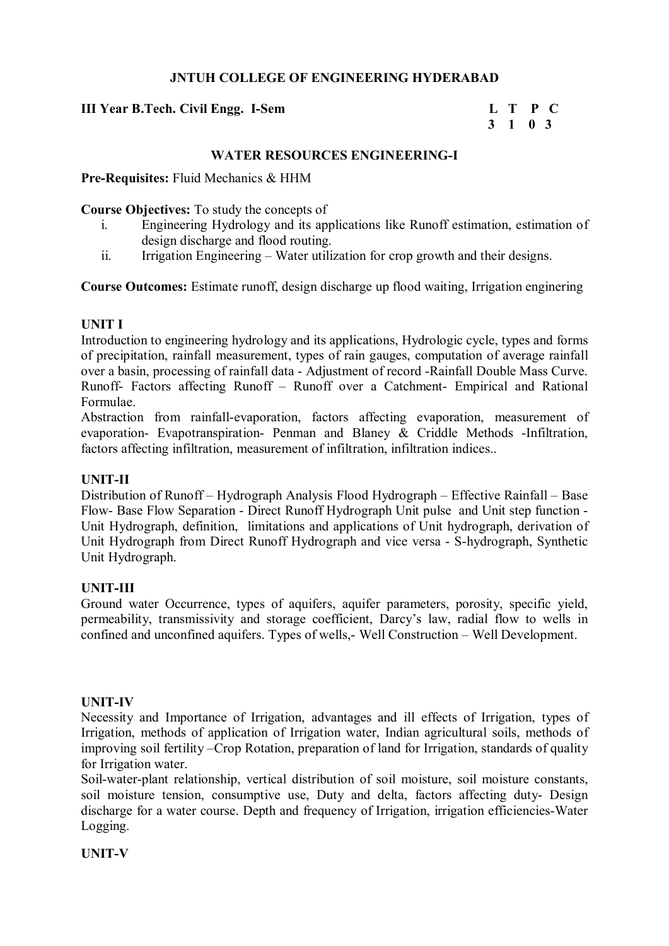## **III Year B.Tech. Civil Engg. I-Sem**  L T P C

# **3 1 0 3**

## **WATER RESOURCES ENGINEERING-I**

**Pre-Requisites:** Fluid Mechanics & HHM

**Course Objectives:** To study the concepts of

- i. Engineering Hydrology and its applications like Runoff estimation, estimation of design discharge and flood routing.
- ii. Irrigation Engineering Water utilization for crop growth and their designs.

**Course Outcomes:** Estimate runoff, design discharge up flood waiting, Irrigation enginering

## **UNIT I**

Introduction to engineering hydrology and its applications, Hydrologic cycle, types and forms of precipitation, rainfall measurement, types of rain gauges, computation of average rainfall over a basin, processing of rainfall data - Adjustment of record -Rainfall Double Mass Curve. Runoff- Factors affecting Runoff – Runoff over a Catchment- Empirical and Rational Formulae.

Abstraction from rainfall-evaporation, factors affecting evaporation, measurement of evaporation- Evapotranspiration- Penman and Blaney & Criddle Methods -Infiltration, factors affecting infiltration, measurement of infiltration, infiltration indices..

#### **UNIT-II**

Distribution of Runoff – Hydrograph Analysis Flood Hydrograph – Effective Rainfall – Base Flow- Base Flow Separation - Direct Runoff Hydrograph Unit pulse and Unit step function - Unit Hydrograph, definition, limitations and applications of Unit hydrograph, derivation of Unit Hydrograph from Direct Runoff Hydrograph and vice versa - S-hydrograph, Synthetic Unit Hydrograph.

## **UNIT-III**

Ground water Occurrence, types of aquifers, aquifer parameters, porosity, specific yield, permeability, transmissivity and storage coefficient, Darcy's law, radial flow to wells in confined and unconfined aquifers. Types of wells,- Well Construction – Well Development.

## **UNIT-IV**

Necessity and Importance of Irrigation, advantages and ill effects of Irrigation, types of Irrigation, methods of application of Irrigation water, Indian agricultural soils, methods of improving soil fertility –Crop Rotation, preparation of land for Irrigation, standards of quality for Irrigation water.

Soil-water-plant relationship, vertical distribution of soil moisture, soil moisture constants, soil moisture tension, consumptive use, Duty and delta, factors affecting duty- Design discharge for a water course. Depth and frequency of Irrigation, irrigation efficiencies-Water Logging.

#### **UNIT-V**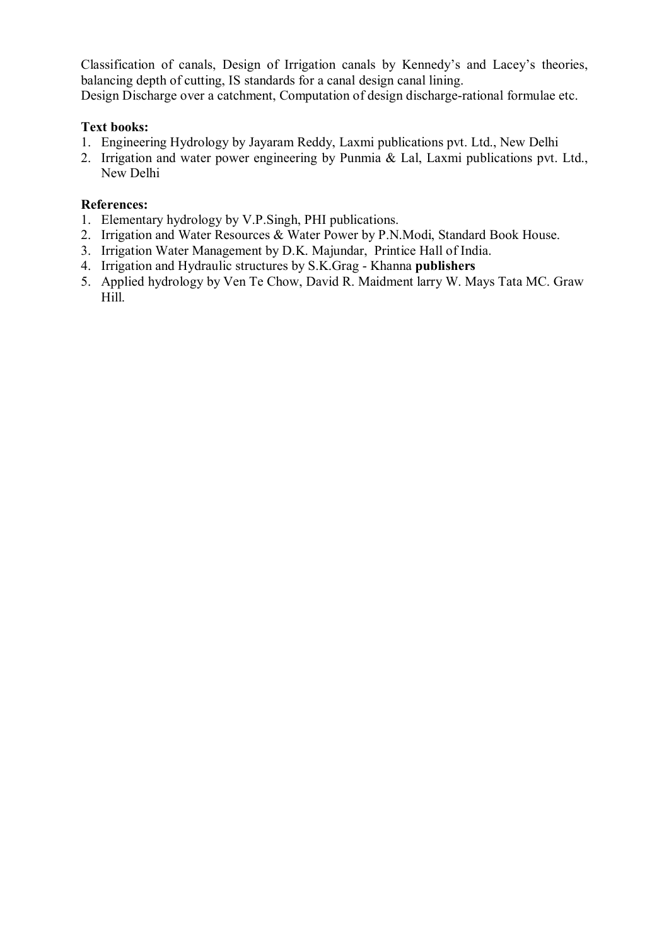Classification of canals, Design of Irrigation canals by Kennedy's and Lacey's theories, balancing depth of cutting, IS standards for a canal design canal lining. Design Discharge over a catchment, Computation of design discharge-rational formulae etc.

## **Text books:**

- 1. Engineering Hydrology by Jayaram Reddy, Laxmi publications pvt. Ltd., New Delhi
- 2. Irrigation and water power engineering by Punmia & Lal, Laxmi publications pvt. Ltd., New Delhi

#### **References:**

- 1. Elementary hydrology by V.P.Singh, PHI publications.
- 2. Irrigation and Water Resources & Water Power by P.N.Modi, Standard Book House.
- 3. Irrigation Water Management by D.K. Majundar, Printice Hall of India.
- 4. Irrigation and Hydraulic structures by S.K.Grag Khanna **publishers**
- 5. Applied hydrology by Ven Te Chow, David R. Maidment larry W. Mays Tata MC. Graw Hill.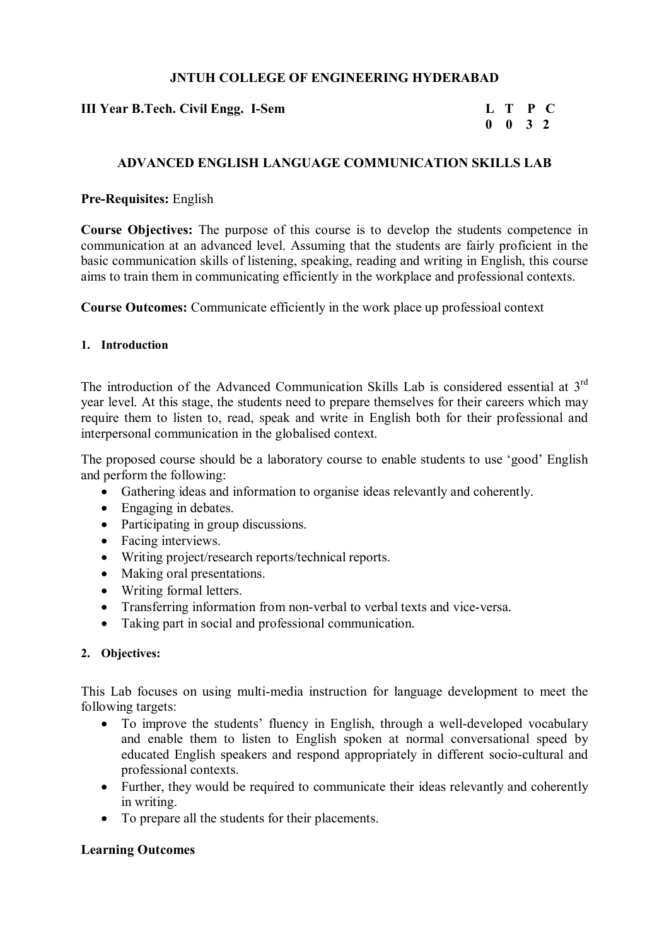**III Year B.Tech. Civil Engg. I-Sem**  L T P C

# **0 0 3 2**

## **ADVANCED ENGLISH LANGUAGE COMMUNICATION SKILLS LAB**

## **Pre-Requisites:** English

**Course Objectives:** The purpose of this course is to develop the students competence in communication at an advanced level. Assuming that the students are fairly proficient in the basic communication skills of listening, speaking, reading and writing in English, this course aims to train them in communicating efficiently in the workplace and professional contexts.

**Course Outcomes:** Communicate efficiently in the work place up professioal context

#### **1. Introduction**

The introduction of the Advanced Communication Skills Lab is considered essential at 3rd year level. At this stage, the students need to prepare themselves for their careers which may require them to listen to, read, speak and write in English both for their professional and interpersonal communication in the globalised context.

The proposed course should be a laboratory course to enable students to use 'good' English and perform the following:

- Gathering ideas and information to organise ideas relevantly and coherently.
- Engaging in debates.
- Participating in group discussions.
- Facing interviews.
- Writing project/research reports/technical reports.
- Making oral presentations.
- Writing formal letters.
- Transferring information from non-verbal to verbal texts and vice-versa.
- Taking part in social and professional communication.

#### **2. Objectives:**

This Lab focuses on using multi-media instruction for language development to meet the following targets:

- To improve the students' fluency in English, through a well-developed vocabulary and enable them to listen to English spoken at normal conversational speed by educated English speakers and respond appropriately in different socio-cultural and professional contexts.
- Further, they would be required to communicate their ideas relevantly and coherently in writing.
- To prepare all the students for their placements.

## **Learning Outcomes**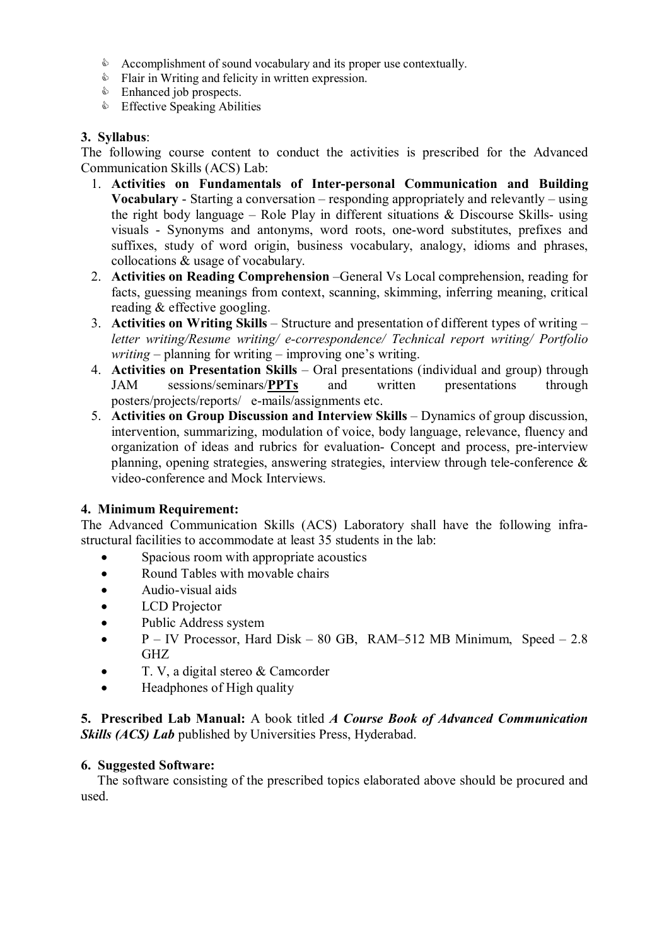- $\Diamond$  Accomplishment of sound vocabulary and its proper use contextually.
- **Example 1** Flair in Writing and felicity in written expression.
- $\triangle$  Enhanced job prospects.
- **Effective Speaking Abilities**

## **3. Syllabus**:

The following course content to conduct the activities is prescribed for the Advanced Communication Skills (ACS) Lab:

- 1. **Activities on Fundamentals of Inter-personal Communication and Building Vocabulary** - Starting a conversation – responding appropriately and relevantly – using the right body language – Role Play in different situations  $\&$  Discourse Skills-using visuals - Synonyms and antonyms, word roots, one-word substitutes, prefixes and suffixes, study of word origin, business vocabulary, analogy, idioms and phrases, collocations & usage of vocabulary.
- 2. **Activities on Reading Comprehension** –General Vs Local comprehension, reading for facts, guessing meanings from context, scanning, skimming, inferring meaning, critical reading & effective googling.
- 3. **Activities on Writing Skills** Structure and presentation of different types of writing *letter writing/Resume writing/ e-correspondence/ Technical report writing/ Portfolio writing* – planning for writing – improving one's writing.
- 4. **Activities on Presentation Skills** Oral presentations (individual and group) through JAM sessions/seminars/**PPTs** and written presentations through posters/projects/reports/ e-mails/assignments etc.
- 5. **Activities on Group Discussion and Interview Skills** Dynamics of group discussion, intervention, summarizing, modulation of voice, body language, relevance, fluency and organization of ideas and rubrics for evaluation- Concept and process, pre-interview planning, opening strategies, answering strategies, interview through tele-conference & video-conference and Mock Interviews.

## **4. Minimum Requirement:**

The Advanced Communication Skills (ACS) Laboratory shall have the following infrastructural facilities to accommodate at least 35 students in the lab:

- Spacious room with appropriate acoustics
- Round Tables with movable chairs
- Audio-visual aids
- LCD Projector
- Public Address system
- $\bullet$  P IV Processor, Hard Disk 80 GB, RAM–512 MB Minimum, Speed 2.8 GHZ
- T. V, a digital stereo & Camcorder
- Headphones of High quality

## **5. Prescribed Lab Manual:** A book titled *A Course Book of Advanced Communication Skills (ACS) Lab* published by Universities Press, Hyderabad.

## **6. Suggested Software:**

 The software consisting of the prescribed topics elaborated above should be procured and used.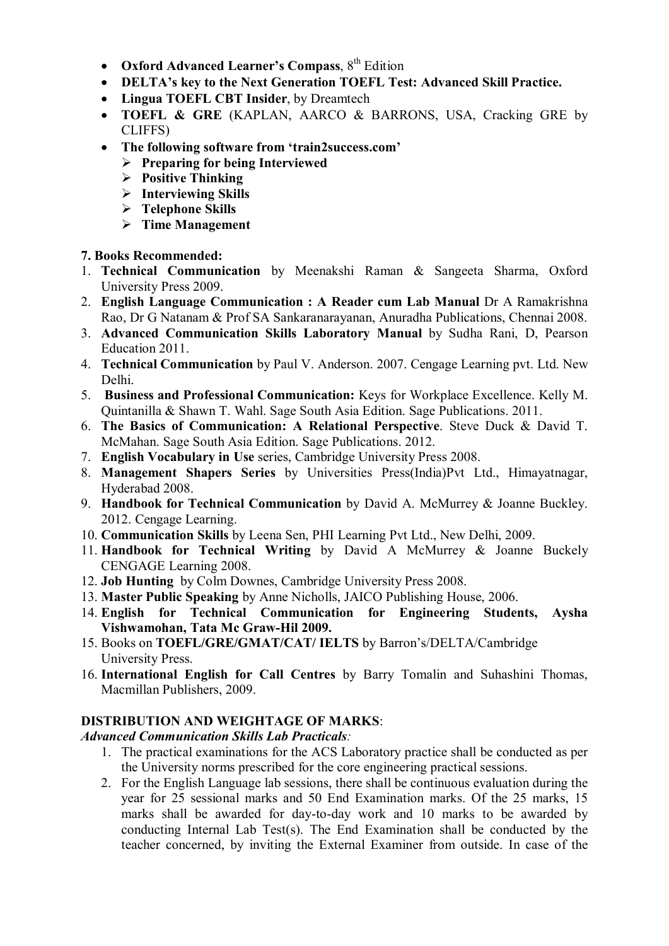- **Oxford Advanced Learner's Compass, 8th Edition**
- **DELTA's key to the Next Generation TOEFL Test: Advanced Skill Practice.**
- **Lingua TOEFL CBT Insider**, by Dreamtech
- **TOEFL & GRE** (KAPLAN, AARCO & BARRONS, USA, Cracking GRE by CLIFFS)
- **The following software from 'train2success.com'**
	- **Preparing for being Interviewed**
	- **Positive Thinking**
	- **Interviewing Skills**
	- **Telephone Skills**
	- **Time Management**
- **7. Books Recommended:**
- 1. **Technical Communication** by Meenakshi Raman & Sangeeta Sharma, Oxford University Press 2009.
- 2. **English Language Communication : A Reader cum Lab Manual** Dr A Ramakrishna Rao, Dr G Natanam & Prof SA Sankaranarayanan, Anuradha Publications, Chennai 2008.
- 3. **Advanced Communication Skills Laboratory Manual** by Sudha Rani, D, Pearson Education 2011.
- 4. **Technical Communication** by Paul V. Anderson. 2007. Cengage Learning pvt. Ltd. New Delhi.
- 5. **Business and Professional Communication:** Keys for Workplace Excellence. Kelly M. Quintanilla & Shawn T. Wahl. Sage South Asia Edition. Sage Publications. 2011.
- 6. **The Basics of Communication: A Relational Perspective**. Steve Duck & David T. McMahan. Sage South Asia Edition. Sage Publications. 2012.
- 7. **English Vocabulary in Use** series, Cambridge University Press 2008.
- 8. **Management Shapers Series** by Universities Press(India)Pvt Ltd., Himayatnagar, Hyderabad 2008.
- 9. **Handbook for Technical Communication** by David A. McMurrey & Joanne Buckley. 2012. Cengage Learning.
- 10. **Communication Skills** by Leena Sen, PHI Learning Pvt Ltd., New Delhi, 2009.
- 11. **Handbook for Technical Writing** by David A McMurrey & Joanne Buckely CENGAGE Learning 2008.
- 12. **Job Hunting** by Colm Downes, Cambridge University Press 2008.
- 13. **Master Public Speaking** by Anne Nicholls, JAICO Publishing House, 2006.
- 14. **English for Technical Communication for Engineering Students, Aysha Vishwamohan, Tata Mc Graw-Hil 2009.**
- 15. Books on **TOEFL/GRE/GMAT/CAT/ IELTS** by Barron's/DELTA/Cambridge University Press.
- 16. **International English for Call Centres** by Barry Tomalin and Suhashini Thomas, Macmillan Publishers, 2009.

## **DISTRIBUTION AND WEIGHTAGE OF MARKS**:

## *Advanced Communication Skills Lab Practicals:*

- 1. The practical examinations for the ACS Laboratory practice shall be conducted as per the University norms prescribed for the core engineering practical sessions.
- 2. For the English Language lab sessions, there shall be continuous evaluation during the year for 25 sessional marks and 50 End Examination marks. Of the 25 marks, 15 marks shall be awarded for day-to-day work and 10 marks to be awarded by conducting Internal Lab Test(s). The End Examination shall be conducted by the teacher concerned, by inviting the External Examiner from outside. In case of the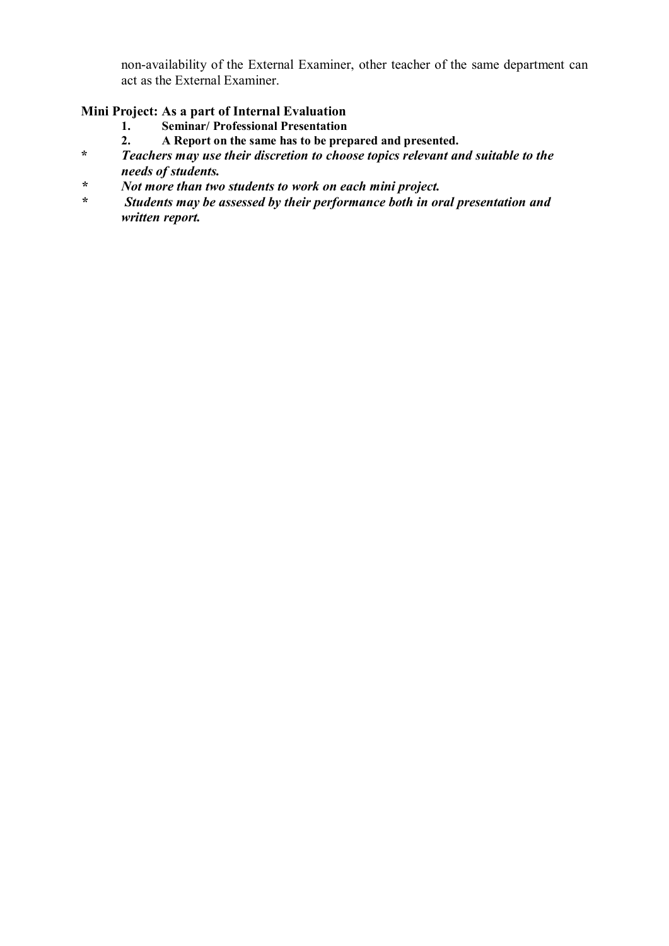non-availability of the External Examiner, other teacher of the same department can act as the External Examiner.

## **Mini Project: As a part of Internal Evaluation**

- **1. Seminar/ Professional Presentation**<br>**2. A Report on the same has to be prep**
- **2. A Report on the same has to be prepared and presented.**
- **\*** *Teachers may use their discretion to choose topics relevant and suitable to the needs of students.*
- *\* Not more than two students to work on each mini project.*
- *\* Students may be assessed by their performance both in oral presentation and written report.*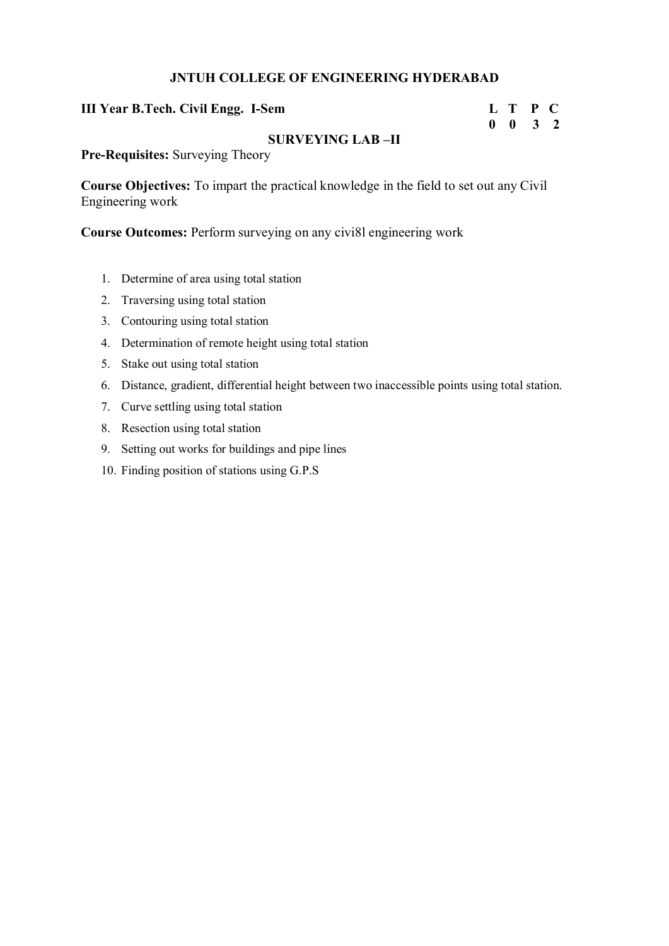#### **III Year B.Tech. Civil Engg. I-Sem**  L T P C

# **0 0 3 2**

## **SURVEYING LAB –II**

**Pre-Requisites:** Surveying Theory

**Course Objectives:** To impart the practical knowledge in the field to set out any Civil Engineering work

**Course Outcomes:** Perform surveying on any civi8l engineering work

- 1. Determine of area using total station
- 2. Traversing using total station
- 3. Contouring using total station
- 4. Determination of remote height using total station
- 5. Stake out using total station
- 6. Distance, gradient, differential height between two inaccessible points using total station.
- 7. Curve settling using total station
- 8. Resection using total station
- 9. Setting out works for buildings and pipe lines
- 10. Finding position of stations using G.P.S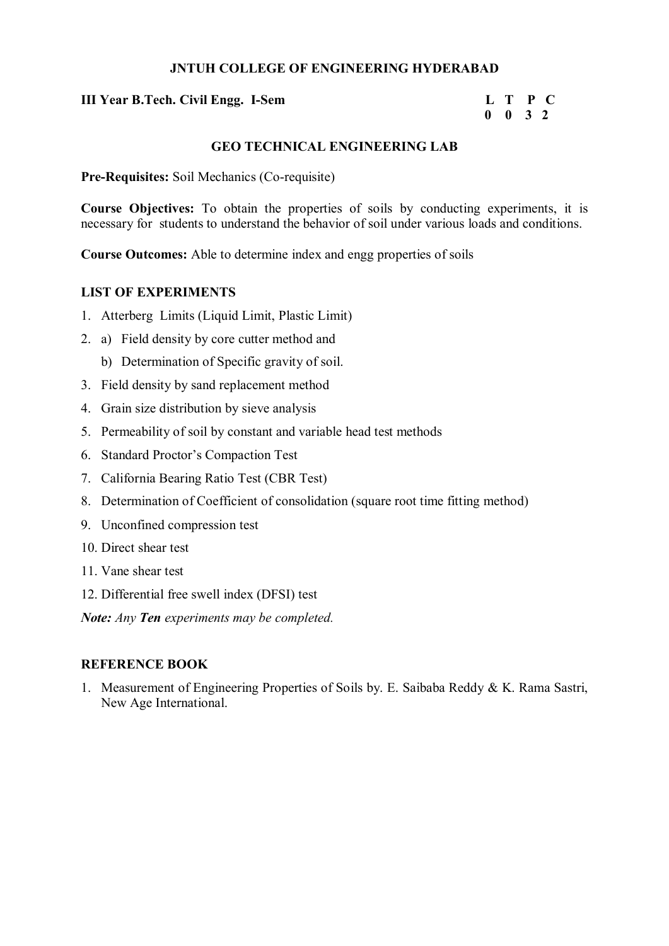#### **III Year B.Tech. Civil Engg. I-Sem**

# **0 0 3 2**

#### **GEO TECHNICAL ENGINEERING LAB**

**Pre-Requisites:** Soil Mechanics (Co-requisite)

**Course Objectives:** To obtain the properties of soils by conducting experiments, it is necessary for students to understand the behavior of soil under various loads and conditions.

**Course Outcomes:** Able to determine index and engg properties of soils

## **LIST OF EXPERIMENTS**

- 1. Atterberg Limits (Liquid Limit, Plastic Limit)
- 2. a) Field density by core cutter method and
	- b) Determination of Specific gravity of soil.
- 3. Field density by sand replacement method
- 4. Grain size distribution by sieve analysis
- 5. Permeability of soil by constant and variable head test methods
- 6. Standard Proctor's Compaction Test
- 7. California Bearing Ratio Test (CBR Test)
- 8. Determination of Coefficient of consolidation (square root time fitting method)
- 9. Unconfined compression test
- 10. Direct shear test
- 11. Vane shear test
- 12. Differential free swell index (DFSI) test

*Note: Any Ten experiments may be completed.* 

#### **REFERENCE BOOK**

1. Measurement of Engineering Properties of Soils by. E. Saibaba Reddy & K. Rama Sastri, New Age International.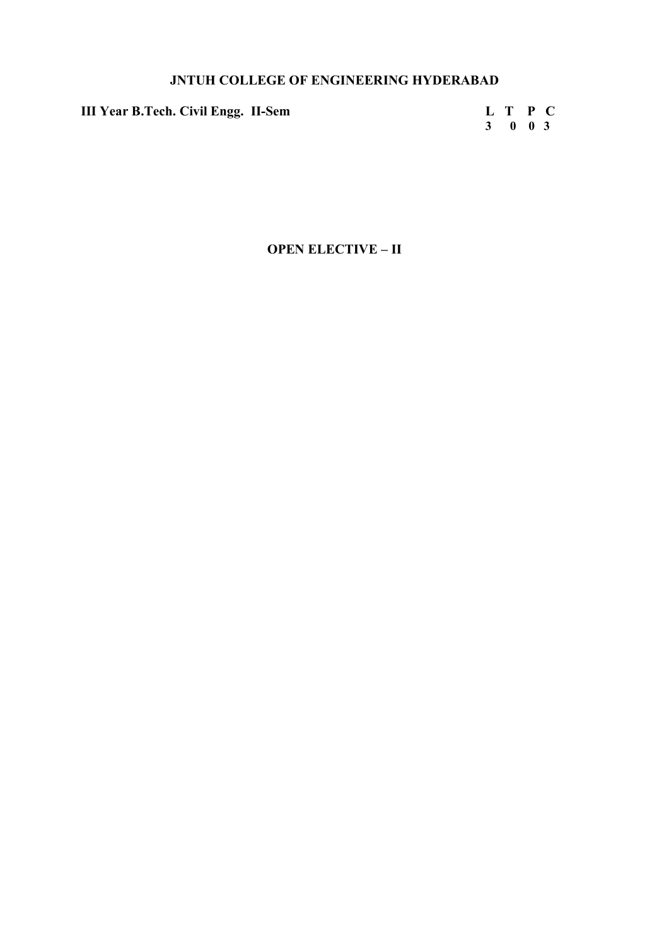**III Year B.Tech. Civil Engg. II-Sem** 

**3 0 0 3** 

## **OPEN ELECTIVE – II**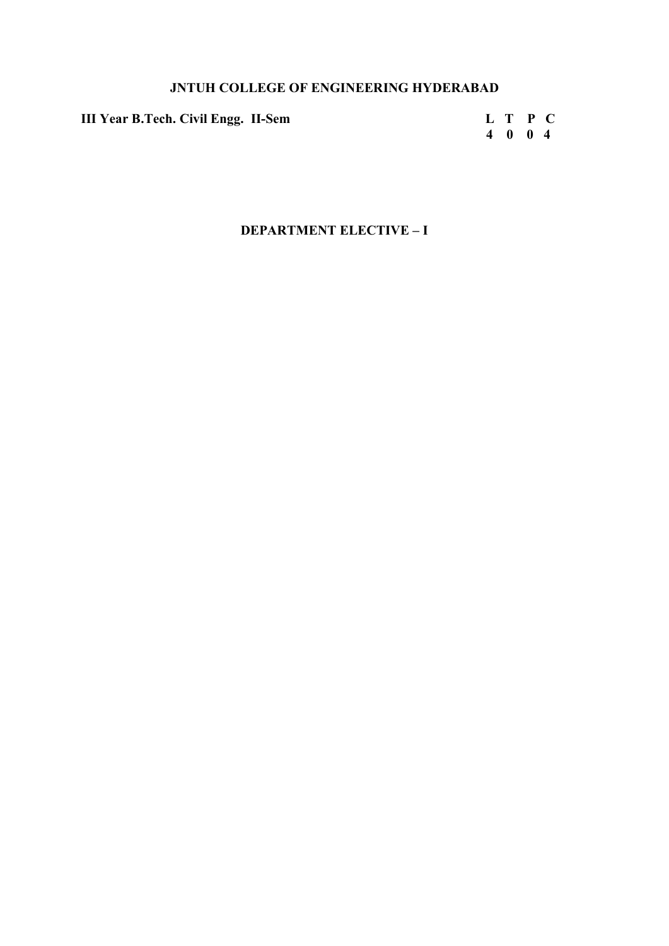| <b>III Year B.Tech. Civil Engg. II-Sem</b> |  | L T P C |  |
|--------------------------------------------|--|---------|--|
|                                            |  | 4 0 0 4 |  |

# **DEPARTMENT ELECTIVE – I**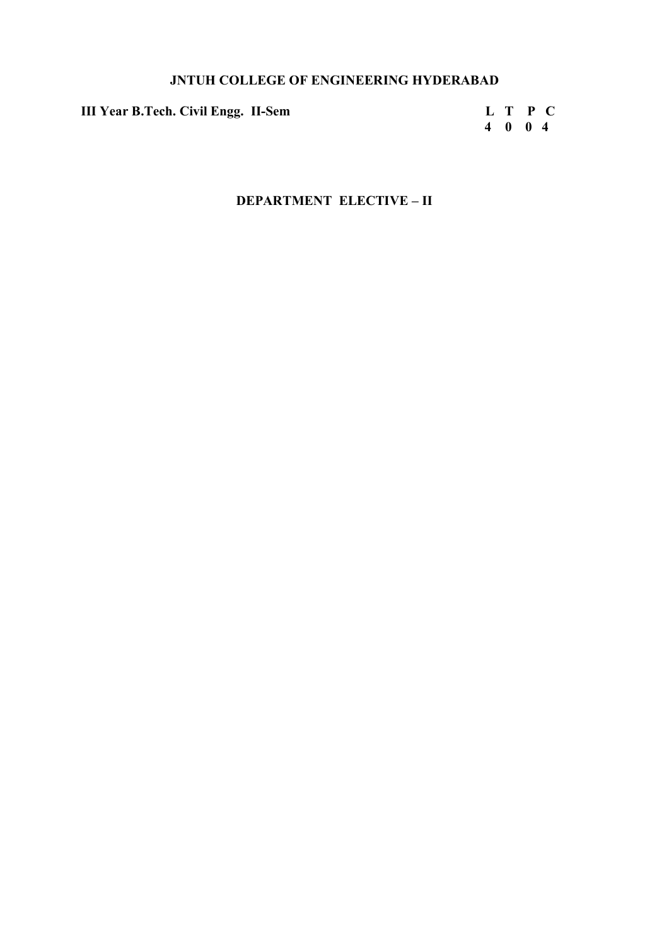**III Year B.Tech. Civil Engg. II-Sem** 

 **4 0 0 4** 

## **DEPARTMENT ELECTIVE – II**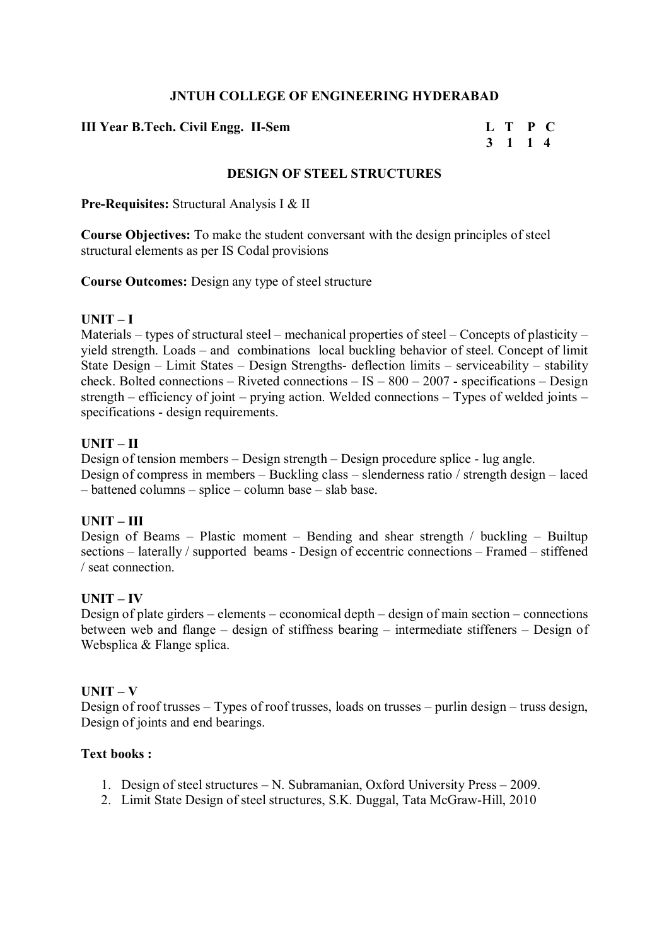## **III Year B.Tech. Civil Engg. II-Sem**  L T P C

# **3 1 1 4**

#### **DESIGN OF STEEL STRUCTURES**

**Pre-Requisites:** Structural Analysis I & II

**Course Objectives:** To make the student conversant with the design principles of steel structural elements as per IS Codal provisions

**Course Outcomes:** Design any type of steel structure

#### **UNIT – I**

Materials – types of structural steel – mechanical properties of steel – Concepts of plasticity – yield strength. Loads – and combinations local buckling behavior of steel. Concept of limit State Design – Limit States – Design Strengths- deflection limits – serviceability – stability check. Bolted connections – Riveted connections –  $IS - 800 - 2007$  - specifications – Design strength – efficiency of joint – prying action. Welded connections – Types of welded joints – specifications - design requirements.

#### **UNIT – II**

Design of tension members – Design strength – Design procedure splice - lug angle. Design of compress in members – Buckling class – slenderness ratio / strength design – laced – battened columns – splice – column base – slab base.

#### **UNIT – III**

Design of Beams – Plastic moment – Bending and shear strength / buckling – Builtup sections – laterally / supported beams - Design of eccentric connections – Framed – stiffened / seat connection.

#### **UNIT – IV**

Design of plate girders – elements – economical depth – design of main section – connections between web and flange – design of stiffness bearing – intermediate stiffeners – Design of Websplica & Flange splica.

#### **UNIT – V**

Design of roof trusses – Types of roof trusses, loads on trusses – purlin design – truss design, Design of joints and end bearings.

#### **Text books :**

- 1. Design of steel structures N. Subramanian, Oxford University Press 2009.
- 2. Limit State Design of steel structures, S.K. Duggal, Tata McGraw-Hill, 2010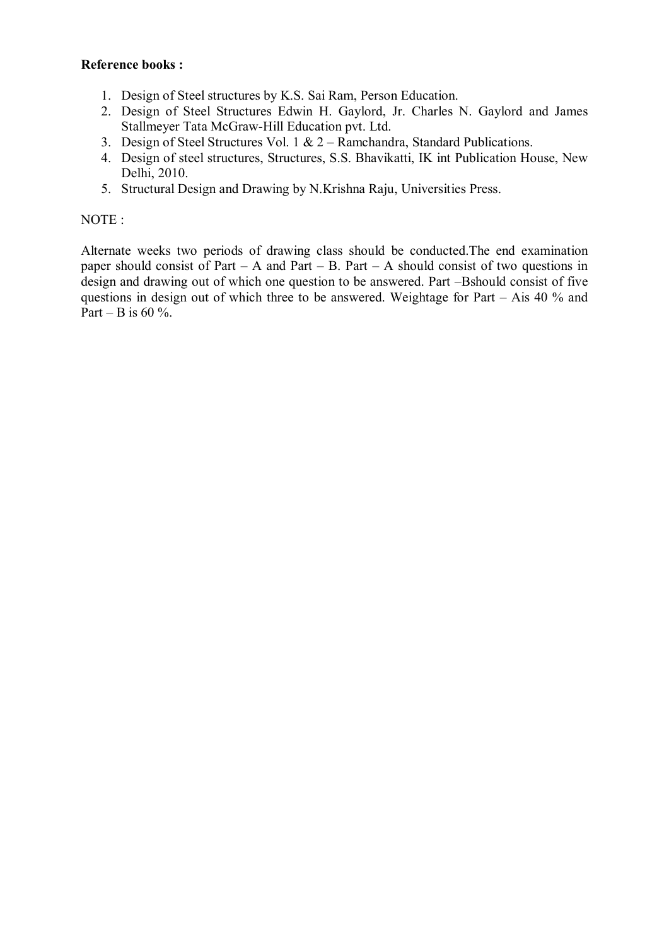## **Reference books :**

- 1. Design of Steel structures by K.S. Sai Ram, Person Education.
- 2. Design of Steel Structures Edwin H. Gaylord, Jr. Charles N. Gaylord and James Stallmeyer Tata McGraw-Hill Education pvt. Ltd.
- 3. Design of Steel Structures Vol. 1 &  $2 -$ Ramchandra, Standard Publications.
- 4. Design of steel structures, Structures, S.S. Bhavikatti, IK int Publication House, New Delhi, 2010.
- 5. Structural Design and Drawing by N.Krishna Raju, Universities Press.

## NOTE :

Alternate weeks two periods of drawing class should be conducted.The end examination paper should consist of Part – A and Part – B. Part – A should consist of two questions in design and drawing out of which one question to be answered. Part –Bshould consist of five questions in design out of which three to be answered. Weightage for Part – Ais 40 % and Part – B is 60 %.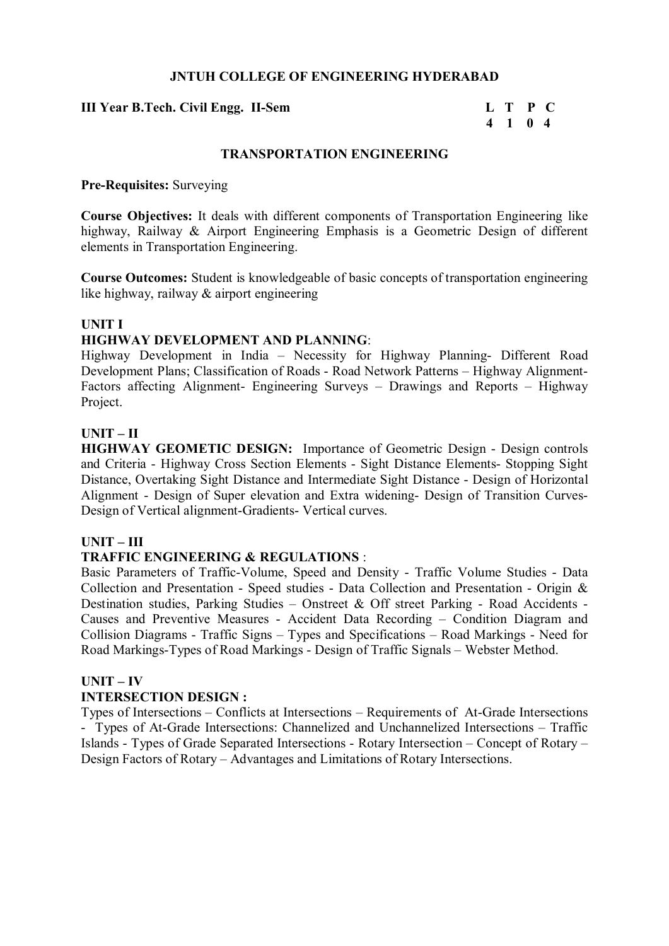## **III Year B.Tech. Civil Engg. II-Sem**  L T P C

# **4 1 0 4**

### **TRANSPORTATION ENGINEERING**

#### **Pre-Requisites:** Surveying

**Course Objectives:** It deals with different components of Transportation Engineering like highway, Railway & Airport Engineering Emphasis is a Geometric Design of different elements in Transportation Engineering.

**Course Outcomes:** Student is knowledgeable of basic concepts of transportation engineering like highway, railway & airport engineering

#### **UNIT I**

## **HIGHWAY DEVELOPMENT AND PLANNING**:

Highway Development in India – Necessity for Highway Planning- Different Road Development Plans; Classification of Roads - Road Network Patterns – Highway Alignment-Factors affecting Alignment- Engineering Surveys – Drawings and Reports – Highway Project.

## **UNIT – II**

**HIGHWAY GEOMETIC DESIGN:** Importance of Geometric Design - Design controls and Criteria - Highway Cross Section Elements - Sight Distance Elements- Stopping Sight Distance, Overtaking Sight Distance and Intermediate Sight Distance - Design of Horizontal Alignment - Design of Super elevation and Extra widening- Design of Transition Curves-Design of Vertical alignment-Gradients- Vertical curves.

#### **UNIT – III**

#### **TRAFFIC ENGINEERING & REGULATIONS** :

Basic Parameters of Traffic-Volume, Speed and Density - Traffic Volume Studies - Data Collection and Presentation - Speed studies - Data Collection and Presentation - Origin & Destination studies, Parking Studies – Onstreet & Off street Parking - Road Accidents - Causes and Preventive Measures - Accident Data Recording – Condition Diagram and Collision Diagrams - Traffic Signs – Types and Specifications – Road Markings - Need for Road Markings-Types of Road Markings - Design of Traffic Signals – Webster Method.

#### **UNIT – IV**

#### **INTERSECTION DESIGN :**

Types of Intersections – Conflicts at Intersections – Requirements of At-Grade Intersections - Types of At-Grade Intersections: Channelized and Unchannelized Intersections – Traffic Islands - Types of Grade Separated Intersections - Rotary Intersection – Concept of Rotary – Design Factors of Rotary – Advantages and Limitations of Rotary Intersections.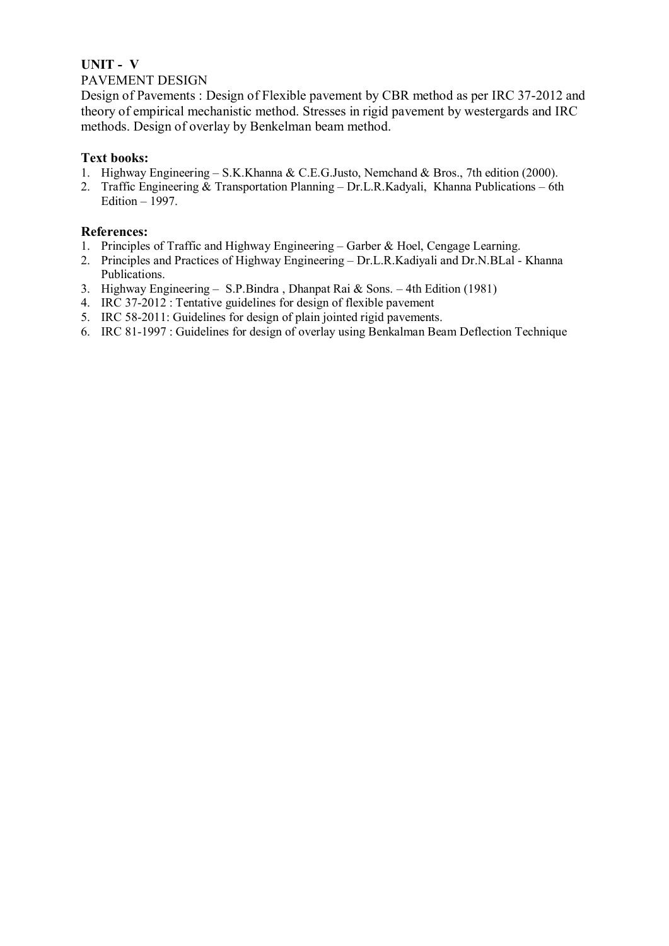# **UNIT - V**  PAVEMENT DESIGN

Design of Pavements : Design of Flexible pavement by CBR method as per IRC 37-2012 and theory of empirical mechanistic method. Stresses in rigid pavement by westergards and IRC methods. Design of overlay by Benkelman beam method.

## **Text books:**

- 1. Highway Engineering S.K.Khanna & C.E.G.Justo, Nemchand & Bros., 7th edition (2000).
- 2. Traffic Engineering & Transportation Planning Dr.L.R.Kadyali, Khanna Publications 6th Edition  $-1997$ .

### **References:**

- 1. Principles of Traffic and Highway Engineering Garber & Hoel, Cengage Learning.
- 2. Principles and Practices of Highway Engineering Dr.L.R.Kadiyali and Dr.N.BLal Khanna Publications.
- 3. Highway Engineering S.P.Bindra , Dhanpat Rai & Sons. 4th Edition (1981)
- 4. IRC 37-2012 : Tentative guidelines for design of flexible pavement
- 5. IRC 58-2011: Guidelines for design of plain jointed rigid pavements.
- 6. IRC 81-1997 : Guidelines for design of overlay using Benkalman Beam Deflection Technique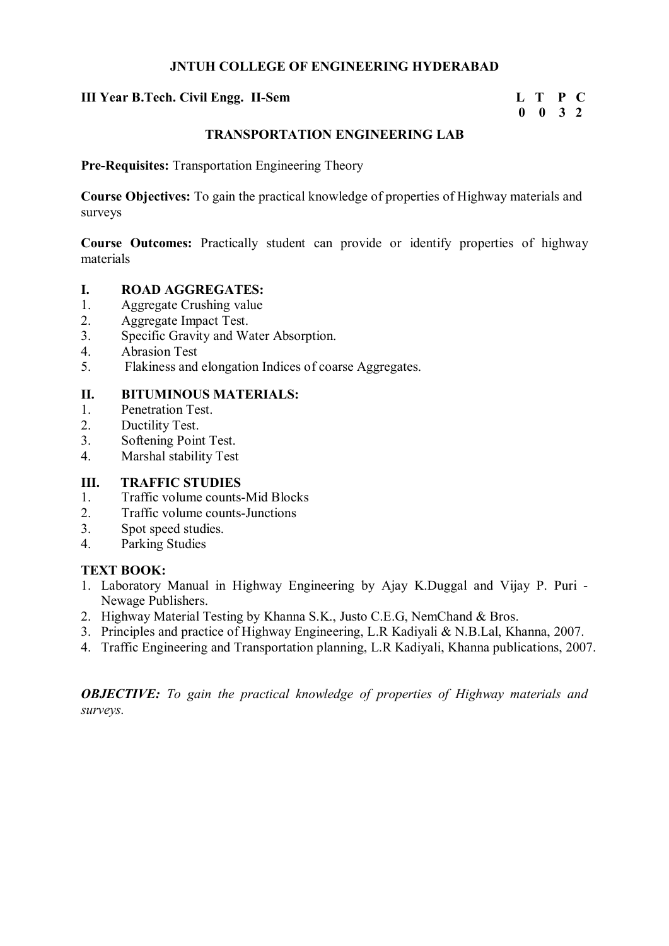## **III Year B.Tech. Civil Engg. II-Sem**

| II Year B.Tech. Civil Engg. II-Sem | L T P C |                             |  |
|------------------------------------|---------|-----------------------------|--|
|                                    |         | $0 \quad 0 \quad 3 \quad 2$ |  |

## **TRANSPORTATION ENGINEERING LAB**

**Pre-Requisites:** Transportation Engineering Theory

**Course Objectives:** To gain the practical knowledge of properties of Highway materials and surveys

**Course Outcomes:** Practically student can provide or identify properties of highway materials

# **I. ROAD AGGREGATES:**

- Aggregate Crushing value
- 2. Aggregate Impact Test.
- 3. Specific Gravity and Water Absorption.
- 4. Abrasion Test
- 5. Flakiness and elongation Indices of coarse Aggregates.

## **II. BITUMINOUS MATERIALS:**

- 1. Penetration Test.
- 2. Ductility Test.<br>3. Softening Poin
- 3. Softening Point Test.
- 4. Marshal stability Test

#### **III. TRAFFIC STUDIES**

- 1. Traffic volume counts-Mid Blocks
- 2. Traffic volume counts-Junctions
- 3. Spot speed studies.
- 4. Parking Studies

#### **TEXT BOOK:**

- 1. Laboratory Manual in Highway Engineering by Ajay K.Duggal and Vijay P. Puri Newage Publishers.
- 2. Highway Material Testing by Khanna S.K., Justo C.E.G, NemChand & Bros.
- 3. Principles and practice of Highway Engineering, L.R Kadiyali & N.B.Lal, Khanna, 2007.
- 4. Traffic Engineering and Transportation planning, L.R Kadiyali, Khanna publications, 2007.

*OBJECTIVE: To gain the practical knowledge of properties of Highway materials and surveys.*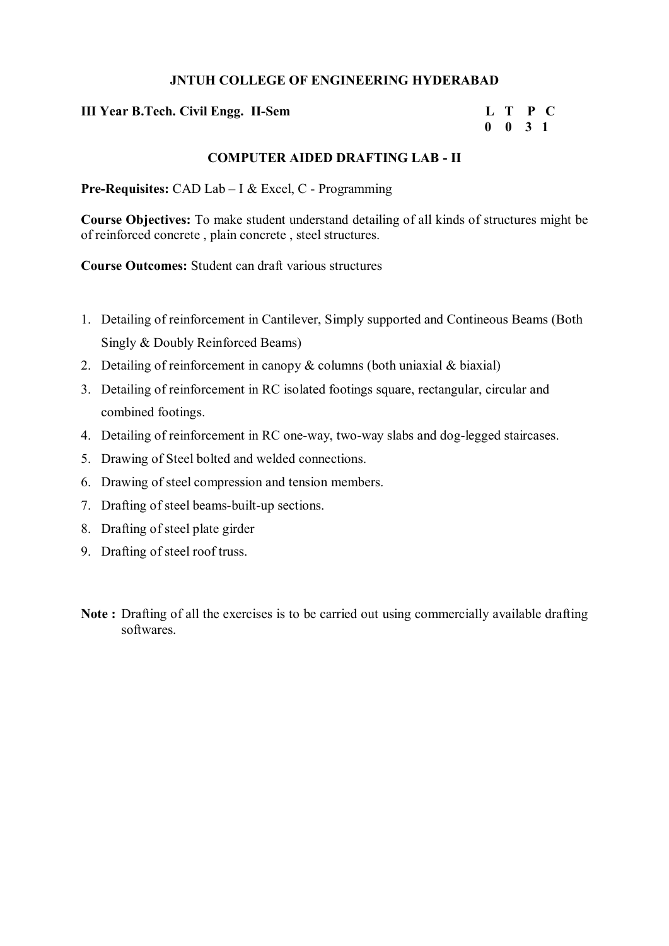## **III Year B.Tech. Civil Engg. II-Sem**  L T P C

# **0 0 3 1**

# **COMPUTER AIDED DRAFTING LAB - II**

**Pre-Requisites:** CAD Lab – I & Excel, C - Programming

**Course Objectives:** To make student understand detailing of all kinds of structures might be of reinforced concrete , plain concrete , steel structures.

**Course Outcomes:** Student can draft various structures

- 1. Detailing of reinforcement in Cantilever, Simply supported and Contineous Beams (Both Singly & Doubly Reinforced Beams)
- 2. Detailing of reinforcement in canopy & columns (both uniaxial & biaxial)
- 3. Detailing of reinforcement in RC isolated footings square, rectangular, circular and combined footings.
- 4. Detailing of reinforcement in RC one-way, two-way slabs and dog-legged staircases.
- 5. Drawing of Steel bolted and welded connections.
- 6. Drawing of steel compression and tension members.
- 7. Drafting of steel beams-built-up sections.
- 8. Drafting of steel plate girder
- 9. Drafting of steel roof truss.
- **Note :** Drafting of all the exercises is to be carried out using commercially available drafting softwares.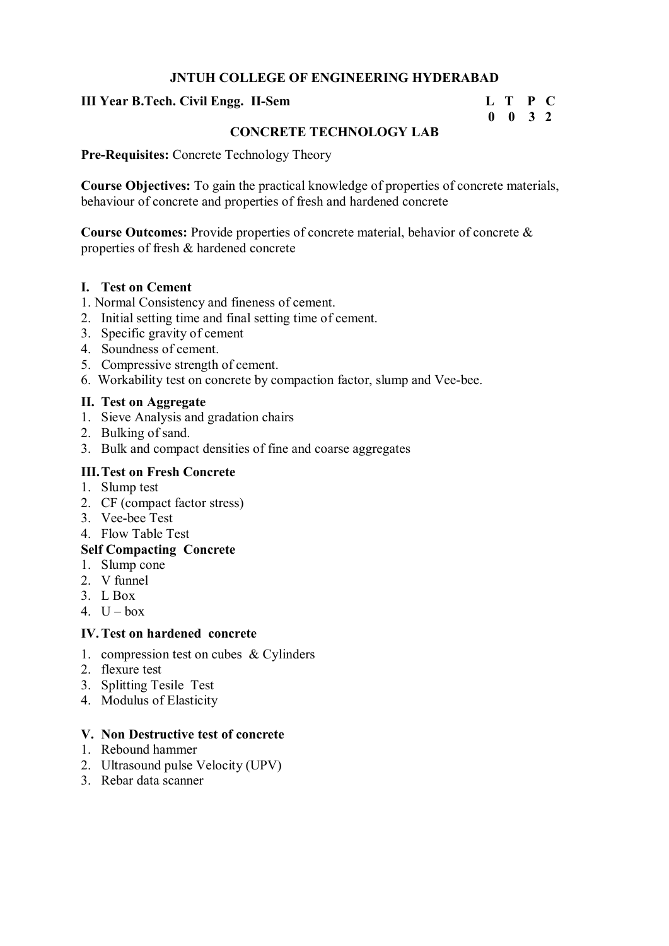## **III Year B.Tech. Civil Engg. II-Sem L P 2020**

| ar B.Tech. Civil Engg. II-Sem | L T P C            |  |
|-------------------------------|--------------------|--|
|                               | $0 \t 0 \t 3 \t 2$ |  |

## **CONCRETE TECHNOLOGY LAB**

**Pre-Requisites:** Concrete Technology Theory

**Course Objectives:** To gain the practical knowledge of properties of concrete materials, behaviour of concrete and properties of fresh and hardened concrete

**Course Outcomes:** Provide properties of concrete material, behavior of concrete & properties of fresh & hardened concrete

#### **I. Test on Cement**

## 1. Normal Consistency and fineness of cement.

- 2. Initial setting time and final setting time of cement.
- 3. Specific gravity of cement
- 4. Soundness of cement.
- 5. Compressive strength of cement.
- 6. Workability test on concrete by compaction factor, slump and Vee-bee.

## **II. Test on Aggregate**

- 1. Sieve Analysis and gradation chairs
- 2. Bulking of sand.
- 3. Bulk and compact densities of fine and coarse aggregates

## **III.Test on Fresh Concrete**

- 1. Slump test
- 2. CF (compact factor stress)
- 3. Vee-bee Test
- 4. Flow Table Test

## **Self Compacting Concrete**

- 1. Slump cone
- 2. V funnel
- 3. L Box
- 4.  $U box$

#### **IV.Test on hardened concrete**

- 1. compression test on cubes & Cylinders
- 2. flexure test
- 3. Splitting Tesile Test
- 4. Modulus of Elasticity

## **V. Non Destructive test of concrete**

- 1. Rebound hammer
- 2. Ultrasound pulse Velocity (UPV)
- 3. Rebar data scanner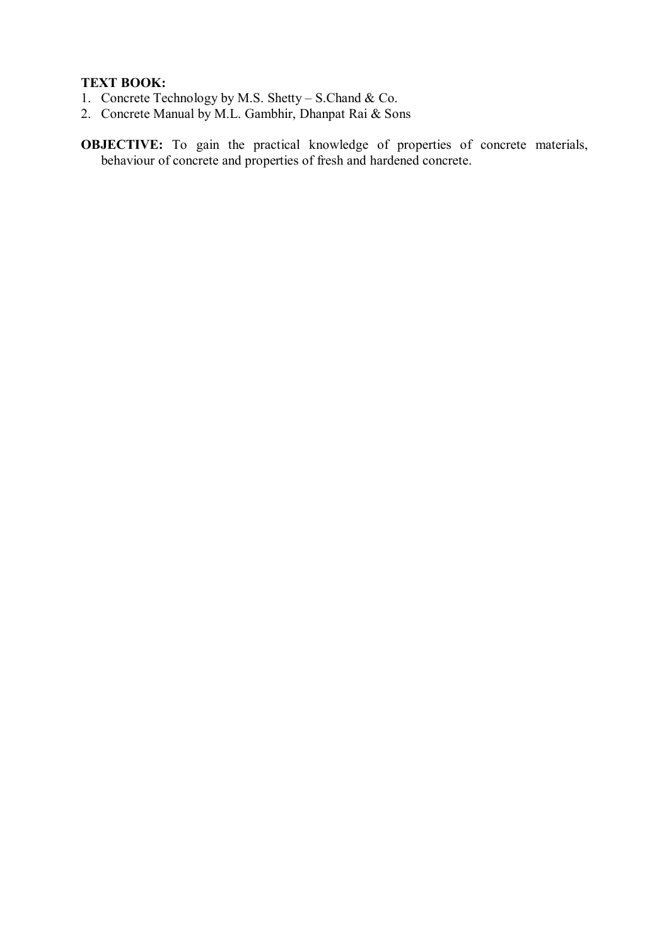## **TEXT BOOK:**

- 1. Concrete Technology by M.S. Shetty S.Chand & Co.
- 2. Concrete Manual by M.L. Gambhir, Dhanpat Rai & Sons

**OBJECTIVE:** To gain the practical knowledge of properties of concrete materials, behaviour of concrete and properties of fresh and hardened concrete.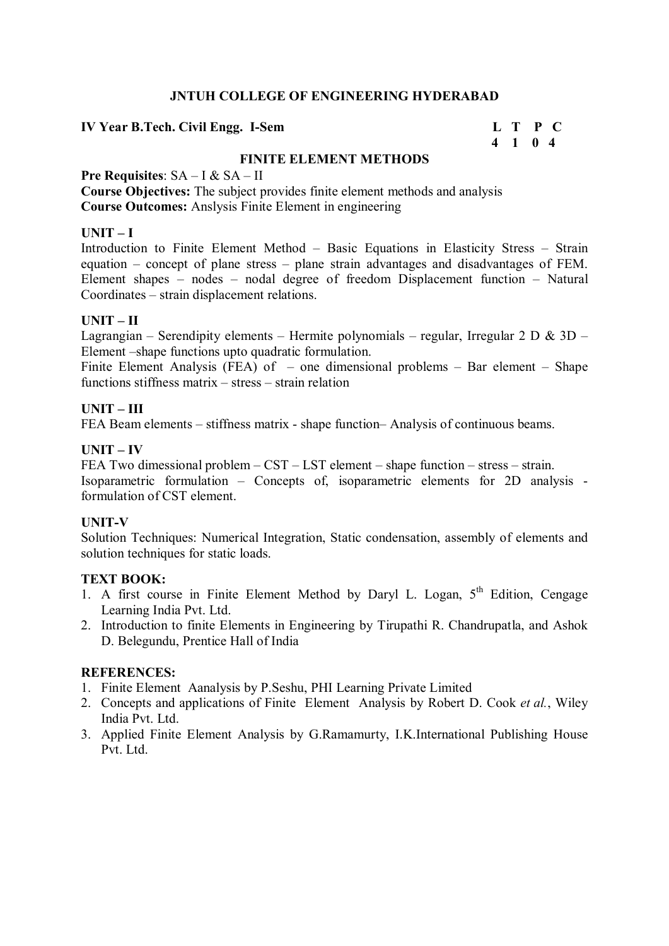## **IV Year B.Tech. Civil Engg. I-Sem**  L T P C

# **4 1 0 4**

## **FINITE ELEMENT METHODS**

**Pre Requisites**: SA – I & SA – II

**Course Objectives:** The subject provides finite element methods and analysis **Course Outcomes:** Anslysis Finite Element in engineering

#### **UNIT – I**

Introduction to Finite Element Method – Basic Equations in Elasticity Stress – Strain equation – concept of plane stress – plane strain advantages and disadvantages of FEM. Element shapes – nodes – nodal degree of freedom Displacement function – Natural Coordinates – strain displacement relations.

#### **UNIT – II**

Lagrangian – Serendipity elements – Hermite polynomials – regular, Irregular 2 D & 3D – Element –shape functions upto quadratic formulation.

Finite Element Analysis (FEA) of – one dimensional problems – Bar element – Shape functions stiffness matrix – stress – strain relation

#### **UNIT – III**

FEA Beam elements – stiffness matrix - shape function– Analysis of continuous beams.

#### **UNIT – IV**

FEA Two dimessional problem – CST – LST element – shape function – stress – strain. Isoparametric formulation – Concepts of, isoparametric elements for 2D analysis formulation of CST element.

#### **UNIT-V**

Solution Techniques: Numerical Integration, Static condensation, assembly of elements and solution techniques for static loads.

#### **TEXT BOOK:**

- 1. A first course in Finite Element Method by Daryl L. Logan,  $5<sup>th</sup>$  Edition, Cengage Learning India Pvt. Ltd.
- 2. Introduction to finite Elements in Engineering by Tirupathi R. Chandrupatla, and Ashok D. Belegundu, Prentice Hall of India

#### **REFERENCES:**

- 1. Finite Element Aanalysis by P.Seshu, PHI Learning Private Limited
- 2. Concepts and applications of Finite Element Analysis by Robert D. Cook *et al.*, Wiley India Pvt. Ltd.
- 3. Applied Finite Element Analysis by G.Ramamurty, I.K.International Publishing House Pvt. Ltd.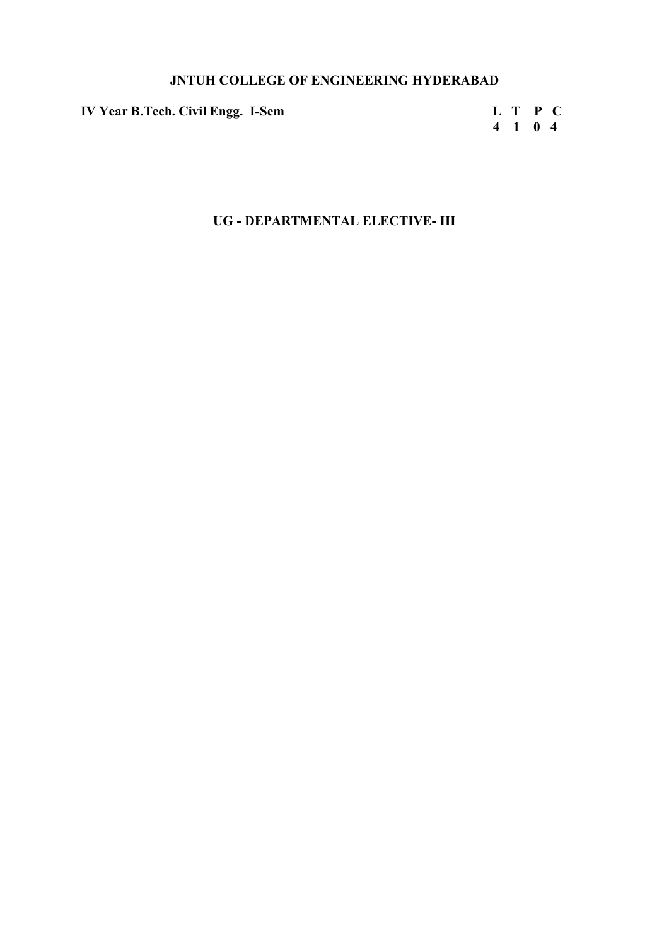**IV Year B.Tech. Civil Engg. I-Sem** 

 **4 1 0 4** 

## **UG - DEPARTMENTAL ELECTIVE- III**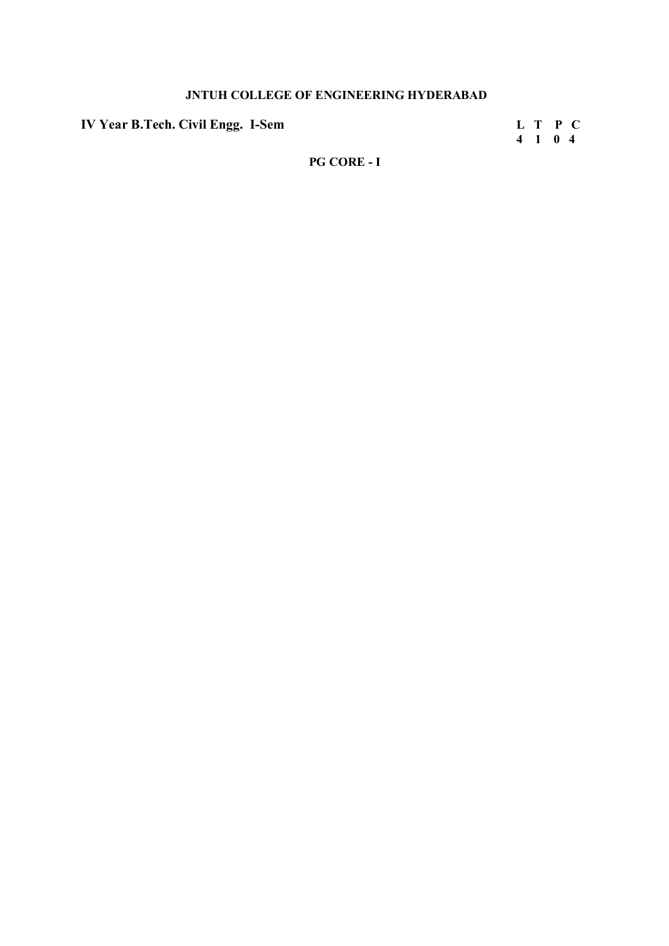| <b>IV Year B.Tech. Civil Engg. I-Sem</b> | L T P C |         |  |
|------------------------------------------|---------|---------|--|
|                                          |         | 4 1 0 4 |  |
|                                          |         |         |  |

**PG CORE - I**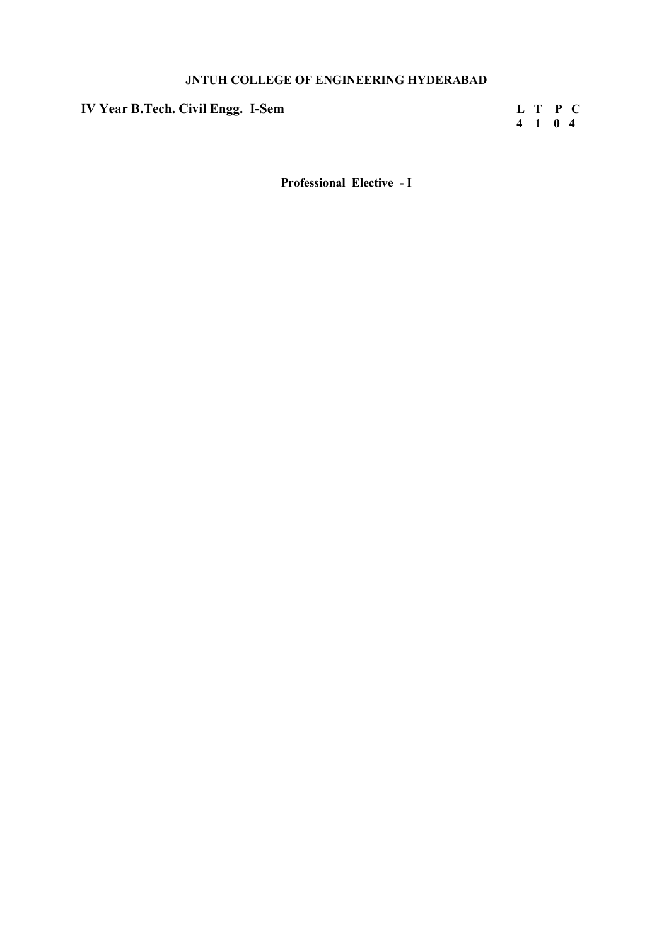**IV Year B.Tech. Civil Engg. I-Sem** 

 **4 1 0 4** 

 **Professional Elective - I**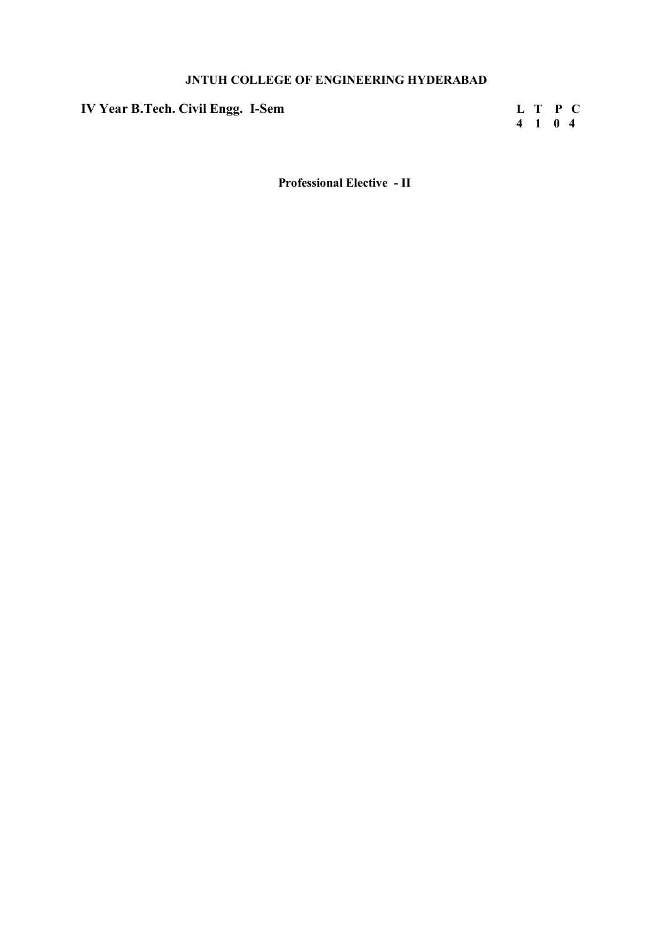**IV Year B.Tech. Civil Engg. I-Sem** 

 **4 1 0 4** 

**Professional Elective - II**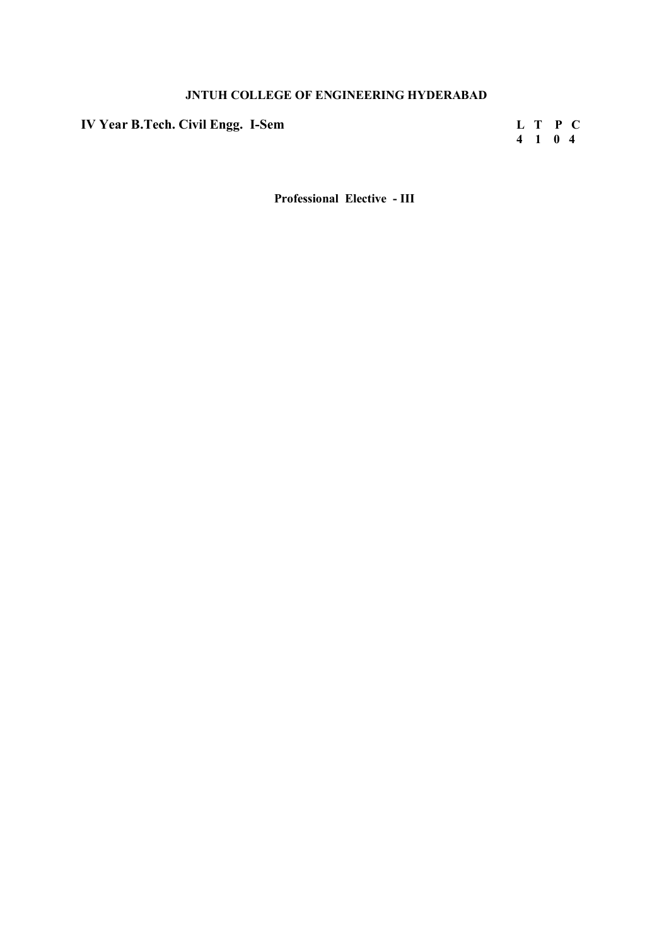**IV Year B.Tech. Civil Engg. I-Sem** 

 **4 1 0 4** 

**Professional Elective - III**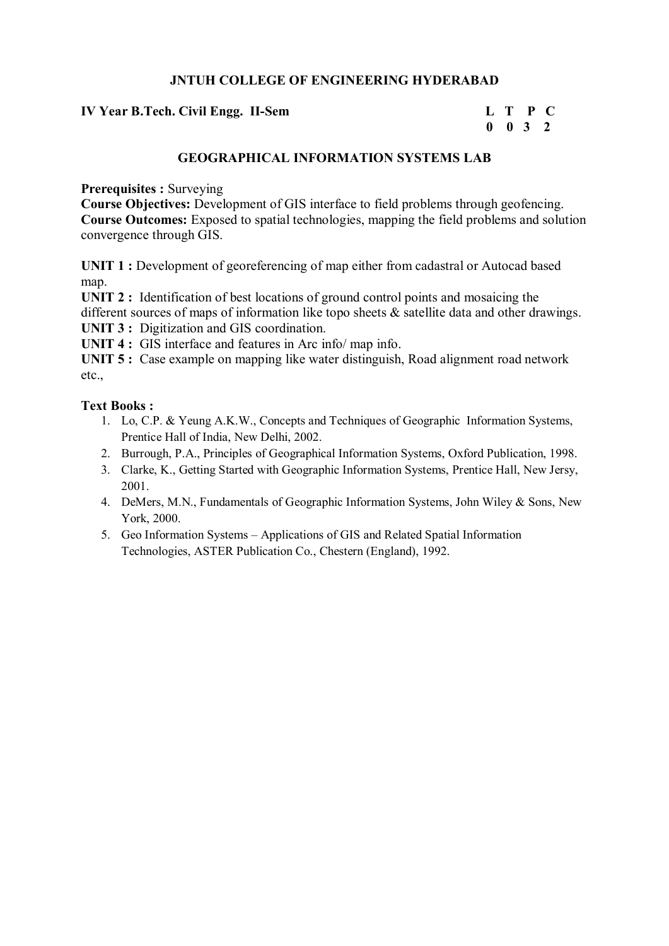## **IV Year B.Tech. Civil Engg. II-Sem L T P C**

# **0 0 3 2**

# **GEOGRAPHICAL INFORMATION SYSTEMS LAB**

**Prerequisites :** Surveying

**Course Objectives:** Development of GIS interface to field problems through geofencing. **Course Outcomes:** Exposed to spatial technologies, mapping the field problems and solution convergence through GIS.

**UNIT 1 :** Development of georeferencing of map either from cadastral or Autocad based map.

**UNIT 2 :** Identification of best locations of ground control points and mosaicing the different sources of maps of information like topo sheets & satellite data and other drawings. **UNIT 3 :** Digitization and GIS coordination.

**UNIT 4 :** GIS interface and features in Arc info/ map info.

**UNIT 5 :** Case example on mapping like water distinguish, Road alignment road network etc.,

## **Text Books :**

- 1. Lo, C.P. & Yeung A.K.W., Concepts and Techniques of Geographic Information Systems, Prentice Hall of India, New Delhi, 2002.
- 2. Burrough, P.A., Principles of Geographical Information Systems, Oxford Publication, 1998.
- 3. Clarke, K., Getting Started with Geographic Information Systems, Prentice Hall, New Jersy, 2001.
- 4. DeMers, M.N., Fundamentals of Geographic Information Systems, John Wiley & Sons, New York, 2000.
- 5. Geo Information Systems Applications of GIS and Related Spatial Information Technologies, ASTER Publication Co., Chestern (England), 1992.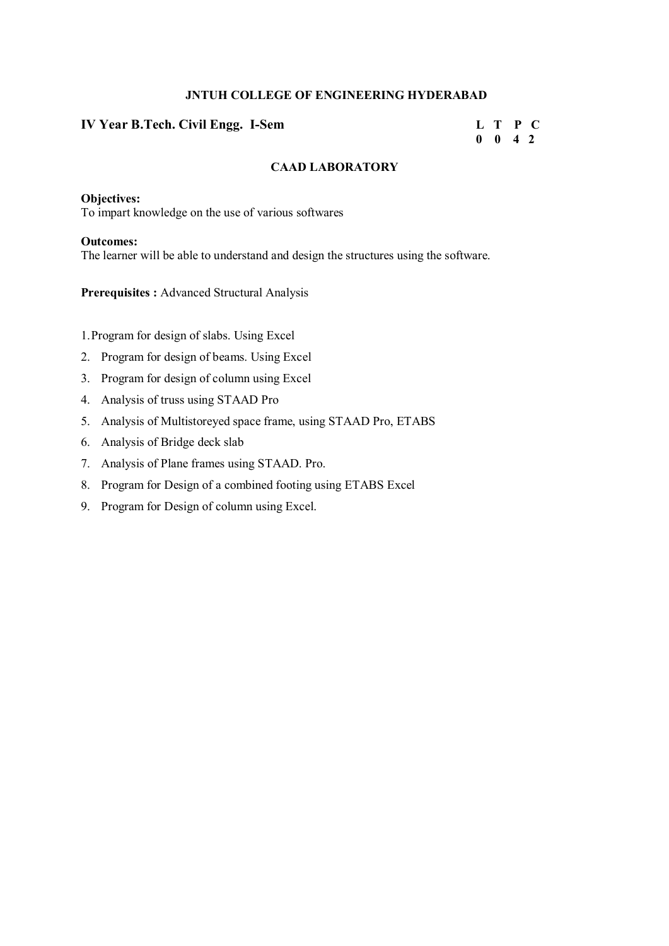## **IV Year B.Tech. Civil Engg. I-Sem L T P C**

# **0 0 4 2**

#### **CAAD LABORATORY**

#### **Objectives:**

To impart knowledge on the use of various softwares

#### **Outcomes:**

The learner will be able to understand and design the structures using the software.

**Prerequisites :** Advanced Structural Analysis

1. Program for design of slabs. Using Excel

- 2. Program for design of beams. Using Excel
- 3. Program for design of column using Excel
- 4. Analysis of truss using STAAD Pro
- 5. Analysis of Multistoreyed space frame, using STAAD Pro, ETABS
- 6. Analysis of Bridge deck slab
- 7. Analysis of Plane frames using STAAD. Pro.
- 8. Program for Design of a combined footing using ETABS Excel
- 9. Program for Design of column using Excel.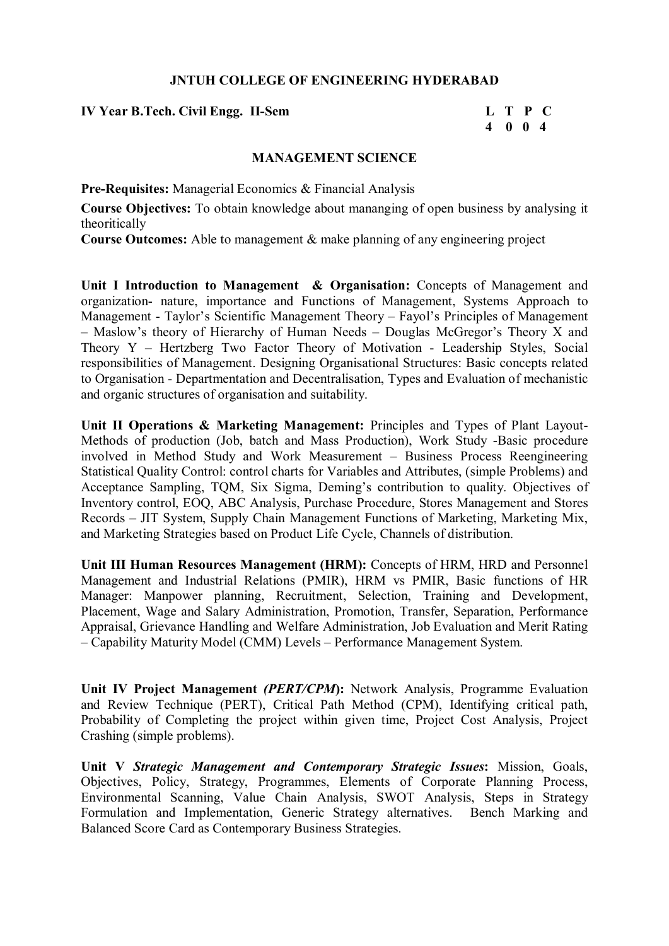#### **IV Year B.Tech. Civil Engg. II-Sem**  L T P C

# **4 0 0 4**

#### **MANAGEMENT SCIENCE**

**Pre-Requisites:** Managerial Economics & Financial Analysis

**Course Objectives:** To obtain knowledge about mananging of open business by analysing it theoritically

**Course Outcomes:** Able to management & make planning of any engineering project

Unit I Introduction to Management & Organisation: Concepts of Management and organization- nature, importance and Functions of Management, Systems Approach to Management - Taylor's Scientific Management Theory – Fayol's Principles of Management – Maslow's theory of Hierarchy of Human Needs – Douglas McGregor's Theory X and Theory Y – Hertzberg Two Factor Theory of Motivation - Leadership Styles, Social responsibilities of Management. Designing Organisational Structures: Basic concepts related to Organisation - Departmentation and Decentralisation, Types and Evaluation of mechanistic and organic structures of organisation and suitability.

**Unit II Operations & Marketing Management:** Principles and Types of Plant Layout-Methods of production (Job, batch and Mass Production), Work Study -Basic procedure involved in Method Study and Work Measurement – Business Process Reengineering Statistical Quality Control: control charts for Variables and Attributes, (simple Problems) and Acceptance Sampling, TQM, Six Sigma, Deming's contribution to quality. Objectives of Inventory control, EOQ, ABC Analysis, Purchase Procedure, Stores Management and Stores Records – JIT System, Supply Chain Management Functions of Marketing, Marketing Mix, and Marketing Strategies based on Product Life Cycle, Channels of distribution.

**Unit III Human Resources Management (HRM):** Concepts of HRM, HRD and Personnel Management and Industrial Relations (PMIR), HRM vs PMIR, Basic functions of HR Manager: Manpower planning, Recruitment, Selection, Training and Development, Placement, Wage and Salary Administration, Promotion, Transfer, Separation, Performance Appraisal, Grievance Handling and Welfare Administration, Job Evaluation and Merit Rating – Capability Maturity Model (CMM) Levels – Performance Management System.

**Unit IV Project Management** *(PERT/CPM***):** Network Analysis, Programme Evaluation and Review Technique (PERT), Critical Path Method (CPM), Identifying critical path, Probability of Completing the project within given time, Project Cost Analysis, Project Crashing (simple problems).

**Unit V** *Strategic Management and Contemporary Strategic Issues***:** Mission, Goals, Objectives, Policy, Strategy, Programmes, Elements of Corporate Planning Process, Environmental Scanning, Value Chain Analysis, SWOT Analysis, Steps in Strategy Formulation and Implementation, Generic Strategy alternatives. Bench Marking and Balanced Score Card as Contemporary Business Strategies.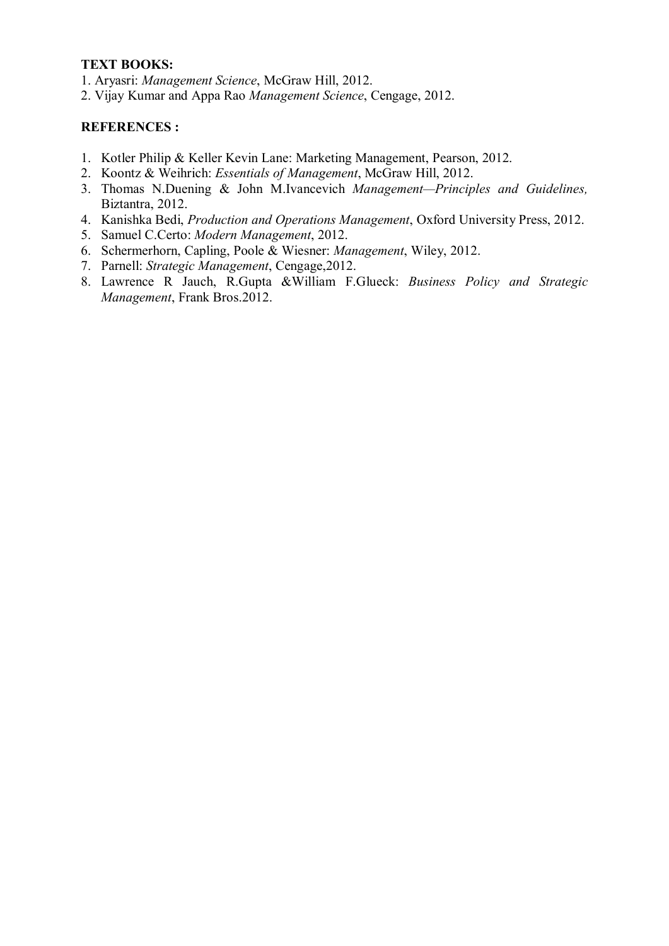## **TEXT BOOKS:**

- 1. Aryasri: *Management Science*, McGraw Hill, 2012.
- 2. Vijay Kumar and Appa Rao *Management Science*, Cengage, 2012.

## **REFERENCES :**

- 1. Kotler Philip & Keller Kevin Lane: Marketing Management, Pearson, 2012.
- 2. Koontz & Weihrich: *Essentials of Management*, McGraw Hill, 2012.
- 3. Thomas N.Duening & John M.Ivancevich *Management—Principles and Guidelines,*  Biztantra, 2012.
- 4. Kanishka Bedi, *Production and Operations Management*, Oxford University Press, 2012.
- 5. Samuel C.Certo: *Modern Management*, 2012.
- 6. Schermerhorn, Capling, Poole & Wiesner: *Management*, Wiley, 2012.
- 7. Parnell: *Strategic Management*, Cengage,2012.
- 8. Lawrence R Jauch, R.Gupta &William F.Glueck: *Business Policy and Strategic Management*, Frank Bros.2012.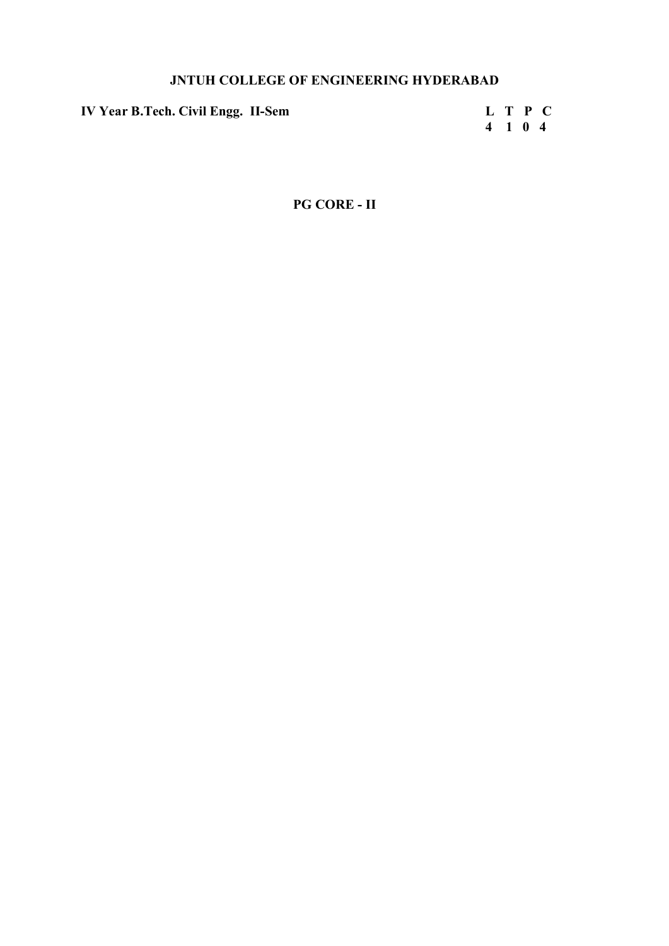**IV Year B.Tech. Civil Engg. II-Sem** 

 **4 1 0 4** 

**PG CORE - II**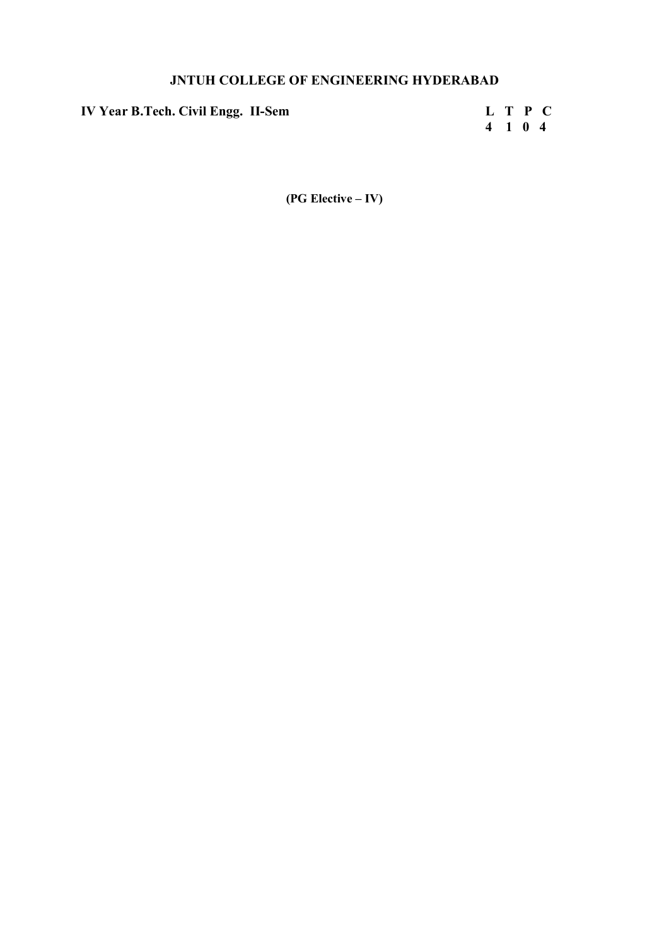**IV Year B.Tech. Civil Engg. II-Sem** 

 **4 1 0 4** 

**(PG Elective – IV)**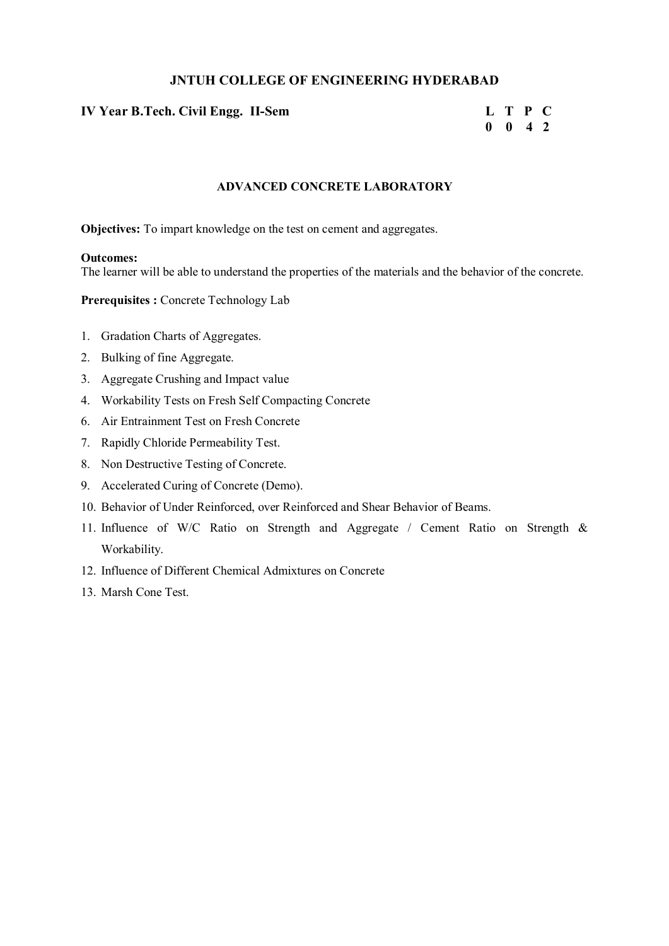# **IV Year B.Tech. Civil Engg. II-Sem**  L T P C

# **0 0 4 2**

# **ADVANCED CONCRETE LABORATORY**

**Objectives:** To impart knowledge on the test on cement and aggregates.

# **Outcomes:**

The learner will be able to understand the properties of the materials and the behavior of the concrete.

**Prerequisites :** Concrete Technology Lab

- 1. Gradation Charts of Aggregates.
- 2. Bulking of fine Aggregate.
- 3. Aggregate Crushing and Impact value
- 4. Workability Tests on Fresh Self Compacting Concrete
- 6. Air Entrainment Test on Fresh Concrete
- 7. Rapidly Chloride Permeability Test.
- 8. Non Destructive Testing of Concrete.
- 9. Accelerated Curing of Concrete (Demo).
- 10. Behavior of Under Reinforced, over Reinforced and Shear Behavior of Beams.
- 11. Influence of W/C Ratio on Strength and Aggregate / Cement Ratio on Strength & Workability.
- 12. Influence of Different Chemical Admixtures on Concrete
- 13. Marsh Cone Test.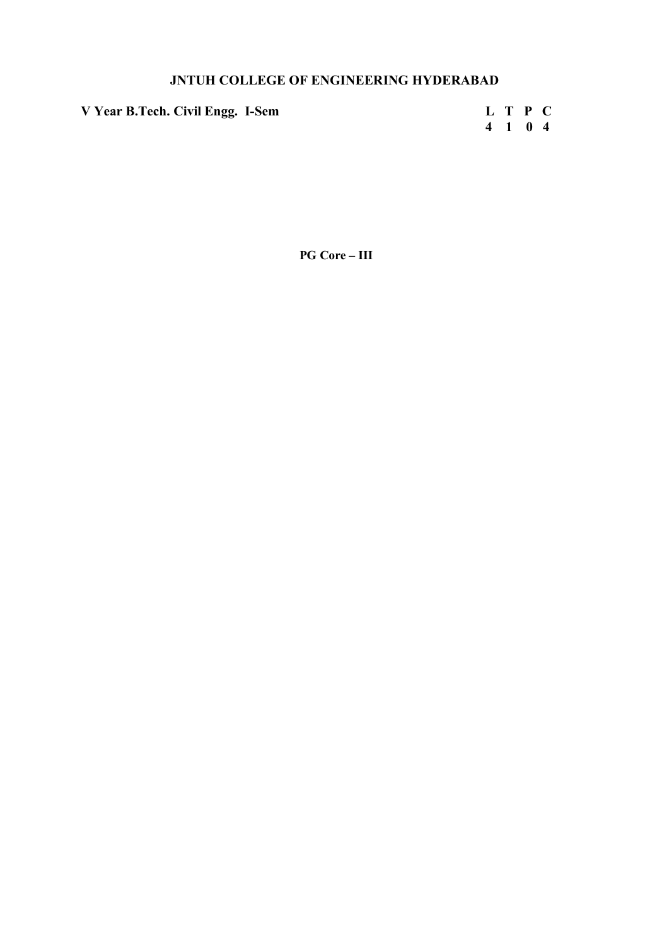**V Year B.Tech. Civil Engg. I-Sem** 

 **4 1 0 4** 

 **PG Core – III**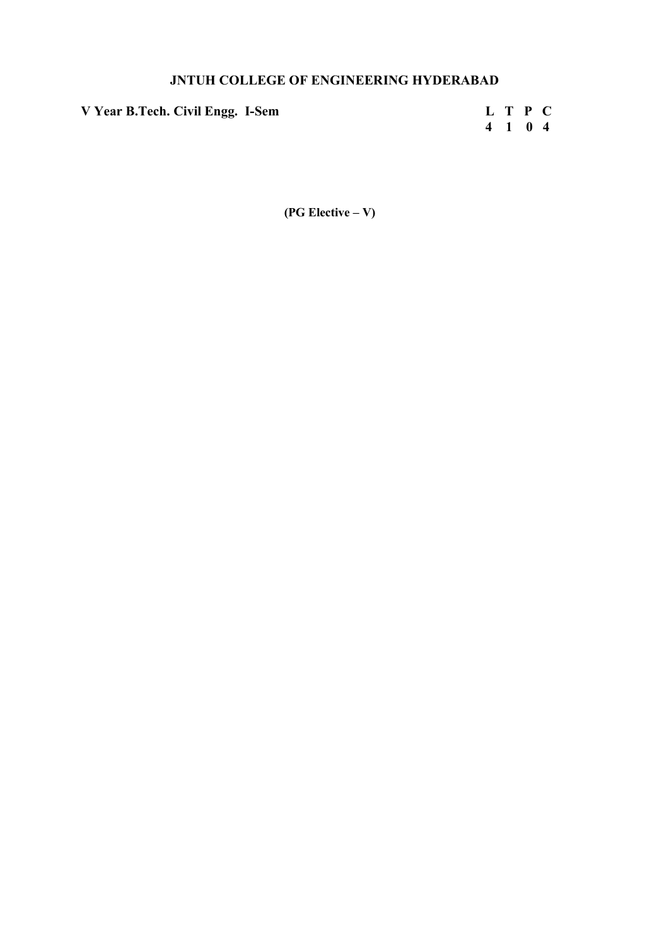**V Year B.Tech. Civil Engg. I-Sem** 

 **4 1 0 4** 

 **(PG Elective – V)**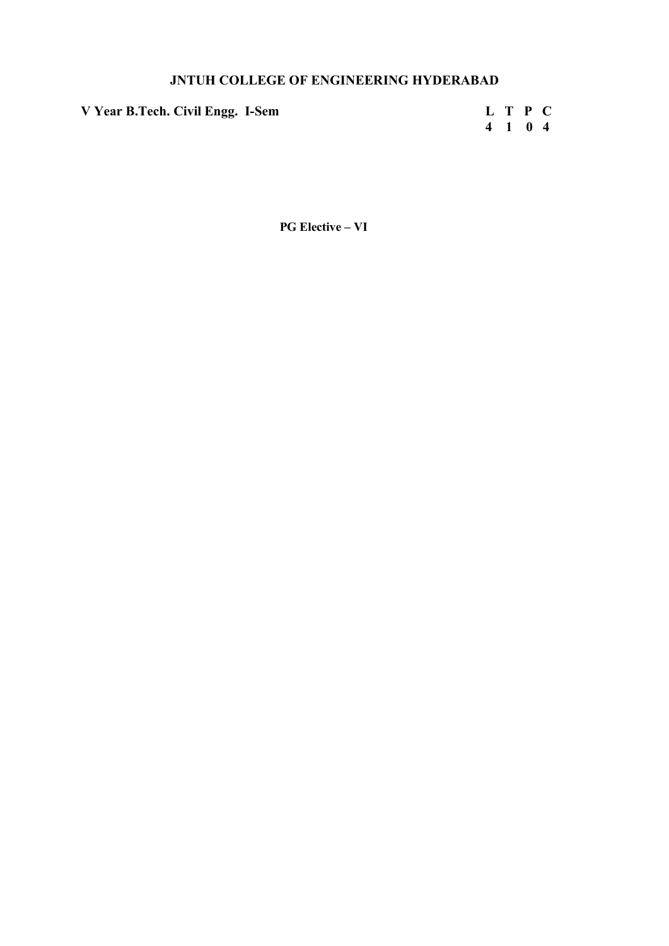**V Year B.Tech. Civil Engg. I-Sem** 

 **4 1 0 4** 

 **PG Elective – VI**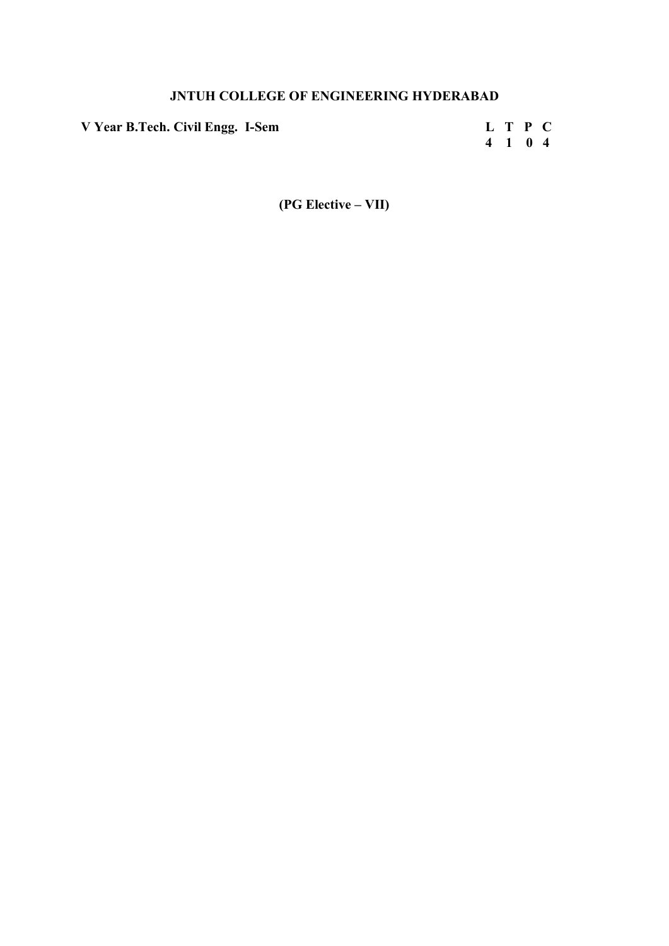V Year B.Tech. Civil Engg. I-Sem L T P C

 **4 1 0 4** 

**(PG Elective – VII)**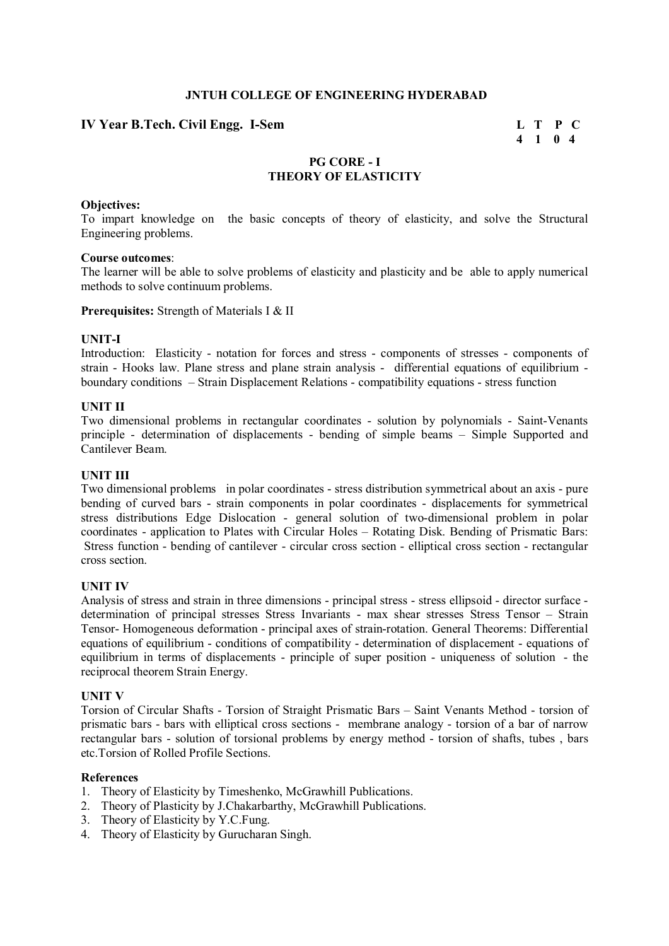# **IV Year B.Tech. Civil Engg. I-Sem L T P C**

# **4 1 0 4**

# **PG CORE - I THEORY OF ELASTICITY**

# **Objectives:**

To impart knowledge on the basic concepts of theory of elasticity, and solve the Structural Engineering problems.

# **Course outcomes**:

The learner will be able to solve problems of elasticity and plasticity and be able to apply numerical methods to solve continuum problems.

**Prerequisites:** Strength of Materials I & II

# **UNIT-I**

Introduction: Elasticity - notation for forces and stress - components of stresses - components of strain - Hooks law. Plane stress and plane strain analysis - differential equations of equilibrium boundary conditions – Strain Displacement Relations - compatibility equations - stress function

# **UNIT II**

Two dimensional problems in rectangular coordinates - solution by polynomials - Saint-Venants principle - determination of displacements - bending of simple beams – Simple Supported and Cantilever Beam.

# **UNIT III**

Two dimensional problems in polar coordinates - stress distribution symmetrical about an axis - pure bending of curved bars - strain components in polar coordinates - displacements for symmetrical stress distributions Edge Dislocation - general solution of two-dimensional problem in polar coordinates - application to Plates with Circular Holes – Rotating Disk. Bending of Prismatic Bars: Stress function - bending of cantilever - circular cross section - elliptical cross section - rectangular cross section.

# **UNIT IV**

Analysis of stress and strain in three dimensions - principal stress - stress ellipsoid - director surface determination of principal stresses Stress Invariants - max shear stresses Stress Tensor – Strain Tensor- Homogeneous deformation - principal axes of strain-rotation. General Theorems: Differential equations of equilibrium - conditions of compatibility - determination of displacement - equations of equilibrium in terms of displacements - principle of super position - uniqueness of solution - the reciprocal theorem Strain Energy.

# **UNIT V**

Torsion of Circular Shafts - Torsion of Straight Prismatic Bars – Saint Venants Method - torsion of prismatic bars - bars with elliptical cross sections - membrane analogy - torsion of a bar of narrow rectangular bars - solution of torsional problems by energy method - torsion of shafts, tubes , bars etc.Torsion of Rolled Profile Sections.

# **References**

- 1. Theory of Elasticity by Timeshenko, McGrawhill Publications.
- 2. Theory of Plasticity by J.Chakarbarthy, McGrawhill Publications.
- 3. Theory of Elasticity by Y.C.Fung.
- 4. Theory of Elasticity by Gurucharan Singh.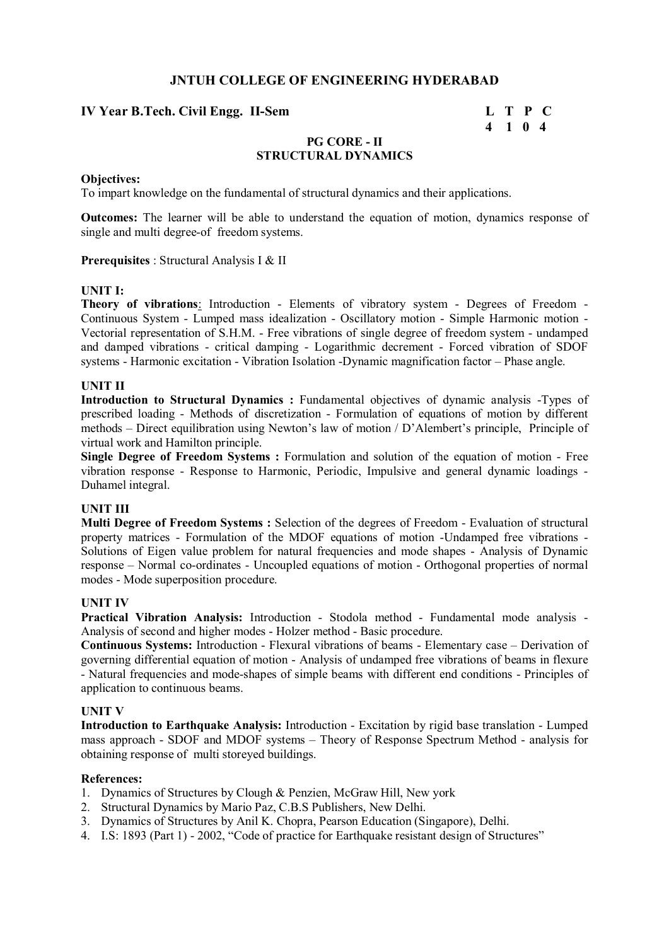# **IV Year B.Tech. Civil Engg. II-Sem** <br>**L T P C**  $\overline{4}$  **1** 0  $\overline{4}$

# **4 1 0 4**

# **PG CORE - II STRUCTURAL DYNAMICS**

# **Objectives:**

To impart knowledge on the fundamental of structural dynamics and their applications.

**Outcomes:** The learner will be able to understand the equation of motion, dynamics response of single and multi degree-of freedom systems.

# **Prerequisites** : Structural Analysis I & II

# **UNIT I:**

**Theory of vibrations**: Introduction - Elements of vibratory system - Degrees of Freedom - Continuous System - Lumped mass idealization - Oscillatory motion - Simple Harmonic motion - Vectorial representation of S.H.M. - Free vibrations of single degree of freedom system - undamped and damped vibrations - critical damping - Logarithmic decrement - Forced vibration of SDOF systems - Harmonic excitation - Vibration Isolation -Dynamic magnification factor – Phase angle.

# **UNIT II**

**Introduction to Structural Dynamics :** Fundamental objectives of dynamic analysis -Types of prescribed loading - Methods of discretization - Formulation of equations of motion by different methods – Direct equilibration using Newton's law of motion / D'Alembert's principle, Principle of virtual work and Hamilton principle.

**Single Degree of Freedom Systems :** Formulation and solution of the equation of motion - Free vibration response - Response to Harmonic, Periodic, Impulsive and general dynamic loadings - Duhamel integral.

# **UNIT III**

**Multi Degree of Freedom Systems :** Selection of the degrees of Freedom - Evaluation of structural property matrices - Formulation of the MDOF equations of motion -Undamped free vibrations - Solutions of Eigen value problem for natural frequencies and mode shapes - Analysis of Dynamic response – Normal co-ordinates - Uncoupled equations of motion - Orthogonal properties of normal modes - Mode superposition procedure.

# **UNIT IV**

**Practical Vibration Analysis:** Introduction - Stodola method - Fundamental mode analysis - Analysis of second and higher modes - Holzer method - Basic procedure.

**Continuous Systems:** Introduction - Flexural vibrations of beams - Elementary case – Derivation of governing differential equation of motion - Analysis of undamped free vibrations of beams in flexure - Natural frequencies and mode-shapes of simple beams with different end conditions - Principles of application to continuous beams.

# **UNIT V**

**Introduction to Earthquake Analysis:** Introduction - Excitation by rigid base translation - Lumped mass approach - SDOF and MDOF systems – Theory of Response Spectrum Method - analysis for obtaining response of multi storeyed buildings.

# **References:**

- 1. Dynamics of Structures by Clough & Penzien, McGraw Hill, New york
- 2. Structural Dynamics by Mario Paz, C.B.S Publishers, New Delhi.
- 3. Dynamics of Structures by Anil K. Chopra, Pearson Education (Singapore), Delhi.
- 4. I.S: 1893 (Part 1) 2002, "Code of practice for Earthquake resistant design of Structures"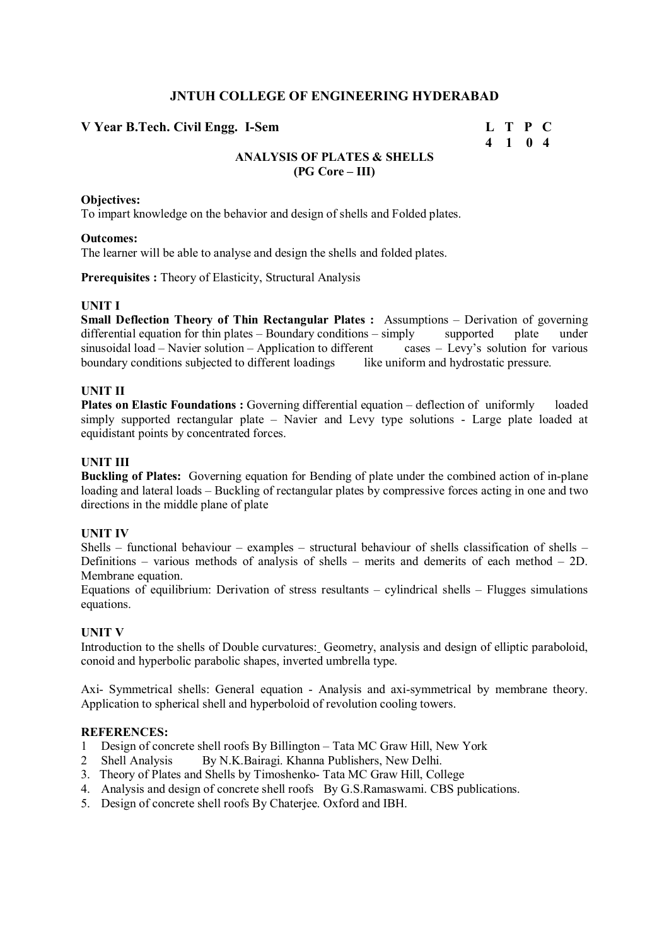# **V** Year B.Tech. Civil Engg. I-Sem L T P C

# **4 1 0 4**

# **ANALYSIS OF PLATES & SHELLS (PG Core – III)**

# **Objectives:**

To impart knowledge on the behavior and design of shells and Folded plates.

# **Outcomes:**

The learner will be able to analyse and design the shells and folded plates.

**Prerequisites :** Theory of Elasticity, Structural Analysis

# **UNIT I**

**Small Deflection Theory of Thin Rectangular Plates :** Assumptions – Derivation of governing differential equation for thin plates – Boundary conditions – simply supported plate under sinusoidal load – Navier solution – Application to different cases – Levy's solution for various boundary conditions subjected to different loadings like uniform and hydrostatic pressure.

# **UNIT II**

**Plates on Elastic Foundations :** Governing differential equation – deflection of uniformly loaded simply supported rectangular plate – Navier and Levy type solutions - Large plate loaded at equidistant points by concentrated forces.

# **UNIT III**

**Buckling of Plates:** Governing equation for Bending of plate under the combined action of in-plane loading and lateral loads – Buckling of rectangular plates by compressive forces acting in one and two directions in the middle plane of plate

# **UNIT IV**

Shells – functional behaviour – examples – structural behaviour of shells classification of shells – Definitions – various methods of analysis of shells – merits and demerits of each method – 2D. Membrane equation.

Equations of equilibrium: Derivation of stress resultants – cylindrical shells – Flugges simulations equations.

# **UNIT V**

Introduction to the shells of Double curvatures: Geometry, analysis and design of elliptic paraboloid, conoid and hyperbolic parabolic shapes, inverted umbrella type.

Axi- Symmetrical shells: General equation - Analysis and axi-symmetrical by membrane theory. Application to spherical shell and hyperboloid of revolution cooling towers.

# **REFERENCES:**

- 1 Design of concrete shell roofs By Billington Tata MC Graw Hill, New York
- 2 Shell Analysis By N.K.Bairagi. Khanna Publishers, New Delhi.
- 3. Theory of Plates and Shells by Timoshenko- Tata MC Graw Hill, College
- 4. Analysis and design of concrete shell roofs By G.S.Ramaswami. CBS publications.
- 5. Design of concrete shell roofs By Chaterjee. Oxford and IBH.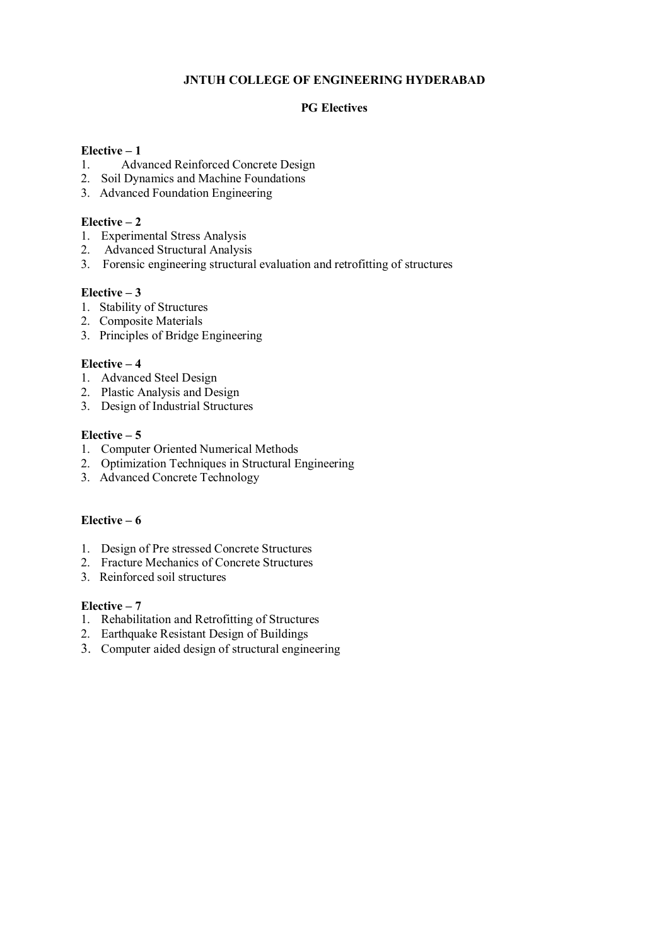# **PG Electives**

- **Elective 1**<br>1. **Adv** 1. Advanced Reinforced Concrete Design
- 2. Soil Dynamics and Machine Foundations
- 3. Advanced Foundation Engineering

# **Elective – 2**

- 1. Experimental Stress Analysis
- 2. Advanced Structural Analysis
- 3. Forensic engineering structural evaluation and retrofitting of structures

# **Elective – 3**

- 1. Stability of Structures
- 2. Composite Materials
- 3. Principles of Bridge Engineering

# **Elective – 4**

- 1. Advanced Steel Design
- 2. Plastic Analysis and Design
- 3. Design of Industrial Structures

# **Elective – 5**

- 1. Computer Oriented Numerical Methods
- 2. Optimization Techniques in Structural Engineering
- 3. Advanced Concrete Technology

# **Elective – 6**

- 1. Design of Pre stressed Concrete Structures
- 2. Fracture Mechanics of Concrete Structures
- 3. Reinforced soil structures

# **Elective – 7**

- 1. Rehabilitation and Retrofitting of Structures
- 2. Earthquake Resistant Design of Buildings
- 3. Computer aided design of structural engineering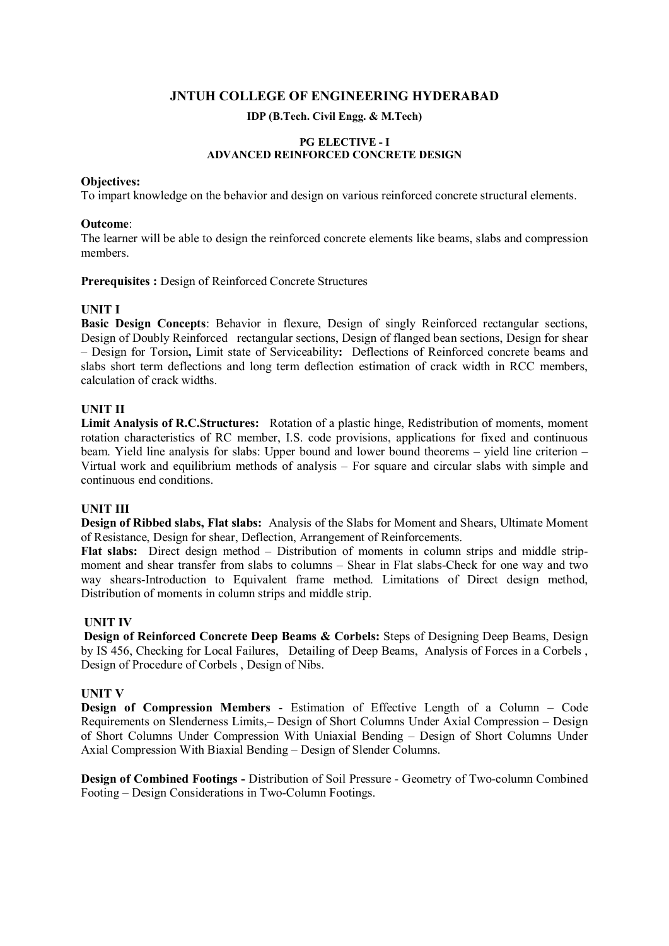# **IDP (B.Tech. Civil Engg. & M.Tech)**

# **PG ELECTIVE - I ADVANCED REINFORCED CONCRETE DESIGN**

# **Objectives:**

To impart knowledge on the behavior and design on various reinforced concrete structural elements.

# **Outcome**:

The learner will be able to design the reinforced concrete elements like beams, slabs and compression members.

**Prerequisites :** Design of Reinforced Concrete Structures

# **UNIT I**

**Basic Design Concepts**: Behavior in flexure, Design of singly Reinforced rectangular sections, Design of Doubly Reinforced rectangular sections, Design of flanged bean sections, Design for shear – Design for Torsion**,** Limit state of Serviceability**:** Deflections of Reinforced concrete beams and slabs short term deflections and long term deflection estimation of crack width in RCC members, calculation of crack widths.

# **UNIT II**

**Limit Analysis of R.C.Structures:** Rotation of a plastic hinge, Redistribution of moments, moment rotation characteristics of RC member, I.S. code provisions, applications for fixed and continuous beam. Yield line analysis for slabs: Upper bound and lower bound theorems – yield line criterion – Virtual work and equilibrium methods of analysis – For square and circular slabs with simple and continuous end conditions.

# **UNIT III**

**Design of Ribbed slabs, Flat slabs:** Analysis of the Slabs for Moment and Shears, Ultimate Moment of Resistance, Design for shear, Deflection, Arrangement of Reinforcements.

**Flat slabs:** Direct design method – Distribution of moments in column strips and middle stripmoment and shear transfer from slabs to columns – Shear in Flat slabs-Check for one way and two way shears-Introduction to Equivalent frame method. Limitations of Direct design method, Distribution of moments in column strips and middle strip.

# **UNIT IV**

 **Design of Reinforced Concrete Deep Beams & Corbels:** Steps of Designing Deep Beams, Design by IS 456, Checking for Local Failures, Detailing of Deep Beams, Analysis of Forces in a Corbels , Design of Procedure of Corbels , Design of Nibs.

# **UNIT V**

**Design of Compression Members** - Estimation of Effective Length of a Column – Code Requirements on Slenderness Limits,– Design of Short Columns Under Axial Compression – Design of Short Columns Under Compression With Uniaxial Bending – Design of Short Columns Under Axial Compression With Biaxial Bending – Design of Slender Columns.

**Design of Combined Footings -** Distribution of Soil Pressure - Geometry of Two-column Combined Footing – Design Considerations in Two-Column Footings.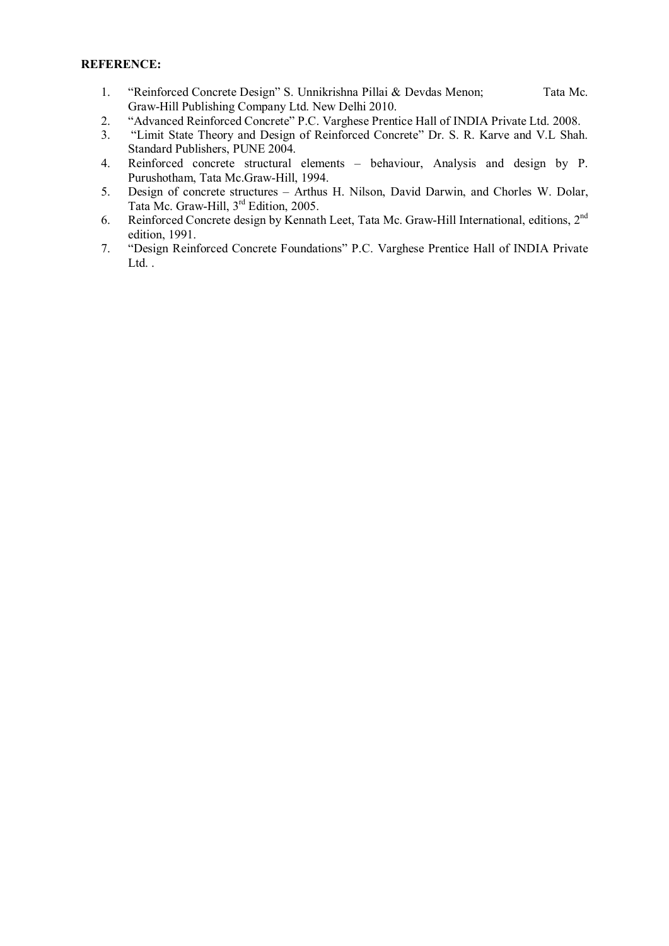# **REFERENCE:**

- 1. "Reinforced Concrete Design" S. Unnikrishna Pillai & Devdas Menon; Tata Mc. Graw-Hill Publishing Company Ltd. New Delhi 2010.
- 2. "Advanced Reinforced Concrete" P.C. Varghese Prentice Hall of INDIA Private Ltd. 2008.<br>3. "Limit State Theory and Design of Reinforced Concrete" Dr. S. R. Karve and V.L Shah
- "Limit State Theory and Design of Reinforced Concrete" Dr. S. R. Karve and V.L Shah. Standard Publishers, PUNE 2004.
- 4. Reinforced concrete structural elements behaviour, Analysis and design by P. Purushotham, Tata Mc.Graw-Hill, 1994.
- 5. Design of concrete structures Arthus H. Nilson, David Darwin, and Chorles W. Dolar, Tata Mc. Graw-Hill, 3rd Edition, 2005.
- 6. Reinforced Concrete design by Kennath Leet, Tata Mc. Graw-Hill International, editions, 2<sup>nd</sup> edition, 1991.
- 7. "Design Reinforced Concrete Foundations" P.C. Varghese Prentice Hall of INDIA Private Ltd. .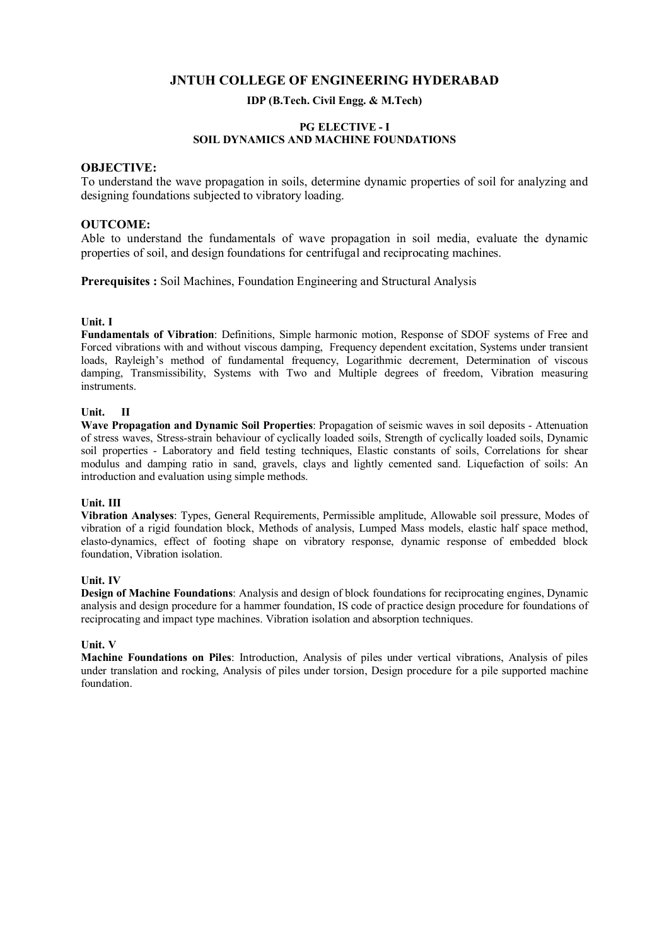#### **IDP (B.Tech. Civil Engg. & M.Tech)**

#### **PG ELECTIVE - I SOIL DYNAMICS AND MACHINE FOUNDATIONS**

# **OBJECTIVE:**

To understand the wave propagation in soils, determine dynamic properties of soil for analyzing and designing foundations subjected to vibratory loading.

#### **OUTCOME:**

Able to understand the fundamentals of wave propagation in soil media, evaluate the dynamic properties of soil, and design foundations for centrifugal and reciprocating machines.

**Prerequisites :** Soil Machines, Foundation Engineering and Structural Analysis

#### **Unit. I**

**Fundamentals of Vibration**: Definitions, Simple harmonic motion, Response of SDOF systems of Free and Forced vibrations with and without viscous damping, Frequency dependent excitation, Systems under transient loads, Rayleigh's method of fundamental frequency, Logarithmic decrement, Determination of viscous damping, Transmissibility, Systems with Two and Multiple degrees of freedom, Vibration measuring instruments.

#### **Unit. II**

**Wave Propagation and Dynamic Soil Properties**: Propagation of seismic waves in soil deposits - Attenuation of stress waves, Stress-strain behaviour of cyclically loaded soils, Strength of cyclically loaded soils, Dynamic soil properties - Laboratory and field testing techniques, Elastic constants of soils, Correlations for shear modulus and damping ratio in sand, gravels, clays and lightly cemented sand. Liquefaction of soils: An introduction and evaluation using simple methods.

#### **Unit. III**

**Vibration Analyses**: Types, General Requirements, Permissible amplitude, Allowable soil pressure, Modes of vibration of a rigid foundation block, Methods of analysis, Lumped Mass models, elastic half space method, elasto-dynamics, effect of footing shape on vibratory response, dynamic response of embedded block foundation, Vibration isolation.

#### **Unit. IV**

**Design of Machine Foundations**: Analysis and design of block foundations for reciprocating engines, Dynamic analysis and design procedure for a hammer foundation, IS code of practice design procedure for foundations of reciprocating and impact type machines. Vibration isolation and absorption techniques.

#### **Unit. V**

**Machine Foundations on Piles**: Introduction, Analysis of piles under vertical vibrations, Analysis of piles under translation and rocking, Analysis of piles under torsion, Design procedure for a pile supported machine foundation.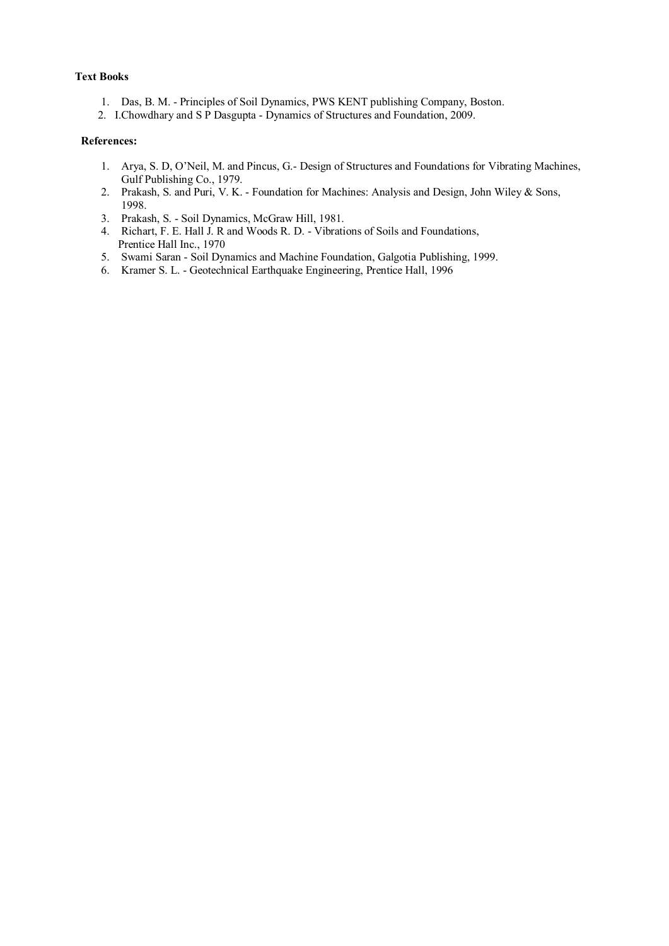#### **Text Books**

- 1. Das, B. M. Principles of Soil Dynamics, PWS KENT publishing Company, Boston.
- 2.I.Chowdhary and S P Dasgupta Dynamics of Structures and Foundation, 2009.

# **References:**

- 1. Arya, S. D, O'Neil, M. and Pincus, G.- Design of Structures and Foundations for Vibrating Machines, Gulf Publishing Co., 1979.
- 2. Prakash, S. and Puri, V. K. Foundation for Machines: Analysis and Design, John Wiley & Sons, 1998.
- 3. Prakash, S. Soil Dynamics, McGraw Hill, 1981.
- 4. Richart, F. E. Hall J. R and Woods R. D. Vibrations of Soils and Foundations, Prentice Hall Inc., 1970
- 5. Swami Saran Soil Dynamics and Machine Foundation, Galgotia Publishing, 1999.
- 6. Kramer S. L. Geotechnical Earthquake Engineering, Prentice Hall, 1996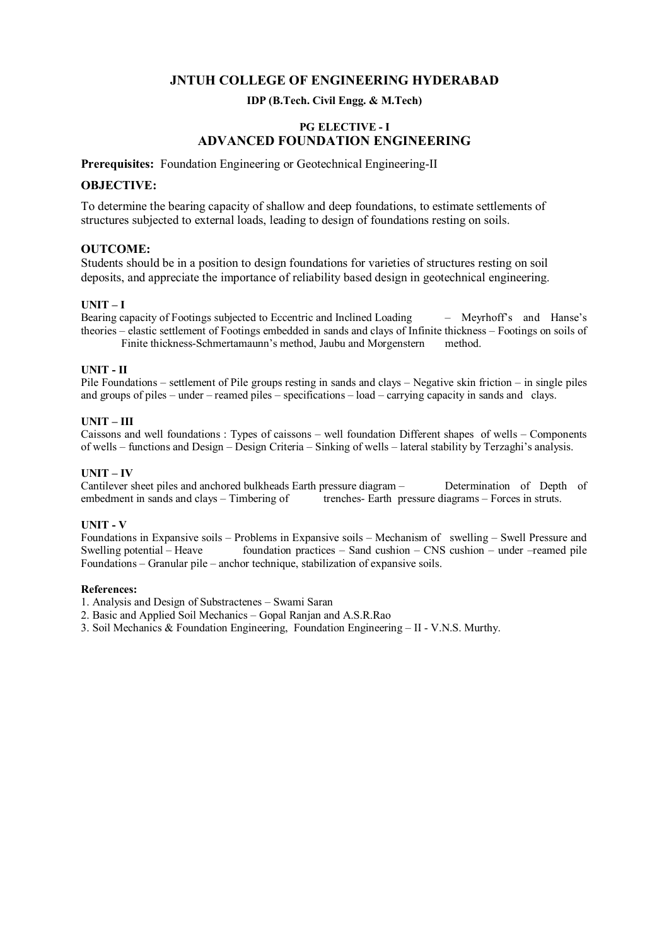# **IDP (B.Tech. Civil Engg. & M.Tech)**

# **PG ELECTIVE - I ADVANCED FOUNDATION ENGINEERING**

**Prerequisites:** Foundation Engineering or Geotechnical Engineering-II

# **OBJECTIVE:**

To determine the bearing capacity of shallow and deep foundations, to estimate settlements of structures subjected to external loads, leading to design of foundations resting on soils.

# **OUTCOME:**

Students should be in a position to design foundations for varieties of structures resting on soil deposits, and appreciate the importance of reliability based design in geotechnical engineering.

# **UNIT – I**

Bearing capacity of Footings subjected to Eccentric and Inclined Loading – Meyrhoff's and Hanse's theories – elastic settlement of Footings embedded in sands and clays of Infinite thickness – Footings on soils of Finite thickness-Schmertamaunn's method, Jaubu and Morgenstern method.

# **UNIT - II**

Pile Foundations – settlement of Pile groups resting in sands and clays – Negative skin friction – in single piles and groups of piles – under – reamed piles – specifications – load – carrying capacity in sands and clays.

# **UNIT – III**

Caissons and well foundations : Types of caissons – well foundation Different shapes of wells – Components of wells – functions and Design – Design Criteria – Sinking of wells – lateral stability by Terzaghi's analysis.

#### **UNIT – IV**

Cantilever sheet piles and anchored bulkheads Earth pressure diagram – Determination of Depth of embedment in sands and clays – Timbering of trenches- Earth pressure diagrams – Forces in struts. trenches- Earth pressure diagrams – Forces in struts.

# **UNIT - V**

Foundations in Expansive soils – Problems in Expansive soils – Mechanism of swelling – Swell Pressure and Swelling potential – Heave foundation practices – Sand cushion – CNS cushion – under –reamed pile Foundations – Granular pile – anchor technique, stabilization of expansive soils.

#### **References:**

1. Analysis and Design of Substractenes – Swami Saran

2. Basic and Applied Soil Mechanics – Gopal Ranjan and A.S.R.Rao

3. Soil Mechanics & Foundation Engineering, Foundation Engineering – II - V.N.S. Murthy.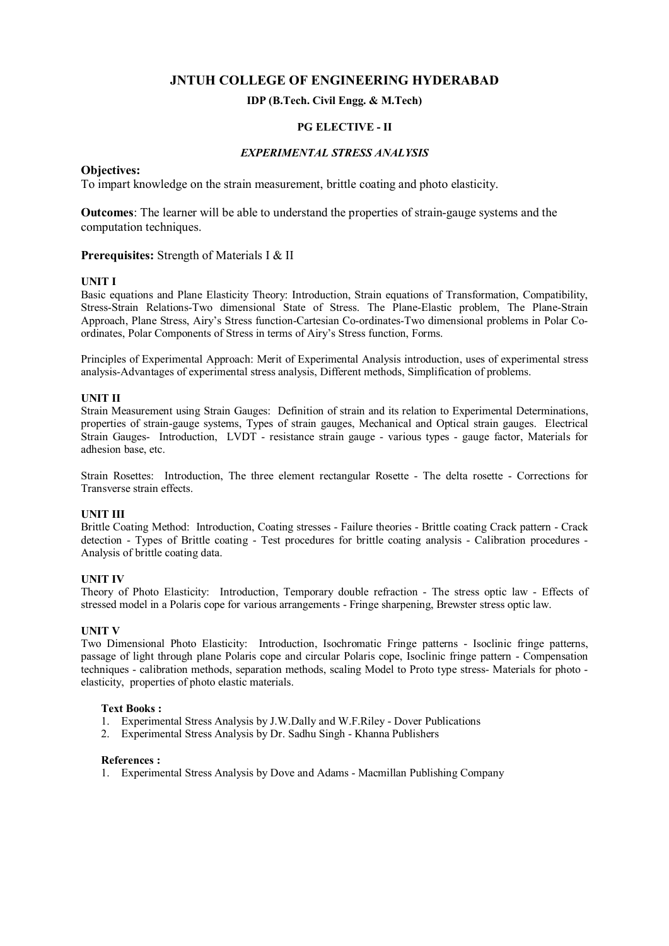# **IDP (B.Tech. Civil Engg. & M.Tech)**

#### **PG ELECTIVE - II**

#### *EXPERIMENTAL STRESS ANALYSIS*

#### **Objectives:**

To impart knowledge on the strain measurement, brittle coating and photo elasticity.

**Outcomes**: The learner will be able to understand the properties of strain-gauge systems and the computation techniques.

#### **Prerequisites:** Strength of Materials I & II

#### **UNIT I**

Basic equations and Plane Elasticity Theory: Introduction, Strain equations of Transformation, Compatibility, Stress-Strain Relations-Two dimensional State of Stress. The Plane-Elastic problem, The Plane-Strain Approach, Plane Stress, Airy's Stress function-Cartesian Co-ordinates-Two dimensional problems in Polar Coordinates, Polar Components of Stress in terms of Airy's Stress function, Forms.

Principles of Experimental Approach: Merit of Experimental Analysis introduction, uses of experimental stress analysis-Advantages of experimental stress analysis, Different methods, Simplification of problems.

#### **UNIT II**

Strain Measurement using Strain Gauges: Definition of strain and its relation to Experimental Determinations, properties of strain-gauge systems, Types of strain gauges, Mechanical and Optical strain gauges. Electrical Strain Gauges- Introduction, LVDT - resistance strain gauge - various types - gauge factor, Materials for adhesion base, etc.

Strain Rosettes:Introduction, The three element rectangular Rosette - The delta rosette - Corrections for Transverse strain effects.

# **UNIT III**

Brittle Coating Method: Introduction, Coating stresses - Failure theories - Brittle coating Crack pattern - Crack detection - Types of Brittle coating - Test procedures for brittle coating analysis - Calibration procedures - Analysis of brittle coating data.

#### **UNIT IV**

Theory of Photo Elasticity: Introduction, Temporary double refraction - The stress optic law - Effects of stressed model in a Polaris cope for various arrangements - Fringe sharpening, Brewster stress optic law.

#### **UNIT V**

Two Dimensional Photo Elasticity: Introduction, Isochromatic Fringe patterns - Isoclinic fringe patterns, passage of light through plane Polaris cope and circular Polaris cope, Isoclinic fringe pattern - Compensation techniques - calibration methods, separation methods, scaling Model to Proto type stress- Materials for photo elasticity, properties of photo elastic materials.

#### **Text Books :**

- 1. Experimental Stress Analysis by J.W.Dally and W.F.Riley Dover Publications
- 2. Experimental Stress Analysis by Dr. Sadhu Singh Khanna Publishers

#### **References :**

1. Experimental Stress Analysis by Dove and Adams - Macmillan Publishing Company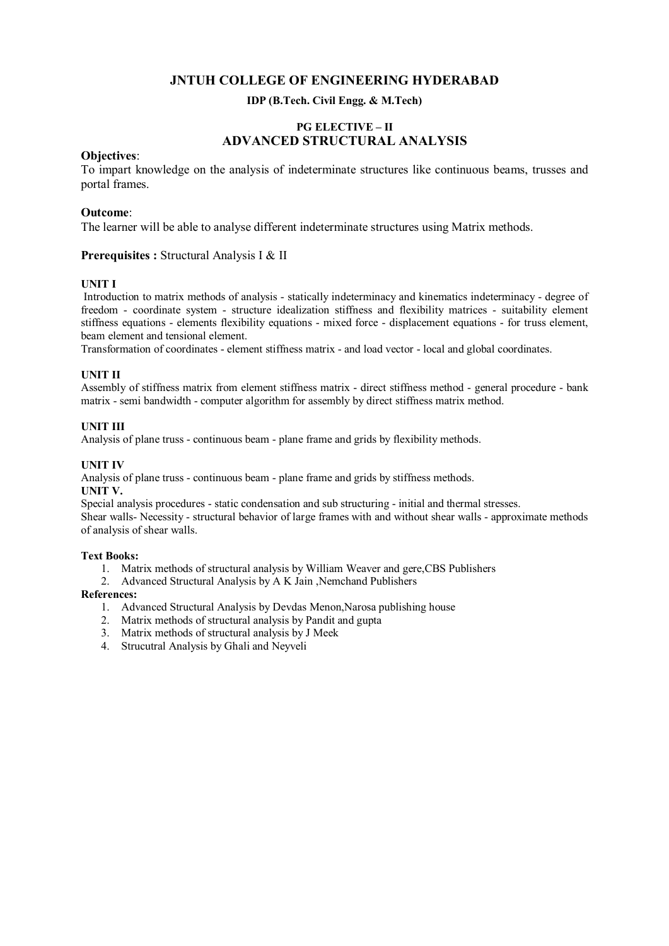# **IDP (B.Tech. Civil Engg. & M.Tech)**

# **PG ELECTIVE – II ADVANCED STRUCTURAL ANALYSIS**

# **Objectives**:

To impart knowledge on the analysis of indeterminate structures like continuous beams, trusses and portal frames.

# **Outcome**:

The learner will be able to analyse different indeterminate structures using Matrix methods.

# **Prerequisites : Structural Analysis I & II**

# **UNIT I**

Introduction to matrix methods of analysis - statically indeterminacy and kinematics indeterminacy - degree of freedom - coordinate system - structure idealization stiffness and flexibility matrices - suitability element stiffness equations - elements flexibility equations - mixed force - displacement equations - for truss element, beam element and tensional element.

Transformation of coordinates - element stiffness matrix - and load vector - local and global coordinates.

# **UNIT II**

Assembly of stiffness matrix from element stiffness matrix - direct stiffness method - general procedure - bank matrix - semi bandwidth - computer algorithm for assembly by direct stiffness matrix method.

# **UNIT III**

Analysis of plane truss - continuous beam - plane frame and grids by flexibility methods.

# **UNIT IV**

Analysis of plane truss - continuous beam - plane frame and grids by stiffness methods.

#### **UNIT V.**

Special analysis procedures - static condensation and sub structuring - initial and thermal stresses. Shear walls- Necessity - structural behavior of large frames with and without shear walls - approximate methods of analysis of shear walls.

# **Text Books:**

- 1. Matrix methods of structural analysis by William Weaver and gere,CBS Publishers
- 2. Advanced Structural Analysis by A K Jain ,Nemchand Publishers

# **References:**

- 1. Advanced Structural Analysis by Devdas Menon,Narosa publishing house
- 2. Matrix methods of structural analysis by Pandit and gupta
- 3. Matrix methods of structural analysis by J Meek
- 4. Strucutral Analysis by Ghali and Neyveli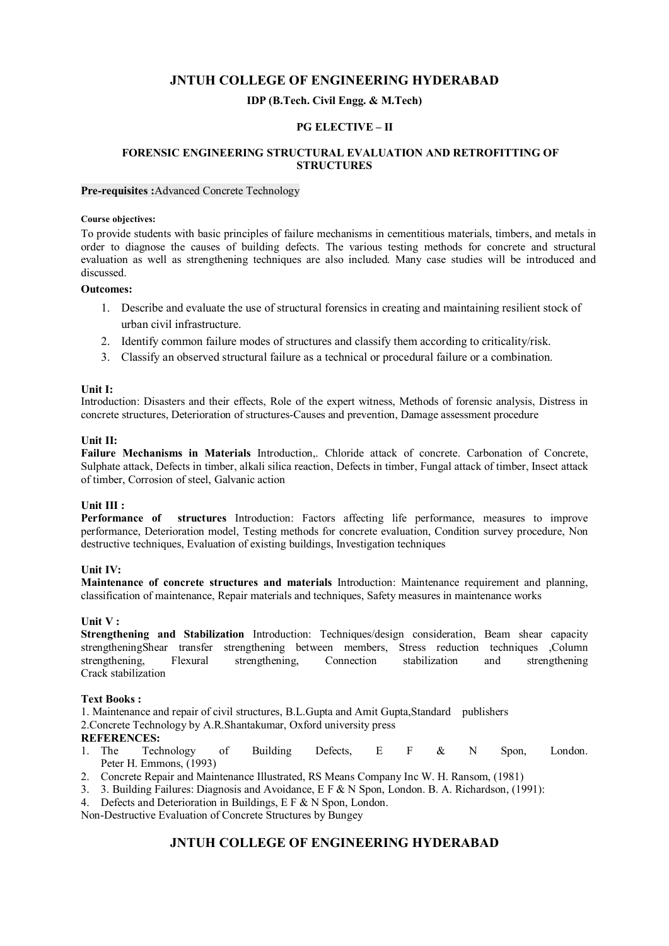# **IDP (B.Tech. Civil Engg. & M.Tech)**

# **PG ELECTIVE – II**

# **FORENSIC ENGINEERING STRUCTURAL EVALUATION AND RETROFITTING OF STRUCTURES**

# **Pre-requisites :**Advanced Concrete Technology

#### **Course objectives:**

To provide students with basic principles of failure mechanisms in cementitious materials, timbers, and metals in order to diagnose the causes of building defects. The various testing methods for concrete and structural evaluation as well as strengthening techniques are also included. Many case studies will be introduced and discussed.

#### **Outcomes:**

- 1. Describe and evaluate the use of structural forensics in creating and maintaining resilient stock of urban civil infrastructure.
- 2. Identify common failure modes of structures and classify them according to criticality/risk.
- 3. Classify an observed structural failure as a technical or procedural failure or a combination.

#### **Unit I:**

Introduction: Disasters and their effects, Role of the expert witness, Methods of forensic analysis, Distress in concrete structures, Deterioration of structures-Causes and prevention, Damage assessment procedure

#### **Unit II:**

**Failure Mechanisms in Materials** Introduction,. Chloride attack of concrete. Carbonation of Concrete, Sulphate attack, Defects in timber, alkali silica reaction, Defects in timber, Fungal attack of timber, Insect attack of timber, Corrosion of steel, Galvanic action

Unit III :<br>Performance of structures Introduction: Factors affecting life performance, measures to improve performance, Deterioration model, Testing methods for concrete evaluation, Condition survey procedure, Non destructive techniques, Evaluation of existing buildings, Investigation techniques

#### **Unit IV:**

**Maintenance of concrete structures and materials** Introduction: Maintenance requirement and planning, classification of maintenance, Repair materials and techniques, Safety measures in maintenance works

#### **Unit V :**

**Strengthening and Stabilization** Introduction: Techniques/design consideration, Beam shear capacity strengtheningShear transfer strengthening between members, Stress reduction techniques ,Column strengthening, Crack stabilization

#### **Text Books :**

1. Maintenance and repair of civil structures, B.L.Gupta and Amit Gupta,Standard publishers

2.Concrete Technology by A.R.Shantakumar, Oxford university press

# **REFERENCES:**

- 1. The Technology of Building Defects, E F & N Spon, London. Peter H. Emmons, (1993)
- 2. Concrete Repair and Maintenance Illustrated, RS Means Company Inc W. H. Ransom, (1981)
- 3. 3. Building Failures: Diagnosis and Avoidance, E F & N Spon, London. B. A. Richardson, (1991):
- 4. Defects and Deterioration in Buildings, E F & N Spon, London.

Non-Destructive Evaluation of Concrete Structures by Bungey

# **JNTUH COLLEGE OF ENGINEERING HYDERABAD**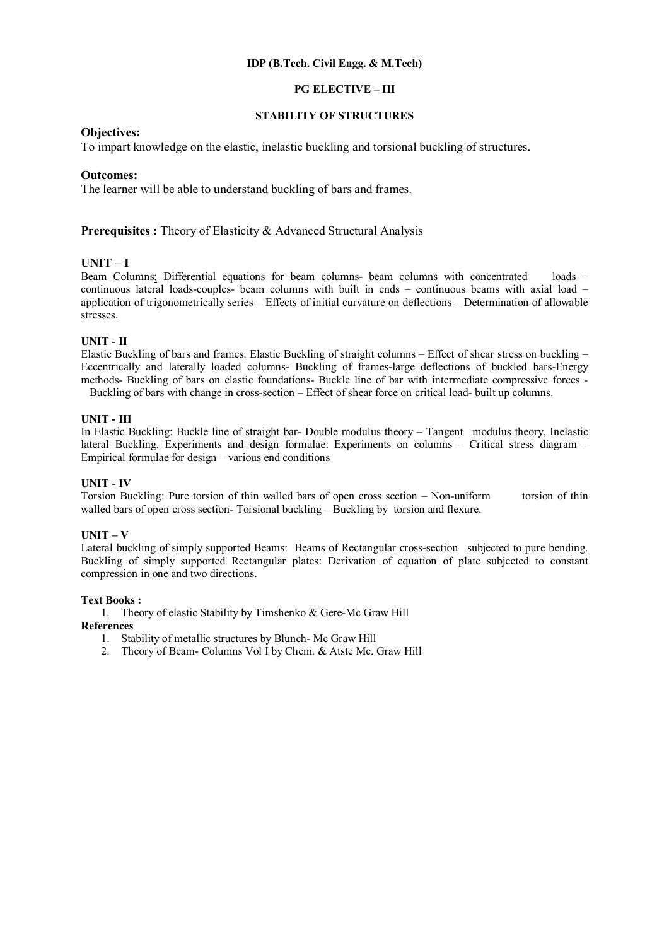# **IDP (B.Tech. Civil Engg. & M.Tech)**

# **PG ELECTIVE – III**

# **STABILITY OF STRUCTURES**

# **Objectives:**

To impart knowledge on the elastic, inelastic buckling and torsional buckling of structures.

# **Outcomes:**

The learner will be able to understand buckling of bars and frames.

# **Prerequisites :** Theory of Elasticity & Advanced Structural Analysis

# **UNIT – I**

Beam Columns: Differential equations for beam columns- beam columns with concentrated loads – continuous lateral loads-couples- beam columns with built in ends – continuous beams with axial load – application of trigonometrically series – Effects of initial curvature on deflections – Determination of allowable stresses.

# **UNIT - II**

Elastic Buckling of bars and frames: Elastic Buckling of straight columns – Effect of shear stress on buckling – Eccentrically and laterally loaded columns- Buckling of frames-large deflections of buckled bars-Energy methods- Buckling of bars on elastic foundations- Buckle line of bar with intermediate compressive forces -

Buckling of bars with change in cross-section – Effect of shear force on critical load- built up columns.

#### **UNIT - III**

In Elastic Buckling: Buckle line of straight bar- Double modulus theory – Tangent modulus theory, Inelastic lateral Buckling. Experiments and design formulae: Experiments on columns – Critical stress diagram – Empirical formulae for design – various end conditions

# **UNIT - IV**

Torsion Buckling: Pure torsion of thin walled bars of open cross section – Non-uniform torsion of thin walled bars of open cross section- Torsional buckling – Buckling by torsion and flexure.

# **UNIT – V**

Lateral buckling of simply supported Beams: Beams of Rectangular cross-section subjected to pure bending. Buckling of simply supported Rectangular plates: Derivation of equation of plate subjected to constant compression in one and two directions.

# **Text Books :**

1. Theory of elastic Stability by Timshenko & Gere-Mc Graw Hill

**References** 

- 1. Stability of metallic structures by Blunch- Mc Graw Hill
- 2. Theory of Beam- Columns Vol I by Chem. & Atste Mc. Graw Hill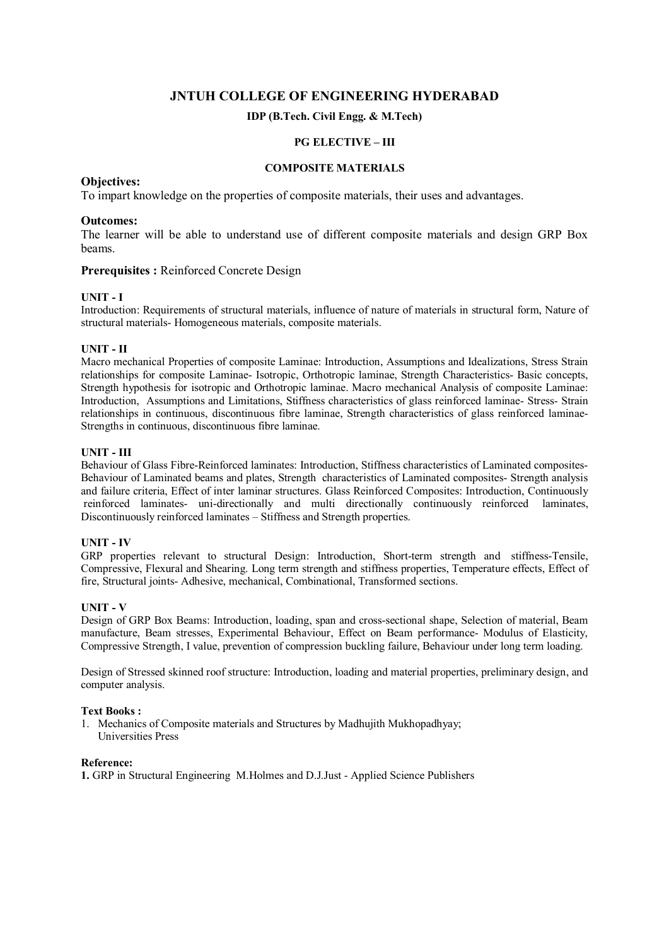# **IDP (B.Tech. Civil Engg. & M.Tech)**

# **PG ELECTIVE – III**

# **COMPOSITE MATERIALS**

# **Objectives:**

To impart knowledge on the properties of composite materials, their uses and advantages.

# **Outcomes:**

The learner will be able to understand use of different composite materials and design GRP Box beams.

# **Prerequisites :** Reinforced Concrete Design

# **UNIT - I**

Introduction: Requirements of structural materials, influence of nature of materials in structural form, Nature of structural materials- Homogeneous materials, composite materials.

# **UNIT - II**

Macro mechanical Properties of composite Laminae: Introduction, Assumptions and Idealizations, Stress Strain relationships for composite Laminae- Isotropic, Orthotropic laminae, Strength Characteristics- Basic concepts, Strength hypothesis for isotropic and Orthotropic laminae. Macro mechanical Analysis of composite Laminae: Introduction, Assumptions and Limitations, Stiffness characteristics of glass reinforced laminae- Stress- Strain relationships in continuous, discontinuous fibre laminae, Strength characteristics of glass reinforced laminae-Strengths in continuous, discontinuous fibre laminae.

# **UNIT - III**

Behaviour of Glass Fibre-Reinforced laminates: Introduction, Stiffness characteristics of Laminated composites-Behaviour of Laminated beams and plates, Strength characteristics of Laminated composites- Strength analysis and failure criteria, Effect of inter laminar structures. Glass Reinforced Composites: Introduction, Continuously reinforced laminates- uni-directionally and multi directionally continuously reinforced laminates, Discontinuously reinforced laminates – Stiffness and Strength properties.

# **UNIT - IV**

GRP properties relevant to structural Design: Introduction, Short-term strength and stiffness-Tensile, Compressive, Flexural and Shearing. Long term strength and stiffness properties, Temperature effects, Effect of fire, Structural joints- Adhesive, mechanical, Combinational, Transformed sections.

# **UNIT - V**

Design of GRP Box Beams: Introduction, loading, span and cross-sectional shape, Selection of material, Beam manufacture, Beam stresses, Experimental Behaviour, Effect on Beam performance- Modulus of Elasticity, Compressive Strength, I value, prevention of compression buckling failure, Behaviour under long term loading.

Design of Stressed skinned roof structure: Introduction, loading and material properties, preliminary design, and computer analysis.

# **Text Books :**

1. Mechanics of Composite materials and Structures by Madhujith Mukhopadhyay; Universities Press

# **Reference:**

**1.** GRP in Structural Engineering M.Holmes and D.J.Just - Applied Science Publishers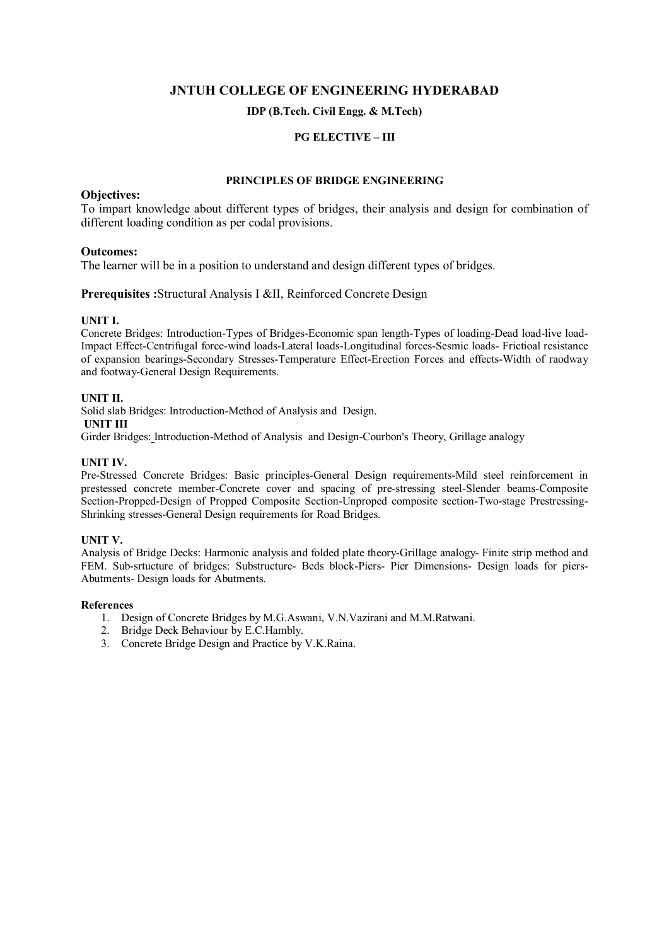# **IDP (B.Tech. Civil Engg. & M.Tech)**

#### **PG ELECTIVE – III**

# **PRINCIPLES OF BRIDGE ENGINEERING**

### **Objectives:**

To impart knowledge about different types of bridges, their analysis and design for combination of different loading condition as per codal provisions.

#### **Outcomes:**

The learner will be in a position to understand and design different types of bridges.

# **Prerequisites :**Structural Analysis I &II, Reinforced Concrete Design

#### **UNIT I.**

Concrete Bridges: Introduction-Types of Bridges-Economic span length-Types of loading-Dead load-live load-Impact Effect-Centrifugal force-wind loads-Lateral loads-Longitudinal forces-Sesmic loads- Frictioal resistance of expansion bearings-Secondary Stresses-Temperature Effect-Erection Forces and effects-Width of raodway and footway-General Design Requirements.

#### **UNIT II.**

Solid slab Bridges: Introduction-Method of Analysis and Design. **UNIT III** 

Girder Bridges: Introduction-Method of Analysis and Design-Courbon's Theory, Grillage analogy

#### **UNIT IV.**

Pre-Stressed Concrete Bridges: Basic principles-General Design requirements-Mild steel reinforcement in prestessed concrete member-Concrete cover and spacing of pre-stressing steel-Slender beams-Composite Section-Propped-Design of Propped Composite Section-Unproped composite section-Two-stage Prestressing-Shrinking stresses-General Design requirements for Road Bridges.

#### **UNIT V.**

Analysis of Bridge Decks: Harmonic analysis and folded plate theory-Grillage analogy- Finite strip method and FEM. Sub-srtucture of bridges: Substructure- Beds block-Piers- Pier Dimensions- Design loads for piers-Abutments- Design loads for Abutments.

#### **References**

- 1. Design of Concrete Bridges by M.G.Aswani, V.N.Vazirani and M.M.Ratwani.
- 2. Bridge Deck Behaviour by E.C.Hambly.
- 3. Concrete Bridge Design and Practice by V.K.Raina.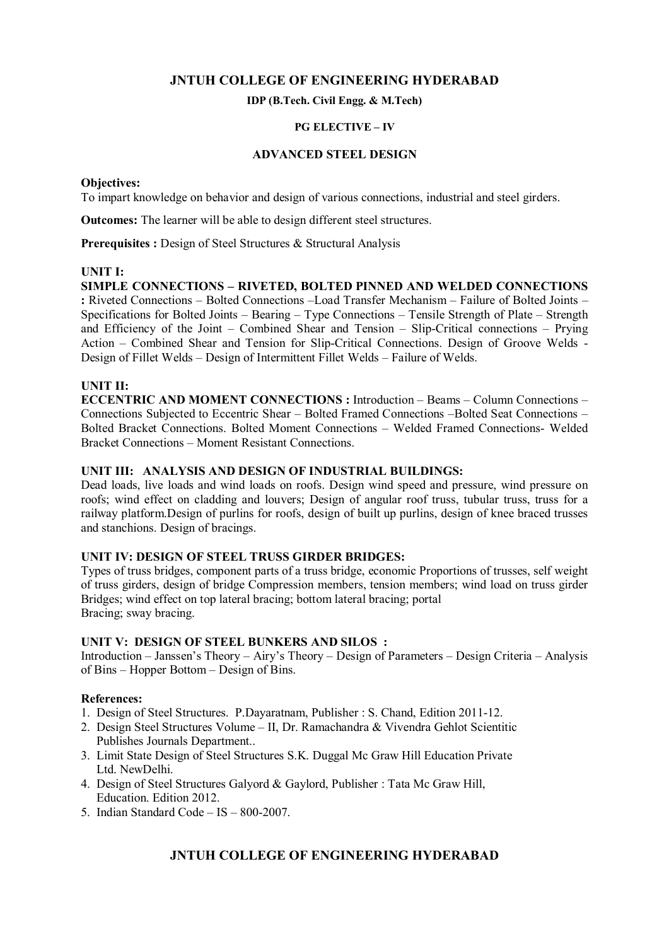**IDP (B.Tech. Civil Engg. & M.Tech)** 

# **PG ELECTIVE – IV**

# **ADVANCED STEEL DESIGN**

# **Objectives:**

To impart knowledge on behavior and design of various connections, industrial and steel girders.

**Outcomes:** The learner will be able to design different steel structures.

**Prerequisites : Design of Steel Structures & Structural Analysis** 

# **UNIT I:**

# **SIMPLE CONNECTIONS – RIVETED, BOLTED PINNED AND WELDED CONNECTIONS**

**:** Riveted Connections – Bolted Connections –Load Transfer Mechanism – Failure of Bolted Joints – Specifications for Bolted Joints – Bearing – Type Connections – Tensile Strength of Plate – Strength and Efficiency of the Joint – Combined Shear and Tension – Slip-Critical connections – Prying Action – Combined Shear and Tension for Slip-Critical Connections. Design of Groove Welds - Design of Fillet Welds – Design of Intermittent Fillet Welds – Failure of Welds.

# **UNIT II:**

**ECCENTRIC AND MOMENT CONNECTIONS :** Introduction – Beams – Column Connections – Connections Subjected to Eccentric Shear – Bolted Framed Connections –Bolted Seat Connections – Bolted Bracket Connections. Bolted Moment Connections – Welded Framed Connections- Welded Bracket Connections – Moment Resistant Connections.

# **UNIT III: ANALYSIS AND DESIGN OF INDUSTRIAL BUILDINGS:**

Dead loads, live loads and wind loads on roofs. Design wind speed and pressure, wind pressure on roofs; wind effect on cladding and louvers; Design of angular roof truss, tubular truss, truss for a railway platform.Design of purlins for roofs, design of built up purlins, design of knee braced trusses and stanchions. Design of bracings.

# **UNIT IV: DESIGN OF STEEL TRUSS GIRDER BRIDGES:**

Types of truss bridges, component parts of a truss bridge, economic Proportions of trusses, self weight of truss girders, design of bridge Compression members, tension members; wind load on truss girder Bridges; wind effect on top lateral bracing; bottom lateral bracing; portal Bracing; sway bracing.

# **UNIT V: DESIGN OF STEEL BUNKERS AND SILOS :**

Introduction – Janssen's Theory – Airy's Theory – Design of Parameters – Design Criteria – Analysis of Bins – Hopper Bottom – Design of Bins.

# **References:**

- 1. Design of Steel Structures. P.Dayaratnam, Publisher : S. Chand, Edition 2011-12.
- 2. Design Steel Structures Volume II, Dr. Ramachandra & Vivendra Gehlot Scientitic Publishes Journals Department..
- 3. Limit State Design of Steel Structures S.K. Duggal Mc Graw Hill Education Private Ltd. NewDelhi.
- 4. Design of Steel Structures Galyord & Gaylord, Publisher : Tata Mc Graw Hill, Education. Edition 2012.
- 5. Indian Standard Code IS 800-2007.

# **JNTUH COLLEGE OF ENGINEERING HYDERABAD**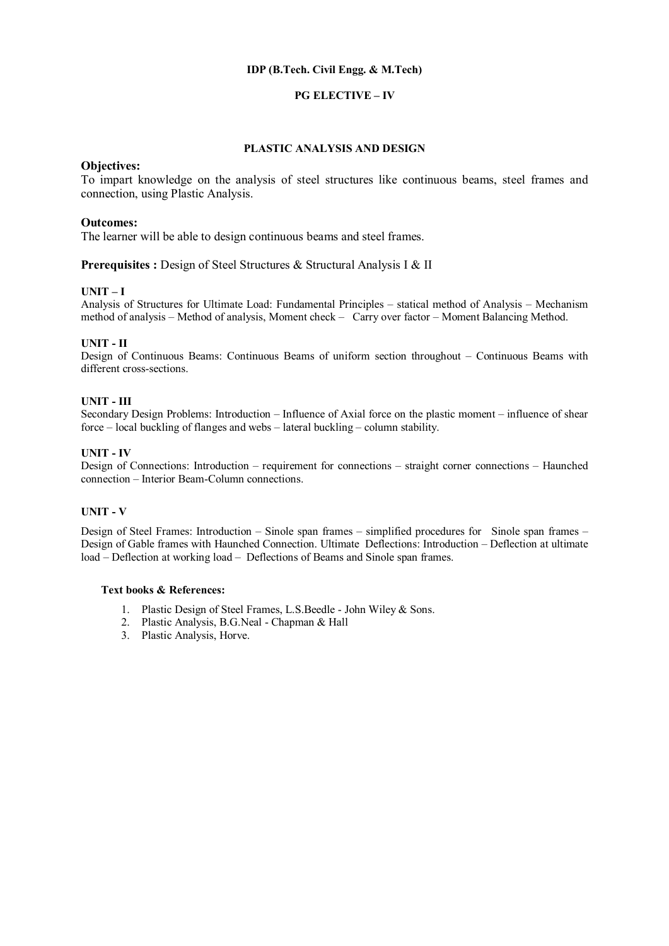# **IDP (B.Tech. Civil Engg. & M.Tech)**

# **PG ELECTIVE – IV**

# **PLASTIC ANALYSIS AND DESIGN**

# **Objectives:**

To impart knowledge on the analysis of steel structures like continuous beams, steel frames and connection, using Plastic Analysis.

# **Outcomes:**

The learner will be able to design continuous beams and steel frames.

**Prerequisites :** Design of Steel Structures & Structural Analysis I & II

# **UNIT – I**

Analysis of Structures for Ultimate Load: Fundamental Principles – statical method of Analysis – Mechanism method of analysis – Method of analysis, Moment check – Carry over factor – Moment Balancing Method.

# **UNIT - II**

Design of Continuous Beams: Continuous Beams of uniform section throughout – Continuous Beams with different cross-sections.

# **UNIT - III**

Secondary Design Problems: Introduction – Influence of Axial force on the plastic moment – influence of shear force – local buckling of flanges and webs – lateral buckling – column stability.

#### **UNIT - IV**

Design of Connections: Introduction – requirement for connections – straight corner connections – Haunched connection – Interior Beam-Column connections.

# **UNIT - V**

Design of Steel Frames: Introduction – Sinole span frames – simplified procedures for Sinole span frames – Design of Gable frames with Haunched Connection. Ultimate Deflections: Introduction – Deflection at ultimate load – Deflection at working load – Deflections of Beams and Sinole span frames.

#### **Text books & References:**

- 1. Plastic Design of Steel Frames, L.S.Beedle John Wiley & Sons.
- 2. Plastic Analysis, B.G.Neal Chapman & Hall
- 3. Plastic Analysis, Horve.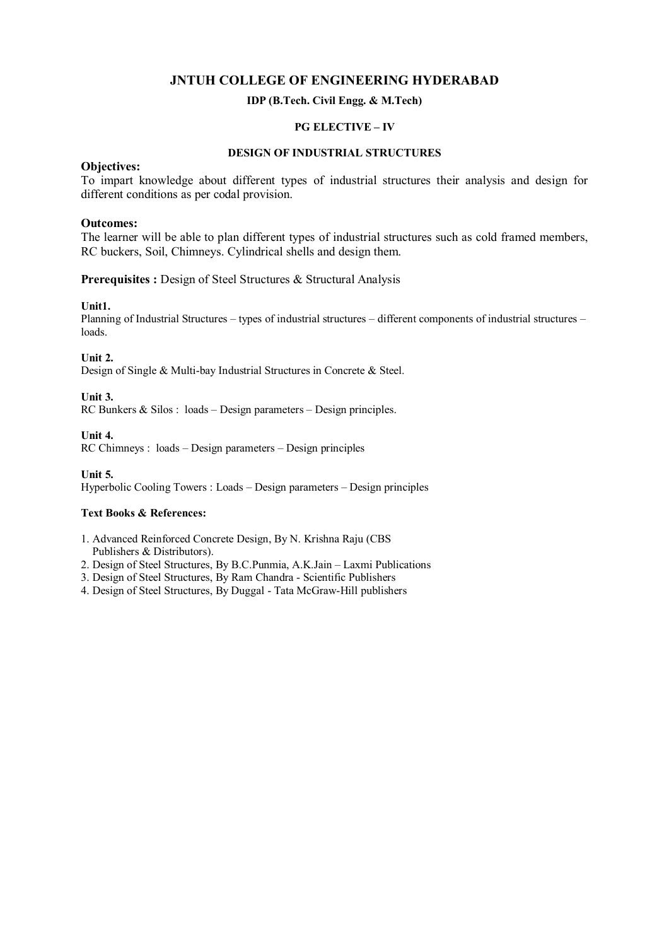# **IDP (B.Tech. Civil Engg. & M.Tech)**

# **PG ELECTIVE – IV**

#### **DESIGN OF INDUSTRIAL STRUCTURES**

# **Objectives:**

To impart knowledge about different types of industrial structures their analysis and design for different conditions as per codal provision.

# **Outcomes:**

The learner will be able to plan different types of industrial structures such as cold framed members, RC buckers, Soil, Chimneys. Cylindrical shells and design them.

# **Prerequisites :** Design of Steel Structures & Structural Analysis

# **Unit1.**

Planning of Industrial Structures – types of industrial structures – different components of industrial structures – loads.

**Unit 2.** 

Design of Single & Multi-bay Industrial Structures in Concrete & Steel.

# **Unit 3.**

RC Bunkers & Silos : loads – Design parameters – Design principles.

# **Unit 4.**

RC Chimneys : loads – Design parameters – Design principles

# **Unit 5.**

Hyperbolic Cooling Towers : Loads – Design parameters – Design principles

# **Text Books & References:**

- 1. Advanced Reinforced Concrete Design, By N. Krishna Raju (CBS Publishers & Distributors).
- 2. Design of Steel Structures, By B.C.Punmia, A.K.Jain Laxmi Publications
- 3. Design of Steel Structures, By Ram Chandra Scientific Publishers
- 4. Design of Steel Structures, By Duggal Tata McGraw-Hill publishers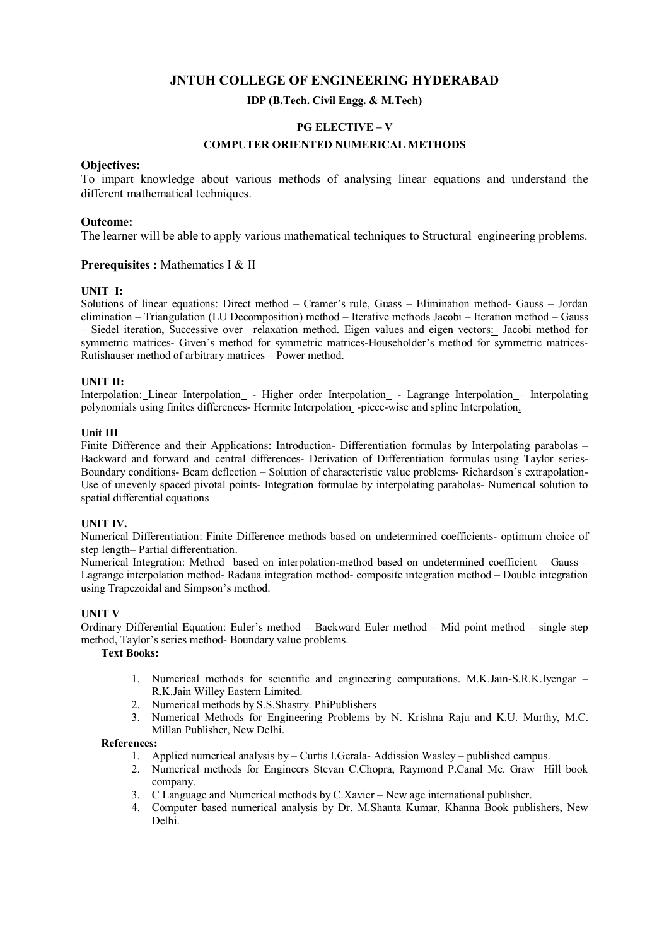#### **IDP (B.Tech. Civil Engg. & M.Tech)**

# **PG ELECTIVE – V**

#### **COMPUTER ORIENTED NUMERICAL METHODS**

# **Objectives:**

To impart knowledge about various methods of analysing linear equations and understand the different mathematical techniques.

#### **Outcome:**

The learner will be able to apply various mathematical techniques to Structural engineering problems.

#### **Prerequisites :** Mathematics I & II

#### **UNIT I:**

Solutions of linear equations: Direct method – Cramer's rule, Guass – Elimination method- Gauss – Jordan elimination – Triangulation (LU Decomposition) method – Iterative methods Jacobi – Iteration method – Gauss – Siedel iteration, Successive over –relaxation method. Eigen values and eigen vectors: Jacobi method for symmetric matrices- Given's method for symmetric matrices-Householder's method for symmetric matrices-Rutishauser method of arbitrary matrices – Power method.

#### **UNIT II:**

Interpolation: Linear Interpolation - Higher order Interpolation - Lagrange Interpolation – Interpolating polynomials using finites differences- Hermite Interpolation -piece-wise and spline Interpolation.

#### **Unit III**

Finite Difference and their Applications: Introduction- Differentiation formulas by Interpolating parabolas – Backward and forward and central differences- Derivation of Differentiation formulas using Taylor series-Boundary conditions- Beam deflection – Solution of characteristic value problems- Richardson's extrapolation-Use of unevenly spaced pivotal points- Integration formulae by interpolating parabolas- Numerical solution to spatial differential equations

#### **UNIT IV.**

Numerical Differentiation: Finite Difference methods based on undetermined coefficients- optimum choice of step length– Partial differentiation.

Numerical Integration: Method based on interpolation-method based on undetermined coefficient – Gauss – Lagrange interpolation method- Radaua integration method- composite integration method – Double integration using Trapezoidal and Simpson's method.

#### **UNIT V**

Ordinary Differential Equation: Euler's method – Backward Euler method – Mid point method – single step method, Taylor's series method- Boundary value problems.

# **Text Books:**

- 1. Numerical methods for scientific and engineering computations. M.K.Jain-S.R.K.Iyengar R.K.Jain Willey Eastern Limited.
- 2. Numerical methods by S.S.Shastry. PhiPublishers
- 3. Numerical Methods for Engineering Problems by N. Krishna Raju and K.U. Murthy, M.C. Millan Publisher, New Delhi.

#### **References:**

- 1. Applied numerical analysis by Curtis I.Gerala- Addission Wasley published campus.
- 2. Numerical methods for Engineers Stevan C.Chopra, Raymond P.Canal Mc. Graw Hill book company.
- 3. C Language and Numerical methods by C.Xavier New age international publisher.
- 4. Computer based numerical analysis by Dr. M.Shanta Kumar, Khanna Book publishers, New Delhi.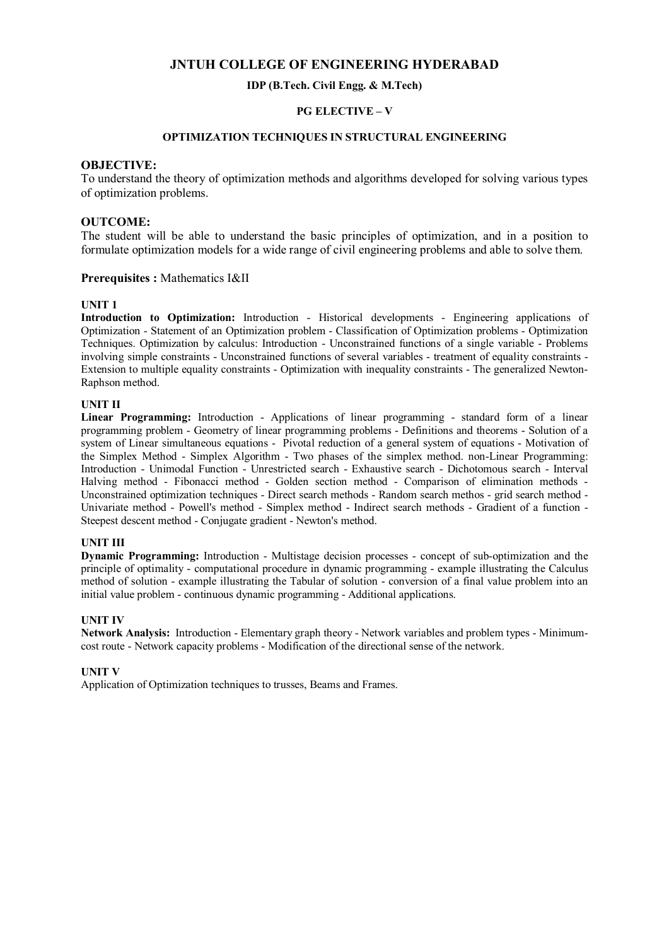# **IDP (B.Tech. Civil Engg. & M.Tech)**

# **PG ELECTIVE – V**

#### **OPTIMIZATION TECHNIQUES IN STRUCTURAL ENGINEERING**

# **OBJECTIVE:**

To understand the theory of optimization methods and algorithms developed for solving various types of optimization problems.

# **OUTCOME:**

The student will be able to understand the basic principles of optimization, and in a position to formulate optimization models for a wide range of civil engineering problems and able to solve them.

#### **Prerequisites :** Mathematics I&II

#### **UNIT 1**

**Introduction to Optimization:** Introduction - Historical developments - Engineering applications of Optimization - Statement of an Optimization problem - Classification of Optimization problems - Optimization Techniques. Optimization by calculus: Introduction - Unconstrained functions of a single variable - Problems involving simple constraints - Unconstrained functions of several variables - treatment of equality constraints - Extension to multiple equality constraints - Optimization with inequality constraints - The generalized Newton-Raphson method.

#### **UNIT II**

**Linear Programming:** Introduction - Applications of linear programming - standard form of a linear programming problem - Geometry of linear programming problems - Definitions and theorems - Solution of a system of Linear simultaneous equations - Pivotal reduction of a general system of equations - Motivation of the Simplex Method - Simplex Algorithm - Two phases of the simplex method. non-Linear Programming: Introduction - Unimodal Function - Unrestricted search - Exhaustive search - Dichotomous search - Interval Halving method - Fibonacci method - Golden section method - Comparison of elimination methods - Unconstrained optimization techniques - Direct search methods - Random search methos - grid search method - Univariate method - Powell's method - Simplex method - Indirect search methods - Gradient of a function - Steepest descent method - Conjugate gradient - Newton's method.

#### **UNIT III**

**Dynamic Programming:** Introduction - Multistage decision processes - concept of sub-optimization and the principle of optimality - computational procedure in dynamic programming - example illustrating the Calculus method of solution - example illustrating the Tabular of solution - conversion of a final value problem into an initial value problem - continuous dynamic programming - Additional applications.

#### **UNIT IV**

**Network Analysis:** Introduction - Elementary graph theory - Network variables and problem types - Minimumcost route - Network capacity problems - Modification of the directional sense of the network.

#### **UNIT V**

Application of Optimization techniques to trusses, Beams and Frames.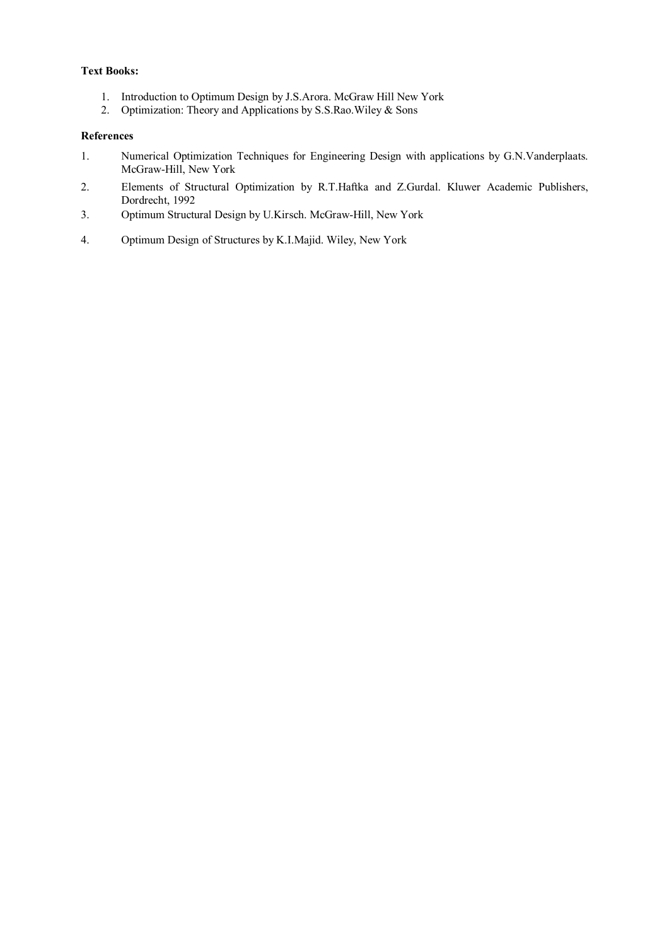# **Text Books:**

- 1. Introduction to Optimum Design by J.S.Arora. McGraw Hill New York
- 2. Optimization: Theory and Applications by S.S.Rao.Wiley & Sons

# **References**

- 1. Numerical Optimization Techniques for Engineering Design with applications by G.N.Vanderplaats. McGraw-Hill, New York
- 2. Elements of Structural Optimization by R.T.Haftka and Z.Gurdal. Kluwer Academic Publishers, Dordrecht, 1992
- 3. Optimum Structural Design by U.Kirsch. McGraw-Hill, New York
- 4. Optimum Design of Structures by K.I.Majid. Wiley, New York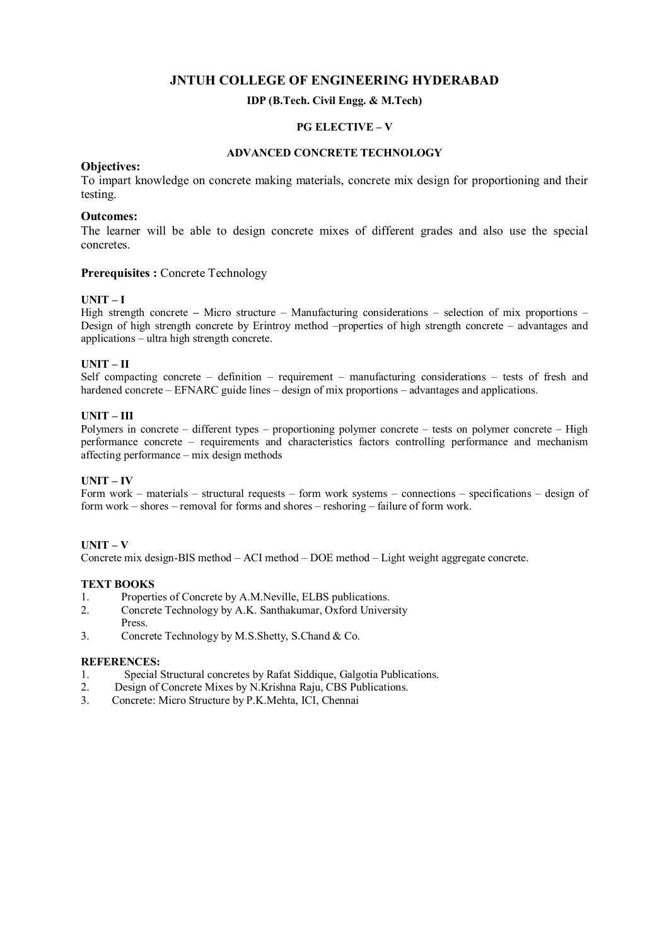# **IDP (B.Tech. Civil Engg. & M.Tech)**

# **PG ELECTIVE – V**

# **ADVANCED CONCRETE TECHNOLOGY**

# **Objectives:**

To impart knowledge on concrete making materials, concrete mix design for proportioning and their testing.

#### **Outcomes:**

The learner will be able to design concrete mixes of different grades and also use the special concretes.

# **Prerequisites :** Concrete Technology

#### **UNIT – I**

High strength concrete – Micro structure – Manufacturing considerations – selection of mix proportions – Design of high strength concrete by Erintroy method –properties of high strength concrete – advantages and applications – ultra high strength concrete.

# **UNIT – II**

Self compacting concrete – definition – requirement – manufacturing considerations – tests of fresh and hardened concrete – EFNARC guide lines – design of mix proportions – advantages and applications.

#### **UNIT – III**

Polymers in concrete – different types – proportioning polymer concrete – tests on polymer concrete – High performance concrete – requirements and characteristics factors controlling performance and mechanism affecting performance – mix design methods

# **UNIT – IV**

Form work – materials – structural requests – form work systems – connections – specifications – design of form work – shores – removal for forms and shores – reshoring – failure of form work.

# **UNIT – V**

Concrete mix design-BIS method – ACI method – DOE method – Light weight aggregate concrete.

# **TEXT BOOKS**

- 1. Properties of Concrete by A.M.Neville, ELBS publications.<br>2. Concrete Technology by A.K. Santhakumar. Oxford Univer
- 2. Concrete Technology by A.K. Santhakumar, Oxford University Press.
- 3. Concrete Technology by M.S.Shetty, S.Chand & Co.

#### **REFERENCES:**

- 1. Special Structural concretes by Rafat Siddique, Galgotia Publications.<br>
2. Design of Concrete Mixes by N.Krishna Raiu. CBS Publications.
- 2. Design of Concrete Mixes by N.Krishna Raju, CBS Publications.
- 3. Concrete: Micro Structure by P.K.Mehta, ICI, Chennai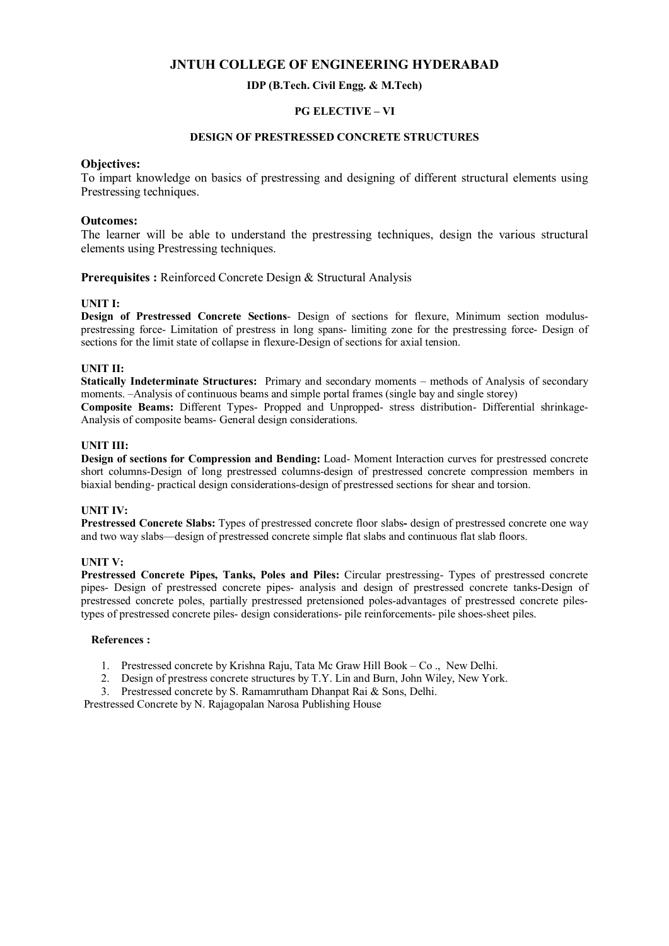# **IDP (B.Tech. Civil Engg. & M.Tech)**

# **PG ELECTIVE – VI**

#### **DESIGN OF PRESTRESSED CONCRETE STRUCTURES**

# **Objectives:**

To impart knowledge on basics of prestressing and designing of different structural elements using Prestressing techniques.

# **Outcomes:**

The learner will be able to understand the prestressing techniques, design the various structural elements using Prestressing techniques.

**Prerequisites :** Reinforced Concrete Design & Structural Analysis

# **UNIT I:**

**Design of Prestressed Concrete Sections**- Design of sections for flexure, Minimum section modulusprestressing force- Limitation of prestress in long spans- limiting zone for the prestressing force- Design of sections for the limit state of collapse in flexure-Design of sections for axial tension.

# **UNIT II:**

**Statically Indeterminate Structures:** Primary and secondary moments – methods of Analysis of secondary moments. –Analysis of continuous beams and simple portal frames (single bay and single storey) **Composite Beams:** Different Types- Propped and Unpropped- stress distribution- Differential shrinkage-Analysis of composite beams- General design considerations.

# **UNIT III:**

**Design of sections for Compression and Bending:** Load- Moment Interaction curves for prestressed concrete short columns-Design of long prestressed columns-design of prestressed concrete compression members in biaxial bending- practical design considerations-design of prestressed sections for shear and torsion.

# **UNIT IV:**

**Prestressed Concrete Slabs:** Types of prestressed concrete floor slabs**-** design of prestressed concrete one way and two way slabs—design of prestressed concrete simple flat slabs and continuous flat slab floors.

# **UNIT V:**

**Prestressed Concrete Pipes, Tanks, Poles and Piles:** Circular prestressing- Types of prestressed concrete pipes- Design of prestressed concrete pipes- analysis and design of prestressed concrete tanks-Design of prestressed concrete poles, partially prestressed pretensioned poles-advantages of prestressed concrete pilestypes of prestressed concrete piles- design considerations- pile reinforcements- pile shoes-sheet piles.

# **References :**

- 1. Prestressed concrete by Krishna Raju, Tata Mc Graw Hill Book Co ., New Delhi.
- 2. Design of prestress concrete structures by T.Y. Lin and Burn, John Wiley, New York.
- 3. Prestressed concrete by S. Ramamrutham Dhanpat Rai & Sons, Delhi.

Prestressed Concrete by N. Rajagopalan Narosa Publishing House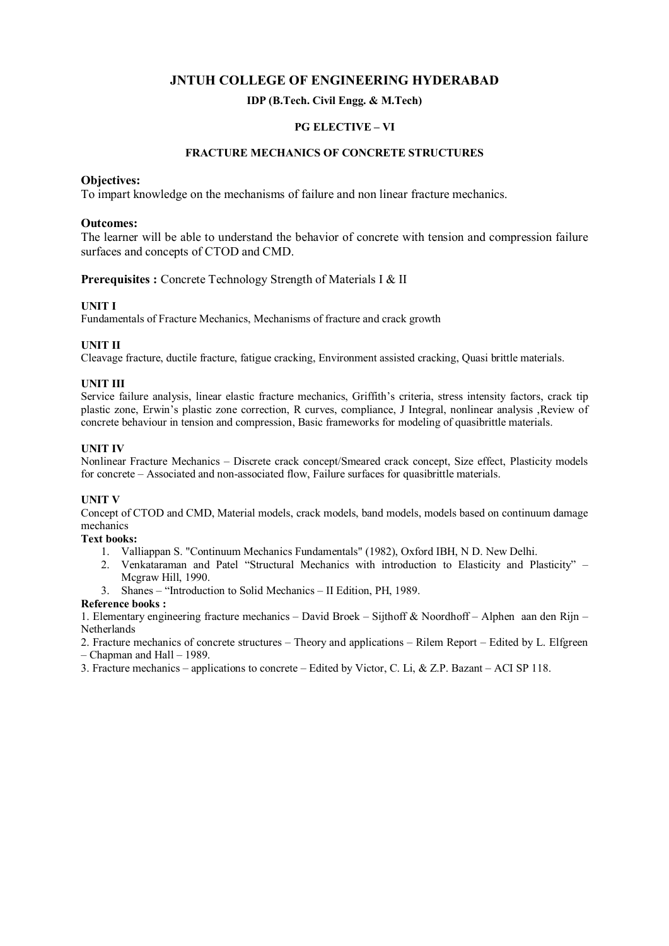# **IDP (B.Tech. Civil Engg. & M.Tech)**

# **PG ELECTIVE – VI**

# **FRACTURE MECHANICS OF CONCRETE STRUCTURES**

# **Objectives:**

To impart knowledge on the mechanisms of failure and non linear fracture mechanics.

# **Outcomes:**

The learner will be able to understand the behavior of concrete with tension and compression failure surfaces and concepts of CTOD and CMD.

**Prerequisites :** Concrete Technology Strength of Materials I & II

# **UNIT I**

Fundamentals of Fracture Mechanics, Mechanisms of fracture and crack growth

# **UNIT II**

Cleavage fracture, ductile fracture, fatigue cracking, Environment assisted cracking, Quasi brittle materials.

# **UNIT III**

Service failure analysis, linear elastic fracture mechanics, Griffith's criteria, stress intensity factors, crack tip plastic zone, Erwin's plastic zone correction, R curves, compliance, J Integral, nonlinear analysis ,Review of concrete behaviour in tension and compression, Basic frameworks for modeling of quasibrittle materials.

# **UNIT IV**

Nonlinear Fracture Mechanics – Discrete crack concept/Smeared crack concept, Size effect, Plasticity models for concrete – Associated and non-associated flow, Failure surfaces for quasibrittle materials.

# **UNIT V**

Concept of CTOD and CMD, Material models, crack models, band models, models based on continuum damage mechanics

# **Text books:**

- 1. Valliappan S. "Continuum Mechanics Fundamentals" (1982), Oxford IBH, N D. New Delhi.
- 2. Venkataraman and Patel "Structural Mechanics with introduction to Elasticity and Plasticity" Mcgraw Hill, 1990.
- 3. Shanes "Introduction to Solid Mechanics II Edition, PH, 1989.

#### **Reference books :**

1. Elementary engineering fracture mechanics – David Broek – Sijthoff & Noordhoff – Alphen aan den Rijn – Netherlands

2. Fracture mechanics of concrete structures – Theory and applications – Rilem Report – Edited by L. Elfgreen – Chapman and Hall – 1989.

3. Fracture mechanics – applications to concrete – Edited by Victor, C. Li, & Z.P. Bazant – ACI SP 118.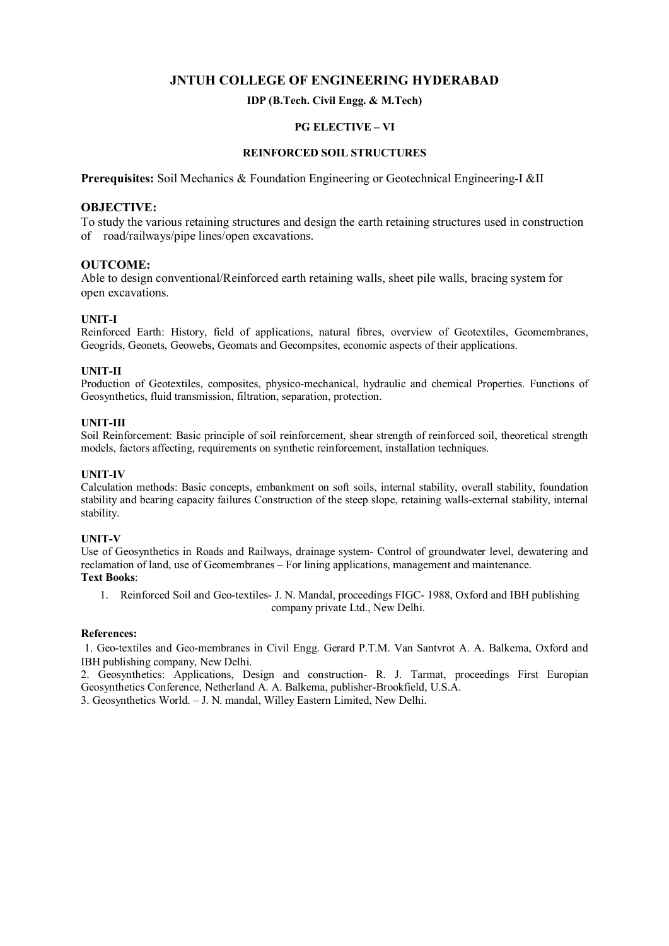**IDP (B.Tech. Civil Engg. & M.Tech)** 

# **PG ELECTIVE – VI**

# **REINFORCED SOIL STRUCTURES**

**Prerequisites:** Soil Mechanics & Foundation Engineering or Geotechnical Engineering-I &II

#### **OBJECTIVE:**

To study the various retaining structures and design the earth retaining structures used in construction of road/railways/pipe lines/open excavations.

# **OUTCOME:**

Able to design conventional/Reinforced earth retaining walls, sheet pile walls, bracing system for open excavations.

#### **UNIT-I**

Reinforced Earth: History, field of applications, natural fibres, overview of Geotextiles, Geomembranes, Geogrids, Geonets, Geowebs, Geomats and Gecompsites, economic aspects of their applications.

#### **UNIT-II**

Production of Geotextiles, composites, physico-mechanical, hydraulic and chemical Properties. Functions of Geosynthetics, fluid transmission, filtration, separation, protection.

#### **UNIT-III**

Soil Reinforcement: Basic principle of soil reinforcement, shear strength of reinforced soil, theoretical strength models, factors affecting, requirements on synthetic reinforcement, installation techniques.

## **UNIT-IV**

Calculation methods: Basic concepts, embankment on soft soils, internal stability, overall stability, foundation stability and bearing capacity failures Construction of the steep slope, retaining walls-external stability, internal stability.

#### **UNIT-V**

Use of Geosynthetics in Roads and Railways, drainage system- Control of groundwater level, dewatering and reclamation of land, use of Geomembranes – For lining applications, management and maintenance. **Text Books**:

1. Reinforced Soil and Geo-textiles- J. N. Mandal, proceedings FIGC- 1988, Oxford and IBH publishing company private Ltd., New Delhi.

# **References:**

1. Geo-textiles and Geo-membranes in Civil Engg. Gerard P.T.M. Van Santvrot A. A. Balkema, Oxford and IBH publishing company, New Delhi.

2. Geosynthetics: Applications, Design and construction- R. J. Tarmat, proceedings First Europian Geosynthetics Conference, Netherland A. A. Balkema, publisher-Brookfield, U.S.A.

3. Geosynthetics World. – J. N. mandal, Willey Eastern Limited, New Delhi.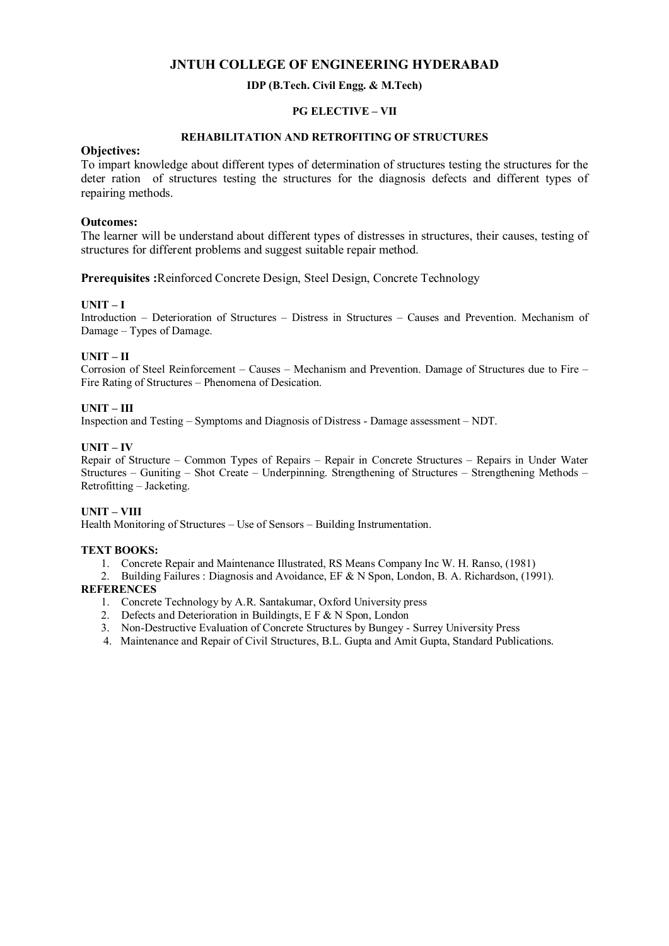# **IDP (B.Tech. Civil Engg. & M.Tech)**

# **PG ELECTIVE – VII**

# **REHABILITATION AND RETROFITING OF STRUCTURES**

#### **Objectives:**

To impart knowledge about different types of determination of structures testing the structures for the deter ration of structures testing the structures for the diagnosis defects and different types of repairing methods.

# **Outcomes:**

The learner will be understand about different types of distresses in structures, their causes, testing of structures for different problems and suggest suitable repair method.

**Prerequisites :**Reinforced Concrete Design, Steel Design, Concrete Technology

#### **UNIT – I**

Introduction – Deterioration of Structures – Distress in Structures – Causes and Prevention. Mechanism of Damage – Types of Damage.

#### **UNIT – II**

Corrosion of Steel Reinforcement – Causes – Mechanism and Prevention. Damage of Structures due to Fire – Fire Rating of Structures – Phenomena of Desication.

# **UNIT – III**

Inspection and Testing – Symptoms and Diagnosis of Distress - Damage assessment – NDT.

#### **UNIT – IV**

Repair of Structure – Common Types of Repairs – Repair in Concrete Structures – Repairs in Under Water Structures – Guniting – Shot Create – Underpinning. Strengthening of Structures – Strengthening Methods – Retrofitting – Jacketing.

#### **UNIT – VIII**

Health Monitoring of Structures – Use of Sensors – Building Instrumentation.

# **TEXT BOOKS:**

- 1. Concrete Repair and Maintenance Illustrated, RS Means Company Inc W. H. Ranso, (1981)
- 2. Building Failures : Diagnosis and Avoidance, EF & N Spon, London, B. A. Richardson, (1991). **REFERENCES** 
	- 1. Concrete Technology by A.R. Santakumar, Oxford University press
	- 2. Defects and Deterioration in Buildingts, E F & N Spon, London
	- 3. Non-Destructive Evaluation of Concrete Structures by Bungey Surrey University Press
	- 4. Maintenance and Repair of Civil Structures, B.L. Gupta and Amit Gupta, Standard Publications.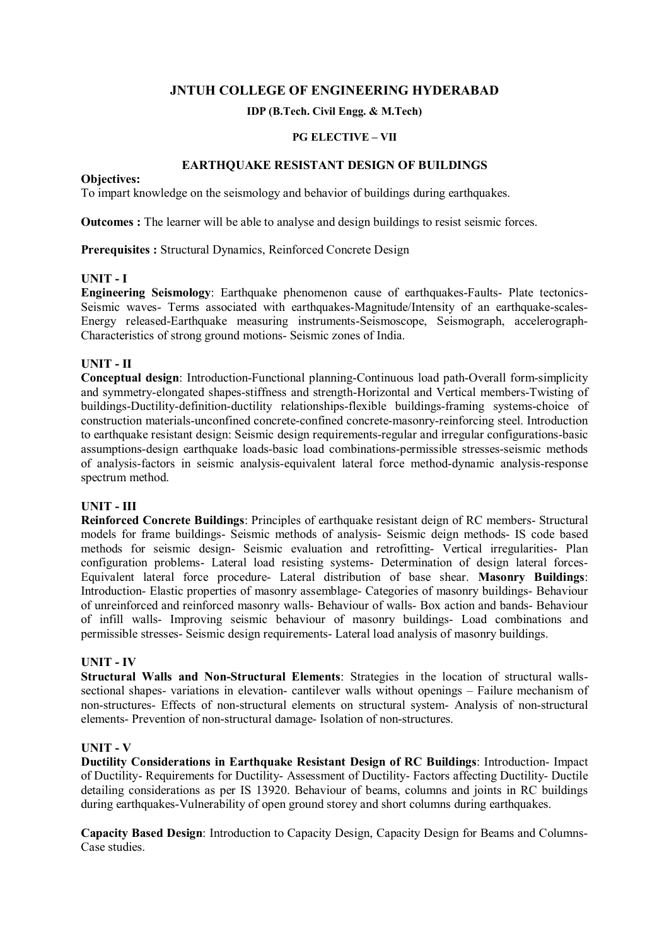**IDP (B.Tech. Civil Engg. & M.Tech)** 

# **PG ELECTIVE – VII**

# **EARTHQUAKE RESISTANT DESIGN OF BUILDINGS**

# **Objectives:**

To impart knowledge on the seismology and behavior of buildings during earthquakes.

**Outcomes :** The learner will be able to analyse and design buildings to resist seismic forces.

**Prerequisites :** Structural Dynamics, Reinforced Concrete Design

# **UNIT - I**

**Engineering Seismology**: Earthquake phenomenon cause of earthquakes-Faults- Plate tectonics-Seismic waves- Terms associated with earthquakes-Magnitude/Intensity of an earthquake-scales-Energy released-Earthquake measuring instruments-Seismoscope, Seismograph, accelerograph-Characteristics of strong ground motions- Seismic zones of India.

# **UNIT - II**

**Conceptual design**: Introduction-Functional planning-Continuous load path-Overall form-simplicity and symmetry-elongated shapes-stiffness and strength-Horizontal and Vertical members-Twisting of buildings-Ductility-definition-ductility relationships-flexible buildings-framing systems-choice of construction materials-unconfined concrete-confined concrete-masonry-reinforcing steel. Introduction to earthquake resistant design: Seismic design requirements-regular and irregular configurations-basic assumptions-design earthquake loads-basic load combinations-permissible stresses-seismic methods of analysis-factors in seismic analysis-equivalent lateral force method-dynamic analysis-response spectrum method.

# **UNIT - III**

**Reinforced Concrete Buildings**: Principles of earthquake resistant deign of RC members- Structural models for frame buildings- Seismic methods of analysis- Seismic deign methods- IS code based methods for seismic design- Seismic evaluation and retrofitting- Vertical irregularities- Plan configuration problems- Lateral load resisting systems- Determination of design lateral forces-Equivalent lateral force procedure- Lateral distribution of base shear. **Masonry Buildings**: Introduction- Elastic properties of masonry assemblage- Categories of masonry buildings- Behaviour of unreinforced and reinforced masonry walls- Behaviour of walls- Box action and bands- Behaviour of infill walls- Improving seismic behaviour of masonry buildings- Load combinations and permissible stresses- Seismic design requirements- Lateral load analysis of masonry buildings.

# **UNIT - IV**

**Structural Walls and Non-Structural Elements**: Strategies in the location of structural wallssectional shapes- variations in elevation- cantilever walls without openings – Failure mechanism of non-structures- Effects of non-structural elements on structural system- Analysis of non-structural elements- Prevention of non-structural damage- Isolation of non-structures.

# **UNIT - V**

**Ductility Considerations in Earthquake Resistant Design of RC Buildings**: Introduction- Impact of Ductility- Requirements for Ductility- Assessment of Ductility- Factors affecting Ductility- Ductile detailing considerations as per IS 13920. Behaviour of beams, columns and joints in RC buildings during earthquakes-Vulnerability of open ground storey and short columns during earthquakes.

**Capacity Based Design**: Introduction to Capacity Design, Capacity Design for Beams and Columns-Case studies.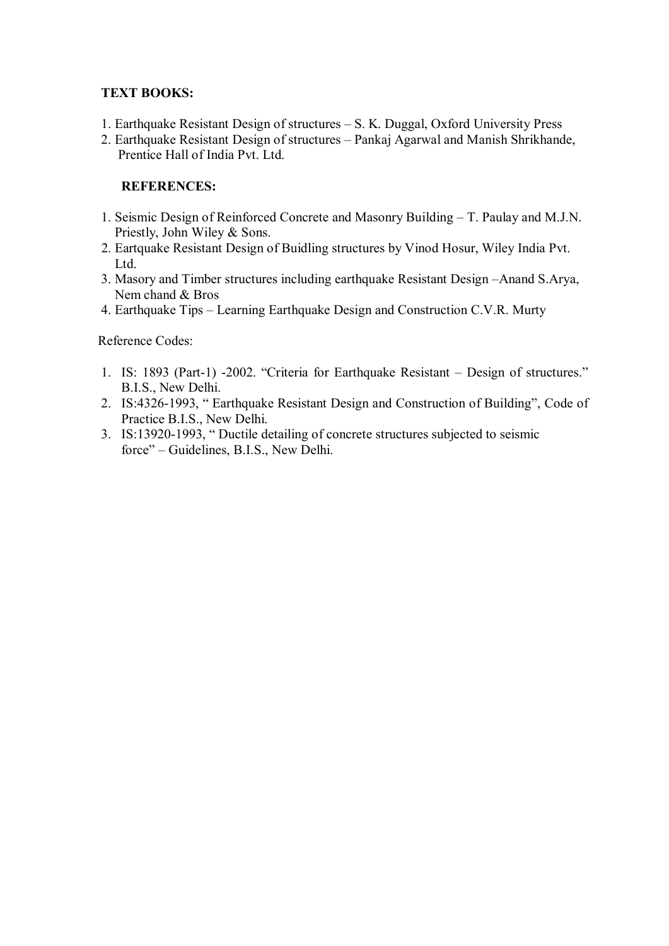# **TEXT BOOKS:**

- 1. Earthquake Resistant Design of structures S. K. Duggal, Oxford University Press
- 2. Earthquake Resistant Design of structures Pankaj Agarwal and Manish Shrikhande, Prentice Hall of India Pvt. Ltd.

# **REFERENCES:**

- 1. Seismic Design of Reinforced Concrete and Masonry Building T. Paulay and M.J.N. Priestly, John Wiley & Sons.
- 2. Eartquake Resistant Design of Buidling structures by Vinod Hosur, Wiley India Pvt. Ltd.
- 3. Masory and Timber structures including earthquake Resistant Design –Anand S.Arya, Nem chand & Bros
- 4. Earthquake Tips Learning Earthquake Design and Construction C.V.R. Murty

Reference Codes:

- 1. IS: 1893 (Part-1) -2002. "Criteria for Earthquake Resistant Design of structures." B.I.S., New Delhi.
- 2. IS:4326-1993, " Earthquake Resistant Design and Construction of Building", Code of Practice B.I.S., New Delhi.
- 3. IS:13920-1993, " Ductile detailing of concrete structures subjected to seismic force" – Guidelines, B.I.S., New Delhi.